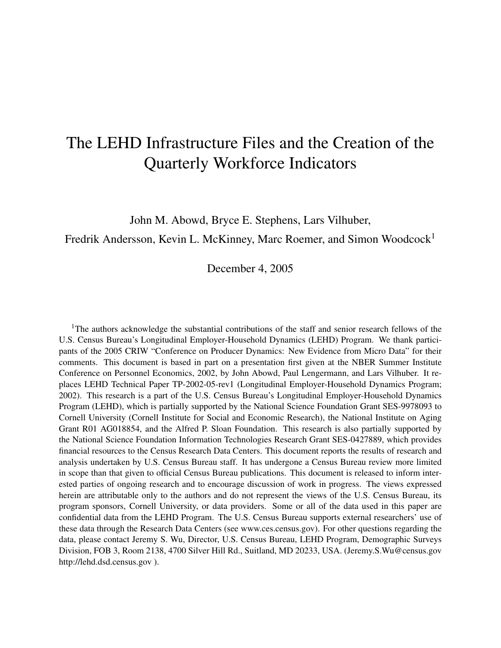## The LEHD Infrastructure Files and the Creation of the Quarterly Workforce Indicators

John M. Abowd, Bryce E. Stephens, Lars Vilhuber,

### Fredrik Andersson, Kevin L. McKinney, Marc Roemer, and Simon Woodcock<sup>1</sup>

December 4, 2005

<sup>1</sup>The authors acknowledge the substantial contributions of the staff and senior research fellows of the U.S. Census Bureau's Longitudinal Employer-Household Dynamics (LEHD) Program. We thank participants of the 2005 CRIW "Conference on Producer Dynamics: New Evidence from Micro Data" for their comments. This document is based in part on a presentation first given at the NBER Summer Institute Conference on Personnel Economics, 2002, by John Abowd, Paul Lengermann, and Lars Vilhuber. It replaces LEHD Technical Paper TP-2002-05-rev1 [\(Longitudinal Employer-Household Dynamics Program;](#page-72-0) [2002\)](#page-72-0). This research is a part of the U.S. Census Bureau's Longitudinal Employer-Household Dynamics Program (LEHD), which is partially supported by the National Science Foundation Grant SES-9978093 to Cornell University (Cornell Institute for Social and Economic Research), the National Institute on Aging Grant R01 AG018854, and the Alfred P. Sloan Foundation. This research is also partially supported by the National Science Foundation Information Technologies Research Grant SES-0427889, which provides financial resources to the Census Research Data Centers. This document reports the results of research and analysis undertaken by U.S. Census Bureau staff. It has undergone a Census Bureau review more limited in scope than that given to official Census Bureau publications. This document is released to inform interested parties of ongoing research and to encourage discussion of work in progress. The views expressed herein are attributable only to the authors and do not represent the views of the U.S. Census Bureau, its program sponsors, Cornell University, or data providers. Some or all of the data used in this paper are confidential data from the LEHD Program. The U.S. Census Bureau supports external researchers' use of these data through the Research Data Centers (see www.ces.census.gov). For other questions regarding the data, please contact Jeremy S. Wu, Director, U.S. Census Bureau, LEHD Program, Demographic Surveys Division, FOB 3, Room 2138, 4700 Silver Hill Rd., Suitland, MD 20233, USA. (Jeremy.S.Wu@census.gov http://lehd.dsd.census.gov ).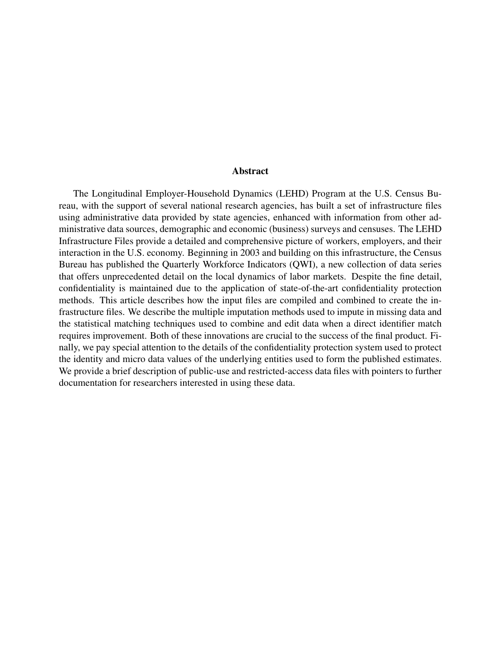#### Abstract

The Longitudinal Employer-Household Dynamics (LEHD) Program at the U.S. Census Bureau, with the support of several national research agencies, has built a set of infrastructure files using administrative data provided by state agencies, enhanced with information from other administrative data sources, demographic and economic (business) surveys and censuses. The LEHD Infrastructure Files provide a detailed and comprehensive picture of workers, employers, and their interaction in the U.S. economy. Beginning in 2003 and building on this infrastructure, the Census Bureau has published the Quarterly Workforce Indicators (QWI), a new collection of data series that offers unprecedented detail on the local dynamics of labor markets. Despite the fine detail, confidentiality is maintained due to the application of state-of-the-art confidentiality protection methods. This article describes how the input files are compiled and combined to create the infrastructure files. We describe the multiple imputation methods used to impute in missing data and the statistical matching techniques used to combine and edit data when a direct identifier match requires improvement. Both of these innovations are crucial to the success of the final product. Finally, we pay special attention to the details of the confidentiality protection system used to protect the identity and micro data values of the underlying entities used to form the published estimates. We provide a brief description of public-use and restricted-access data files with pointers to further documentation for researchers interested in using these data.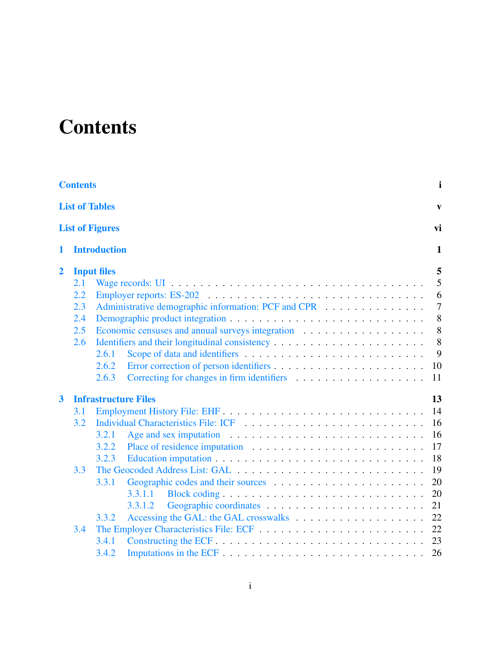# **Contents**

<span id="page-2-0"></span>

| <b>List of Tables</b><br><b>List of Figures</b><br><b>Introduction</b><br>1<br>$\overline{\mathbf{2}}$<br><b>Input files</b><br>2.1<br>2.2<br>Administrative demographic information: PCF and CPR<br>2.3 | <b>Contents</b> |  |  | $\mathbf i$                                                    |
|----------------------------------------------------------------------------------------------------------------------------------------------------------------------------------------------------------|-----------------|--|--|----------------------------------------------------------------|
|                                                                                                                                                                                                          |                 |  |  | $\mathbf{V}$                                                   |
|                                                                                                                                                                                                          |                 |  |  | vi                                                             |
|                                                                                                                                                                                                          |                 |  |  | $\mathbf{1}$                                                   |
| 2.4<br>2.5<br>2.6<br>2.6.1<br>2.6.2<br>2.6.3                                                                                                                                                             |                 |  |  | 5<br>5<br>6<br>$7\phantom{.0}$<br>8<br>8<br>8<br>9<br>10<br>11 |
| $\overline{\mathbf{3}}$<br><b>Infrastructure Files</b>                                                                                                                                                   |                 |  |  | 13                                                             |
| 3.1                                                                                                                                                                                                      |                 |  |  | 14                                                             |
| 3.2                                                                                                                                                                                                      |                 |  |  | 16                                                             |
| Age and sex imputation $\ldots \ldots \ldots \ldots \ldots \ldots \ldots \ldots \ldots$<br>3.2.1                                                                                                         |                 |  |  | 16                                                             |
| 3.2.2                                                                                                                                                                                                    |                 |  |  | 17                                                             |
| 3.2.3                                                                                                                                                                                                    |                 |  |  | 18                                                             |
| 3.3                                                                                                                                                                                                      |                 |  |  | 19                                                             |
| 3.3.1                                                                                                                                                                                                    |                 |  |  | 20                                                             |
| 3.3.1.1<br>3.3.1.2                                                                                                                                                                                       |                 |  |  | 20<br>21                                                       |
| 3.3.2                                                                                                                                                                                                    |                 |  |  | 22                                                             |
| 3.4                                                                                                                                                                                                      |                 |  |  | 22                                                             |
| 3.4.1                                                                                                                                                                                                    |                 |  |  | 23                                                             |
| 3.4.2                                                                                                                                                                                                    |                 |  |  | 26                                                             |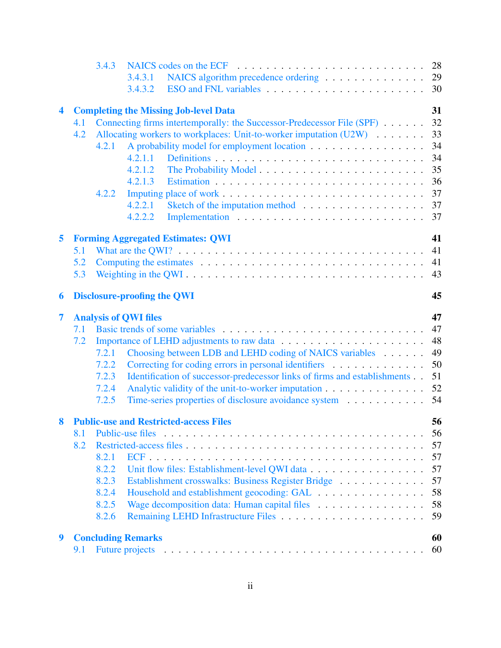|                         |     | 3.4.3 |                                                                           | 28       |
|-------------------------|-----|-------|---------------------------------------------------------------------------|----------|
|                         |     |       | NAICS algorithm precedence ordering<br>3.4.3.1                            | 29       |
|                         |     |       | 3.4.3.2                                                                   | 30       |
| $\overline{\mathbf{4}}$ |     |       | <b>Completing the Missing Job-level Data</b>                              | 31       |
|                         | 4.1 |       | Connecting firms intertemporally: the Successor-Predecessor File (SPF)    | 32       |
|                         | 4.2 |       | Allocating workers to workplaces: Unit-to-worker imputation (U2W)         | 33       |
|                         |     | 4.2.1 |                                                                           | 34       |
|                         |     |       | 4.2.1.1                                                                   | 34       |
|                         |     |       | The Probability Model<br>4.2.1.2                                          | 35       |
|                         |     |       | 4.2.1.3                                                                   | 36       |
|                         |     | 4.2.2 |                                                                           | 37       |
|                         |     |       | 4.2.2.1                                                                   | 37       |
|                         |     |       | 4.2.2.2                                                                   | 37       |
| 5                       |     |       | <b>Forming Aggregated Estimates: QWI</b>                                  | 41       |
|                         | 5.1 |       |                                                                           | 41       |
|                         | 5.2 |       |                                                                           | 41       |
|                         | 5.3 |       |                                                                           | 43       |
| 6                       |     |       | <b>Disclosure-proofing the QWI</b>                                        | 45       |
| $\overline{7}$          |     |       | <b>Analysis of QWI files</b>                                              | 47       |
|                         | 7.1 |       |                                                                           | 47       |
|                         | 7.2 |       |                                                                           | 48       |
|                         |     | 7.2.1 | Choosing between LDB and LEHD coding of NAICS variables                   | 49       |
|                         |     | 7.2.2 | Correcting for coding errors in personal identifiers                      | 50       |
|                         |     |       |                                                                           |          |
|                         |     | 7.2.3 | Identification of successor-predecessor links of firms and establishments | 51       |
|                         |     | 7.2.4 | Analytic validity of the unit-to-worker imputation                        | 52       |
|                         |     | 7.2.5 | Time-series properties of disclosure avoidance system                     | 54       |
| 8                       |     |       | <b>Public-use and Restricted-access Files</b>                             | 56       |
|                         | 8.1 |       |                                                                           | 56       |
|                         | 8.2 |       |                                                                           | 57       |
|                         |     | 8.2.1 |                                                                           | 57       |
|                         |     | 8.2.2 |                                                                           | 57       |
|                         |     | 8.2.3 | Establishment crosswalks: Business Register Bridge                        | 57       |
|                         |     | 8.2.4 |                                                                           | 58       |
|                         |     | 8.2.5 | Wage decomposition data: Human capital files                              | 58       |
|                         |     | 8.2.6 |                                                                           | 59       |
| 9                       | 9.1 |       | <b>Concluding Remarks</b>                                                 | 60<br>60 |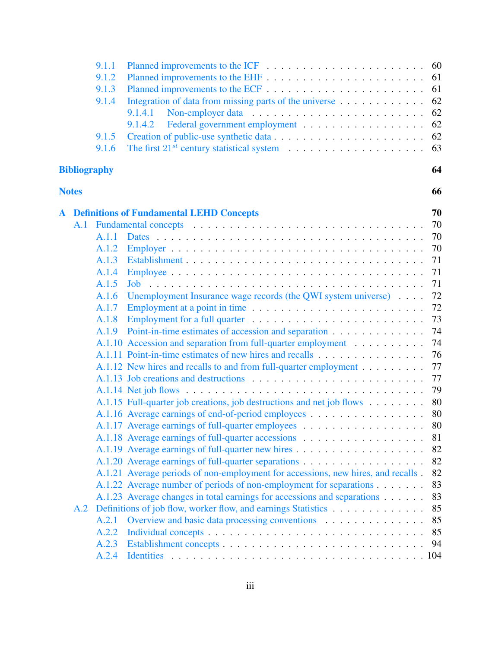|   |                     | 9.1.1 |                                                                                     | 60 |
|---|---------------------|-------|-------------------------------------------------------------------------------------|----|
|   |                     | 9.1.2 |                                                                                     | 61 |
|   |                     | 9.1.3 |                                                                                     | 61 |
|   |                     | 9.1.4 |                                                                                     | 62 |
|   |                     |       | 9.1.4.1                                                                             | 62 |
|   |                     |       | Federal government employment<br>9.1.4.2                                            | 62 |
|   |                     | 9.1.5 |                                                                                     | 62 |
|   |                     | 9.1.6 | The first $21^{st}$ century statistical system $\ldots \ldots \ldots \ldots \ldots$ | 63 |
|   | <b>Bibliography</b> |       |                                                                                     | 64 |
|   | <b>Notes</b>        |       |                                                                                     | 66 |
|   |                     |       |                                                                                     |    |
| A |                     |       | <b>Definitions of Fundamental LEHD Concepts</b>                                     | 70 |
|   | A.1                 |       |                                                                                     | 70 |
|   |                     | A.1.1 |                                                                                     | 70 |
|   |                     | A.1.2 |                                                                                     | 70 |
|   |                     | A.1.3 |                                                                                     | 71 |
|   |                     | A.1.4 |                                                                                     | 71 |
|   |                     | A.1.5 |                                                                                     | 71 |
|   |                     | A.1.6 | Unemployment Insurance wage records (the QWI system universe)                       | 72 |
|   |                     | A.1.7 |                                                                                     | 72 |
|   |                     | A.1.8 |                                                                                     | 73 |
|   |                     | A.1.9 | Point-in-time estimates of accession and separation                                 | 74 |
|   |                     |       | A.1.10 Accession and separation from full-quarter employment                        | 74 |
|   |                     |       | A.1.11 Point-in-time estimates of new hires and recalls                             | 76 |
|   |                     |       | A.1.12 New hires and recalls to and from full-quarter employment                    | 77 |
|   |                     |       |                                                                                     | 77 |
|   |                     |       |                                                                                     | 79 |
|   |                     |       | A.1.15 Full-quarter job creations, job destructions and net job flows               | 80 |
|   |                     |       |                                                                                     | 80 |
|   |                     |       | A.1.17 Average earnings of full-quarter employees                                   | 80 |
|   |                     |       |                                                                                     | 81 |
|   |                     |       |                                                                                     | 82 |
|   |                     |       |                                                                                     | 82 |
|   |                     |       | A.1.21 Average periods of non-employment for accessions, new hires, and recalls.    | 82 |
|   |                     |       | A.1.22 Average number of periods of non-employment for separations                  | 83 |
|   |                     |       | A.1.23 Average changes in total earnings for accessions and separations             | 83 |
|   | A.2                 |       | Definitions of job flow, worker flow, and earnings Statistics                       | 85 |
|   |                     | A.2.1 | Overview and basic data processing conventions                                      | 85 |
|   |                     | A.2.2 |                                                                                     | 85 |
|   |                     | A.2.3 |                                                                                     | 94 |
|   |                     | A.2.4 |                                                                                     |    |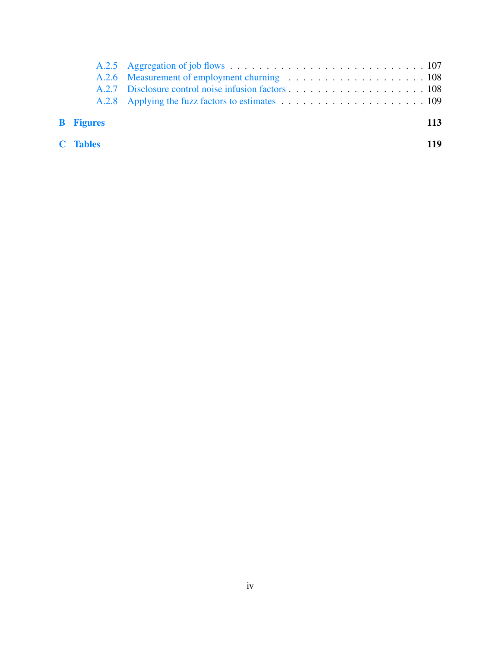| <b>B</b> Figures | 113 |
|------------------|-----|
| <b>C</b> Tables  | 119 |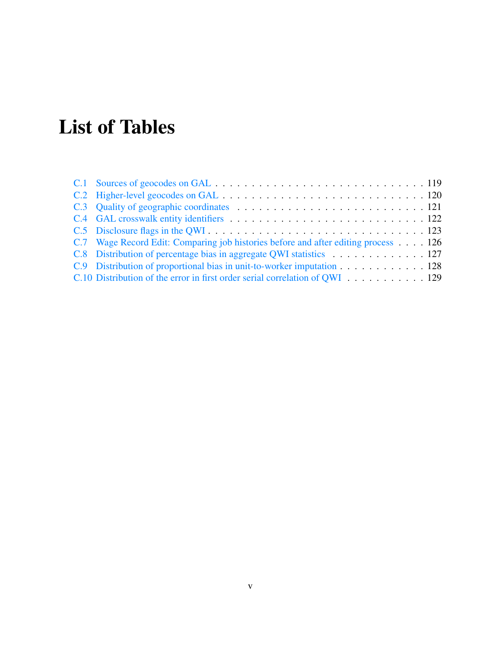# List of Tables

<span id="page-6-0"></span>

| C.4 GAL crosswalk entity identifiers entitled and such a set of the set of the set of the set of the set of the set of the set of the set of the set of the set of the set of the set of the set of the set of the set of the |
|-------------------------------------------------------------------------------------------------------------------------------------------------------------------------------------------------------------------------------|
|                                                                                                                                                                                                                               |
| C.7 Wage Record Edit: Comparing job histories before and after editing process 126                                                                                                                                            |
| C.8 Distribution of percentage bias in aggregate QWI statistics 127                                                                                                                                                           |
| C.9 Distribution of proportional bias in unit-to-worker imputation 128                                                                                                                                                        |
| C.10 Distribution of the error in first order serial correlation of QWI 129                                                                                                                                                   |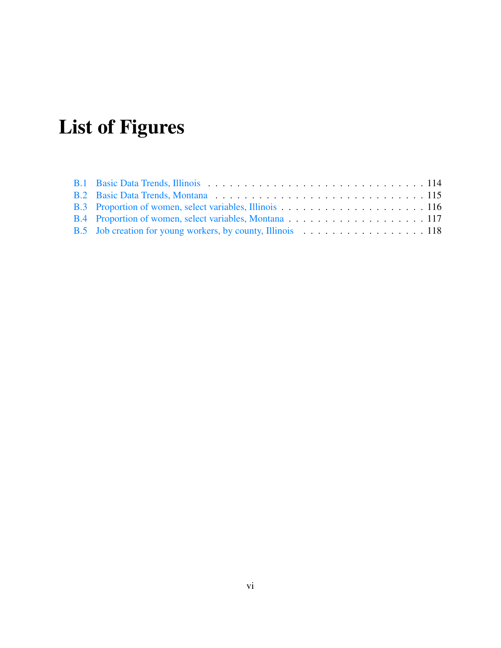# List of Figures

<span id="page-7-0"></span>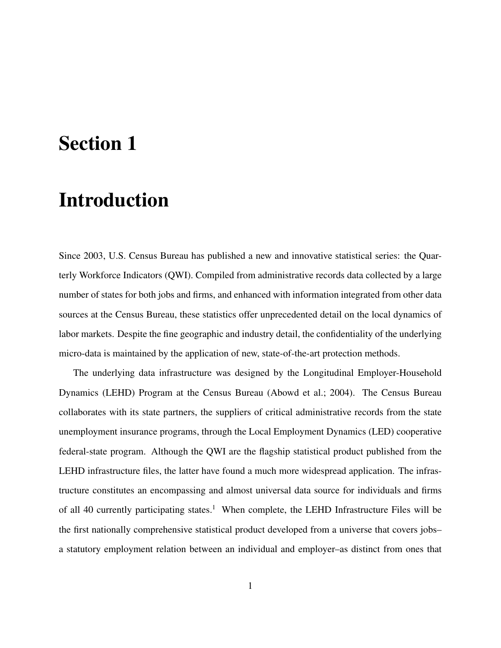## <span id="page-8-0"></span>Section 1

## Introduction

Since 2003, U.S. Census Bureau has published a new and innovative statistical series: the Quarterly Workforce Indicators (QWI). Compiled from administrative records data collected by a large number of states for both jobs and firms, and enhanced with information integrated from other data sources at the Census Bureau, these statistics offer unprecedented detail on the local dynamics of labor markets. Despite the fine geographic and industry detail, the confidentiality of the underlying micro-data is maintained by the application of new, state-of-the-art protection methods.

The underlying data infrastructure was designed by the Longitudinal Employer-Household Dynamics (LEHD) Program at the Census Bureau [\(Abowd et al.;](#page-71-1) [2004\)](#page-71-1). The Census Bureau collaborates with its state partners, the suppliers of critical administrative records from the state unemployment insurance programs, through the Local Employment Dynamics (LED) cooperative federal-state program. Although the QWI are the flagship statistical product published from the LEHD infrastructure files, the latter have found a much more widespread application. The infrastructure constitutes an encompassing and almost universal data source for individuals and firms of all 40 currently participating states.<sup>1</sup> When complete, the LEHD Infrastructure Files will be the first nationally comprehensive statistical product developed from a universe that covers jobs– a statutory employment relation between an individual and employer–as distinct from ones that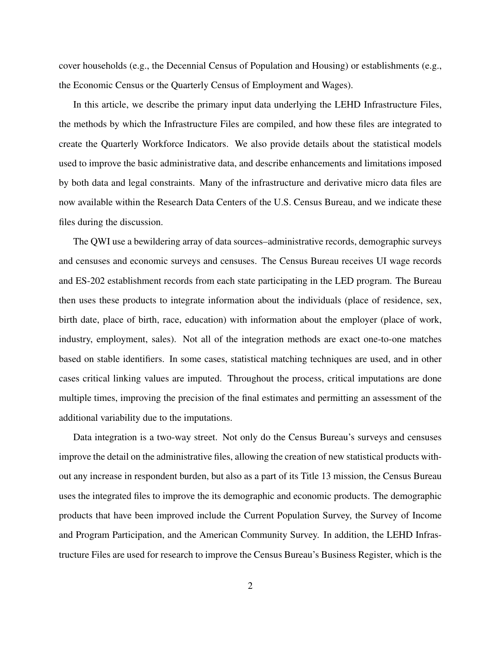cover households (e.g., the Decennial Census of Population and Housing) or establishments (e.g., the Economic Census or the Quarterly Census of Employment and Wages).

In this article, we describe the primary input data underlying the LEHD Infrastructure Files, the methods by which the Infrastructure Files are compiled, and how these files are integrated to create the Quarterly Workforce Indicators. We also provide details about the statistical models used to improve the basic administrative data, and describe enhancements and limitations imposed by both data and legal constraints. Many of the infrastructure and derivative micro data files are now available within the Research Data Centers of the U.S. Census Bureau, and we indicate these files during the discussion.

The QWI use a bewildering array of data sources–administrative records, demographic surveys and censuses and economic surveys and censuses. The Census Bureau receives UI wage records and ES-202 establishment records from each state participating in the LED program. The Bureau then uses these products to integrate information about the individuals (place of residence, sex, birth date, place of birth, race, education) with information about the employer (place of work, industry, employment, sales). Not all of the integration methods are exact one-to-one matches based on stable identifiers. In some cases, statistical matching techniques are used, and in other cases critical linking values are imputed. Throughout the process, critical imputations are done multiple times, improving the precision of the final estimates and permitting an assessment of the additional variability due to the imputations.

Data integration is a two-way street. Not only do the Census Bureau's surveys and censuses improve the detail on the administrative files, allowing the creation of new statistical products without any increase in respondent burden, but also as a part of its Title 13 mission, the Census Bureau uses the integrated files to improve the its demographic and economic products. The demographic products that have been improved include the Current Population Survey, the Survey of Income and Program Participation, and the American Community Survey. In addition, the LEHD Infrastructure Files are used for research to improve the Census Bureau's Business Register, which is the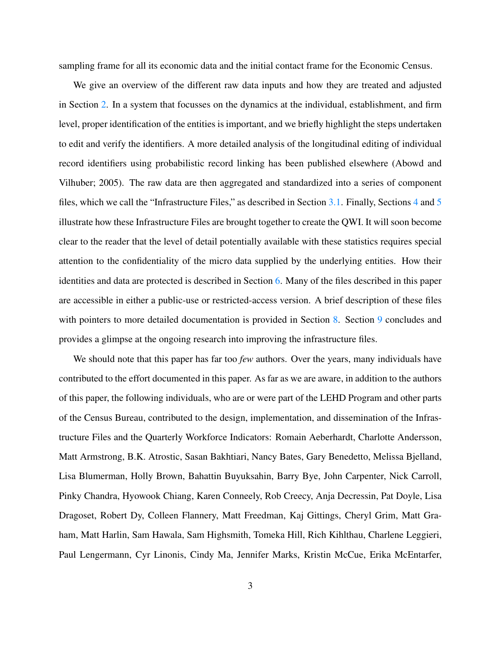sampling frame for all its economic data and the initial contact frame for the Economic Census.

We give an overview of the different raw data inputs and how they are treated and adjusted in Section [2.](#page-12-0) In a system that focusses on the dynamics at the individual, establishment, and firm level, proper identification of the entities is important, and we briefly highlight the steps undertaken to edit and verify the identifiers. A more detailed analysis of the longitudinal editing of individual record identifiers using probabilistic record linking has been published elsewhere [\(Abowd and](#page-71-2) [Vilhuber;](#page-71-2) [2005\)](#page-71-2). The raw data are then aggregated and standardized into a series of component files, which we call the "Infrastructure Files," as described in Section [3.1.](#page-21-0) Finally, Sections [4](#page-38-0) and [5](#page-48-0) illustrate how these Infrastructure Files are brought together to create the QWI. It will soon become clear to the reader that the level of detail potentially available with these statistics requires special attention to the confidentiality of the micro data supplied by the underlying entities. How their identities and data are protected is described in Section [6.](#page-52-0) Many of the files described in this paper are accessible in either a public-use or restricted-access version. A brief description of these files with pointers to more detailed documentation is provided in Section [8.](#page-63-0) Section [9](#page-67-0) concludes and provides a glimpse at the ongoing research into improving the infrastructure files.

We should note that this paper has far too *few* authors. Over the years, many individuals have contributed to the effort documented in this paper. As far as we are aware, in addition to the authors of this paper, the following individuals, who are or were part of the LEHD Program and other parts of the Census Bureau, contributed to the design, implementation, and dissemination of the Infrastructure Files and the Quarterly Workforce Indicators: Romain Aeberhardt, Charlotte Andersson, Matt Armstrong, B.K. Atrostic, Sasan Bakhtiari, Nancy Bates, Gary Benedetto, Melissa Bjelland, Lisa Blumerman, Holly Brown, Bahattin Buyuksahin, Barry Bye, John Carpenter, Nick Carroll, Pinky Chandra, Hyowook Chiang, Karen Conneely, Rob Creecy, Anja Decressin, Pat Doyle, Lisa Dragoset, Robert Dy, Colleen Flannery, Matt Freedman, Kaj Gittings, Cheryl Grim, Matt Graham, Matt Harlin, Sam Hawala, Sam Highsmith, Tomeka Hill, Rich Kihlthau, Charlene Leggieri, Paul Lengermann, Cyr Linonis, Cindy Ma, Jennifer Marks, Kristin McCue, Erika McEntarfer,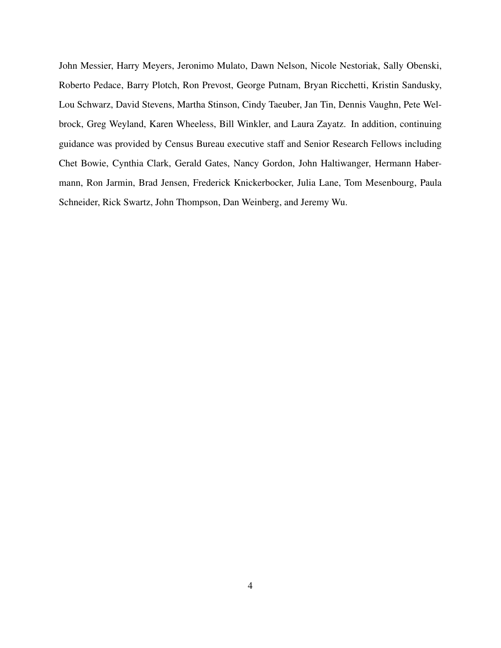John Messier, Harry Meyers, Jeronimo Mulato, Dawn Nelson, Nicole Nestoriak, Sally Obenski, Roberto Pedace, Barry Plotch, Ron Prevost, George Putnam, Bryan Ricchetti, Kristin Sandusky, Lou Schwarz, David Stevens, Martha Stinson, Cindy Taeuber, Jan Tin, Dennis Vaughn, Pete Welbrock, Greg Weyland, Karen Wheeless, Bill Winkler, and Laura Zayatz. In addition, continuing guidance was provided by Census Bureau executive staff and Senior Research Fellows including Chet Bowie, Cynthia Clark, Gerald Gates, Nancy Gordon, John Haltiwanger, Hermann Habermann, Ron Jarmin, Brad Jensen, Frederick Knickerbocker, Julia Lane, Tom Mesenbourg, Paula Schneider, Rick Swartz, John Thompson, Dan Weinberg, and Jeremy Wu.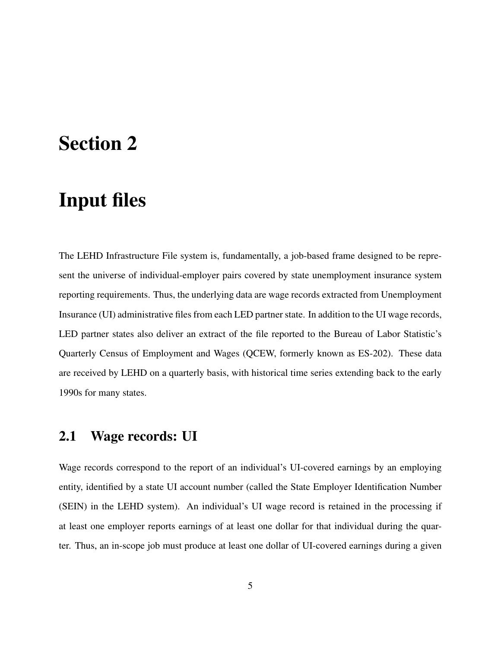## <span id="page-12-0"></span>Section 2

## Input files

The LEHD Infrastructure File system is, fundamentally, a job-based frame designed to be represent the universe of individual-employer pairs covered by state unemployment insurance system reporting requirements. Thus, the underlying data are wage records extracted from Unemployment Insurance (UI) administrative files from each LED partner state. In addition to the UI wage records, LED partner states also deliver an extract of the file reported to the Bureau of Labor Statistic's Quarterly Census of Employment and Wages (QCEW, formerly known as ES-202). These data are received by LEHD on a quarterly basis, with historical time series extending back to the early 1990s for many states.

## <span id="page-12-1"></span>2.1 Wage records: UI

Wage records correspond to the report of an individual's UI-covered earnings by an employing entity, identified by a state UI account number (called the State Employer Identification Number (SEIN) in the LEHD system). An individual's UI wage record is retained in the processing if at least one employer reports earnings of at least one dollar for that individual during the quarter. Thus, an in-scope job must produce at least one dollar of UI-covered earnings during a given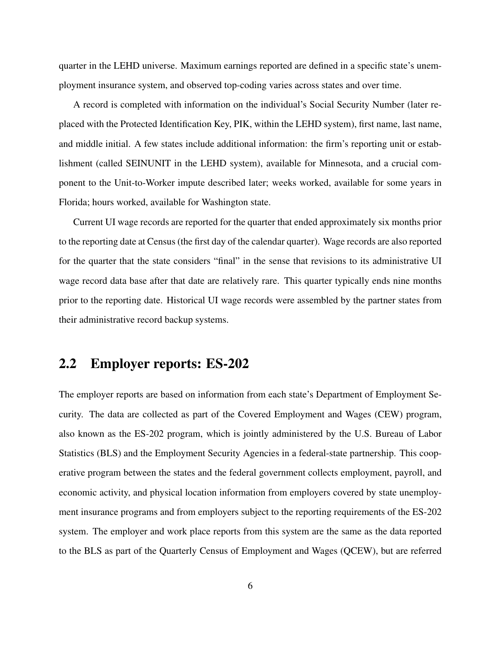quarter in the LEHD universe. Maximum earnings reported are defined in a specific state's unemployment insurance system, and observed top-coding varies across states and over time.

A record is completed with information on the individual's Social Security Number (later replaced with the Protected Identification Key, PIK, within the LEHD system), first name, last name, and middle initial. A few states include additional information: the firm's reporting unit or establishment (called SEINUNIT in the LEHD system), available for Minnesota, and a crucial component to the Unit-to-Worker impute described later; weeks worked, available for some years in Florida; hours worked, available for Washington state.

Current UI wage records are reported for the quarter that ended approximately six months prior to the reporting date at Census (the first day of the calendar quarter). Wage records are also reported for the quarter that the state considers "final" in the sense that revisions to its administrative UI wage record data base after that date are relatively rare. This quarter typically ends nine months prior to the reporting date. Historical UI wage records were assembled by the partner states from their administrative record backup systems.

## <span id="page-13-0"></span>2.2 Employer reports: ES-202

The employer reports are based on information from each state's Department of Employment Security. The data are collected as part of the Covered Employment and Wages (CEW) program, also known as the ES-202 program, which is jointly administered by the U.S. Bureau of Labor Statistics (BLS) and the Employment Security Agencies in a federal-state partnership. This cooperative program between the states and the federal government collects employment, payroll, and economic activity, and physical location information from employers covered by state unemployment insurance programs and from employers subject to the reporting requirements of the ES-202 system. The employer and work place reports from this system are the same as the data reported to the BLS as part of the Quarterly Census of Employment and Wages (QCEW), but are referred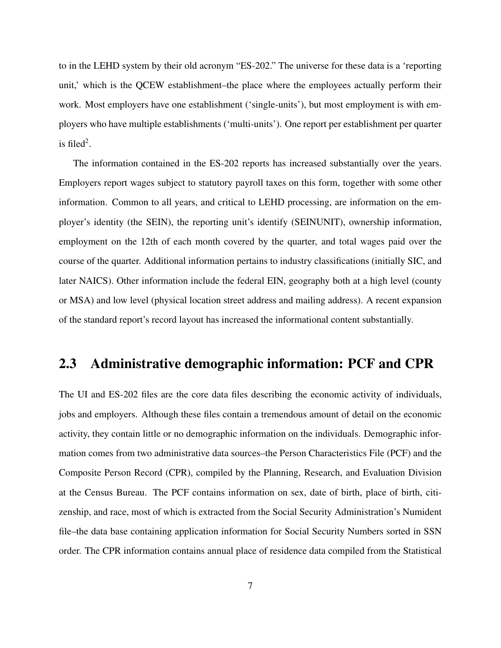to in the LEHD system by their old acronym "ES-202." The universe for these data is a 'reporting unit,' which is the QCEW establishment–the place where the employees actually perform their work. Most employers have one establishment ('single-units'), but most employment is with employers who have multiple establishments ('multi-units'). One report per establishment per quarter is filed<sup>2</sup>.

The information contained in the ES-202 reports has increased substantially over the years. Employers report wages subject to statutory payroll taxes on this form, together with some other information. Common to all years, and critical to LEHD processing, are information on the employer's identity (the SEIN), the reporting unit's identify (SEINUNIT), ownership information, employment on the 12th of each month covered by the quarter, and total wages paid over the course of the quarter. Additional information pertains to industry classifications (initially SIC, and later NAICS). Other information include the federal EIN, geography both at a high level (county or MSA) and low level (physical location street address and mailing address). A recent expansion of the standard report's record layout has increased the informational content substantially.

### <span id="page-14-0"></span>2.3 Administrative demographic information: PCF and CPR

The UI and ES-202 files are the core data files describing the economic activity of individuals, jobs and employers. Although these files contain a tremendous amount of detail on the economic activity, they contain little or no demographic information on the individuals. Demographic information comes from two administrative data sources–the Person Characteristics File (PCF) and the Composite Person Record (CPR), compiled by the Planning, Research, and Evaluation Division at the Census Bureau. The PCF contains information on sex, date of birth, place of birth, citizenship, and race, most of which is extracted from the Social Security Administration's Numident file–the data base containing application information for Social Security Numbers sorted in SSN order. The CPR information contains annual place of residence data compiled from the Statistical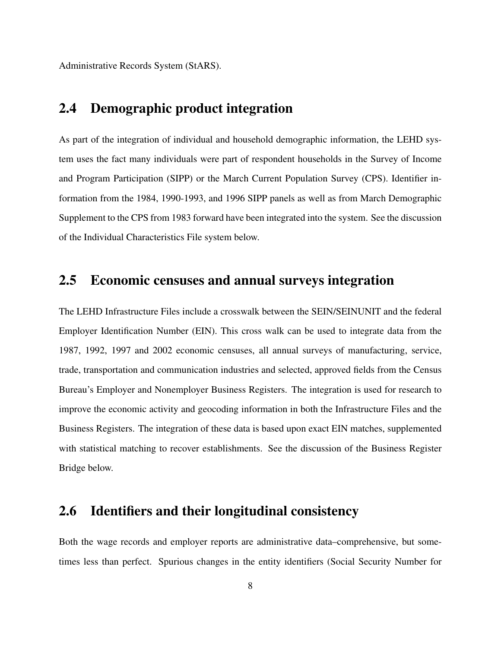Administrative Records System (StARS).

### <span id="page-15-0"></span>2.4 Demographic product integration

As part of the integration of individual and household demographic information, the LEHD system uses the fact many individuals were part of respondent households in the Survey of Income and Program Participation (SIPP) or the March Current Population Survey (CPS). Identifier information from the 1984, 1990-1993, and 1996 SIPP panels as well as from March Demographic Supplement to the CPS from 1983 forward have been integrated into the system. See the discussion of the Individual Characteristics File system below.

## <span id="page-15-1"></span>2.5 Economic censuses and annual surveys integration

The LEHD Infrastructure Files include a crosswalk between the SEIN/SEINUNIT and the federal Employer Identification Number (EIN). This cross walk can be used to integrate data from the 1987, 1992, 1997 and 2002 economic censuses, all annual surveys of manufacturing, service, trade, transportation and communication industries and selected, approved fields from the Census Bureau's Employer and Nonemployer Business Registers. The integration is used for research to improve the economic activity and geocoding information in both the Infrastructure Files and the Business Registers. The integration of these data is based upon exact EIN matches, supplemented with statistical matching to recover establishments. See the discussion of the Business Register Bridge below.

## <span id="page-15-2"></span>2.6 Identifiers and their longitudinal consistency

Both the wage records and employer reports are administrative data–comprehensive, but sometimes less than perfect. Spurious changes in the entity identifiers (Social Security Number for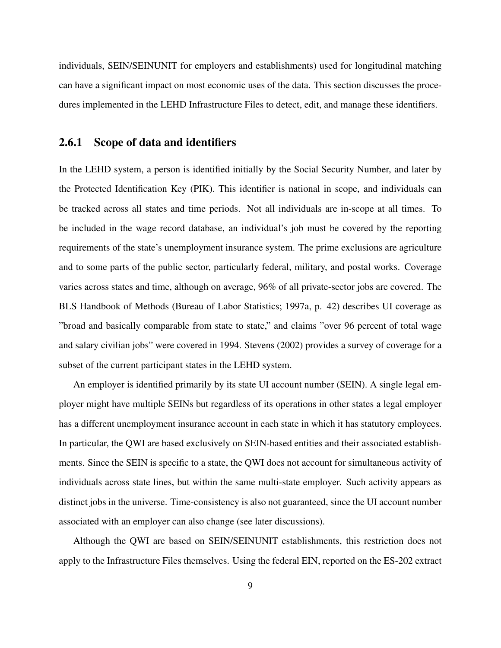individuals, SEIN/SEINUNIT for employers and establishments) used for longitudinal matching can have a significant impact on most economic uses of the data. This section discusses the procedures implemented in the LEHD Infrastructure Files to detect, edit, and manage these identifiers.

### <span id="page-16-0"></span>2.6.1 Scope of data and identifiers

In the LEHD system, a person is identified initially by the Social Security Number, and later by the Protected Identification Key (PIK). This identifier is national in scope, and individuals can be tracked across all states and time periods. Not all individuals are in-scope at all times. To be included in the wage record database, an individual's job must be covered by the reporting requirements of the state's unemployment insurance system. The prime exclusions are agriculture and to some parts of the public sector, particularly federal, military, and postal works. Coverage varies across states and time, although on average, 96% of all private-sector jobs are covered. The BLS Handbook of Methods [\(Bureau of Labor Statistics;](#page-71-3) [1997a,](#page-71-3) p. 42) describes UI coverage as "broad and basically comparable from state to state," and claims "over 96 percent of total wage and salary civilian jobs" were covered in 1994. [Stevens](#page-72-1) [\(2002\)](#page-72-1) provides a survey of coverage for a subset of the current participant states in the LEHD system.

An employer is identified primarily by its state UI account number (SEIN). A single legal employer might have multiple SEINs but regardless of its operations in other states a legal employer has a different unemployment insurance account in each state in which it has statutory employees. In particular, the QWI are based exclusively on SEIN-based entities and their associated establishments. Since the SEIN is specific to a state, the QWI does not account for simultaneous activity of individuals across state lines, but within the same multi-state employer. Such activity appears as distinct jobs in the universe. Time-consistency is also not guaranteed, since the UI account number associated with an employer can also change (see later discussions).

Although the QWI are based on SEIN/SEINUNIT establishments, this restriction does not apply to the Infrastructure Files themselves. Using the federal EIN, reported on the ES-202 extract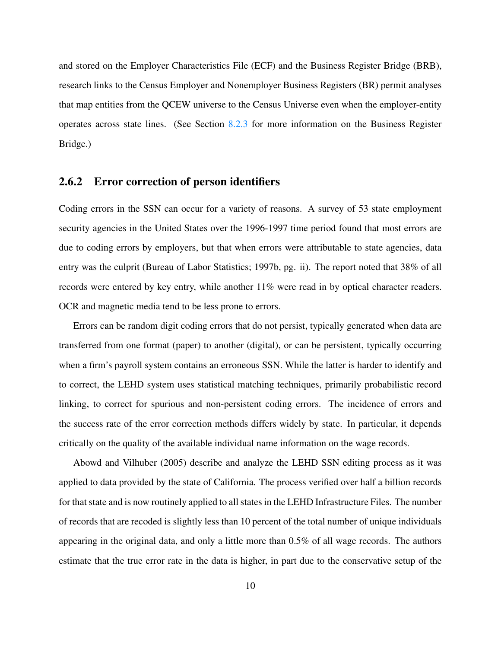and stored on the Employer Characteristics File (ECF) and the Business Register Bridge (BRB), research links to the Census Employer and Nonemployer Business Registers (BR) permit analyses that map entities from the QCEW universe to the Census Universe even when the employer-entity operates across state lines. (See Section [8.2.3](#page-64-3) for more information on the Business Register Bridge.)

### <span id="page-17-0"></span>2.6.2 Error correction of person identifiers

Coding errors in the SSN can occur for a variety of reasons. A survey of 53 state employment security agencies in the United States over the 1996-1997 time period found that most errors are due to coding errors by employers, but that when errors were attributable to state agencies, data entry was the culprit [\(Bureau of Labor Statistics;](#page-71-4) [1997b,](#page-71-4) pg. ii). The report noted that 38% of all records were entered by key entry, while another 11% were read in by optical character readers. OCR and magnetic media tend to be less prone to errors.

Errors can be random digit coding errors that do not persist, typically generated when data are transferred from one format (paper) to another (digital), or can be persistent, typically occurring when a firm's payroll system contains an erroneous SSN. While the latter is harder to identify and to correct, the LEHD system uses statistical matching techniques, primarily probabilistic record linking, to correct for spurious and non-persistent coding errors. The incidence of errors and the success rate of the error correction methods differs widely by state. In particular, it depends critically on the quality of the available individual name information on the wage records.

[Abowd and Vilhuber](#page-71-2) [\(2005\)](#page-71-2) describe and analyze the LEHD SSN editing process as it was applied to data provided by the state of California. The process verified over half a billion records for that state and is now routinely applied to all states in the LEHD Infrastructure Files. The number of records that are recoded is slightly less than 10 percent of the total number of unique individuals appearing in the original data, and only a little more than 0.5% of all wage records. The authors estimate that the true error rate in the data is higher, in part due to the conservative setup of the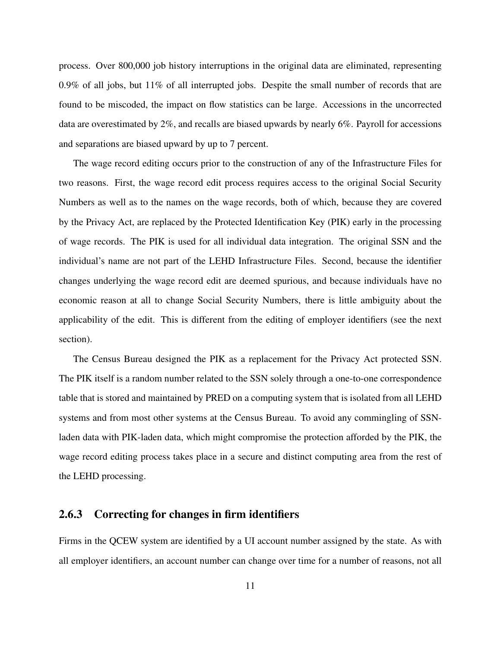process. Over 800,000 job history interruptions in the original data are eliminated, representing 0.9% of all jobs, but 11% of all interrupted jobs. Despite the small number of records that are found to be miscoded, the impact on flow statistics can be large. Accessions in the uncorrected data are overestimated by 2%, and recalls are biased upwards by nearly 6%. Payroll for accessions and separations are biased upward by up to 7 percent.

The wage record editing occurs prior to the construction of any of the Infrastructure Files for two reasons. First, the wage record edit process requires access to the original Social Security Numbers as well as to the names on the wage records, both of which, because they are covered by the Privacy Act, are replaced by the Protected Identification Key (PIK) early in the processing of wage records. The PIK is used for all individual data integration. The original SSN and the individual's name are not part of the LEHD Infrastructure Files. Second, because the identifier changes underlying the wage record edit are deemed spurious, and because individuals have no economic reason at all to change Social Security Numbers, there is little ambiguity about the applicability of the edit. This is different from the editing of employer identifiers (see the next section).

The Census Bureau designed the PIK as a replacement for the Privacy Act protected SSN. The PIK itself is a random number related to the SSN solely through a one-to-one correspondence table that is stored and maintained by PRED on a computing system that is isolated from all LEHD systems and from most other systems at the Census Bureau. To avoid any commingling of SSNladen data with PIK-laden data, which might compromise the protection afforded by the PIK, the wage record editing process takes place in a secure and distinct computing area from the rest of the LEHD processing.

### <span id="page-18-0"></span>2.6.3 Correcting for changes in firm identifiers

Firms in the QCEW system are identified by a UI account number assigned by the state. As with all employer identifiers, an account number can change over time for a number of reasons, not all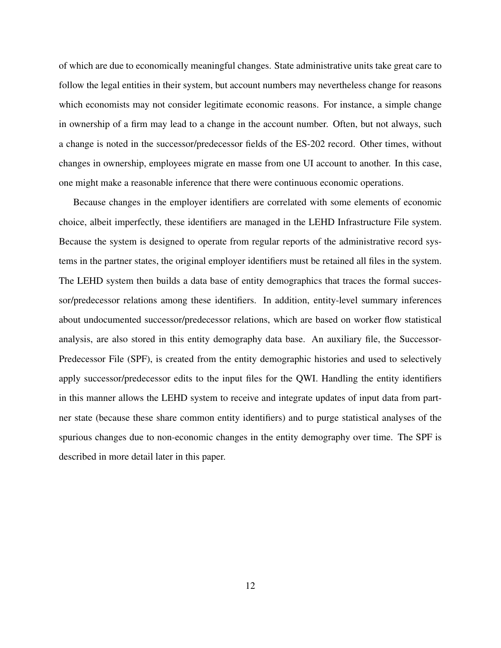of which are due to economically meaningful changes. State administrative units take great care to follow the legal entities in their system, but account numbers may nevertheless change for reasons which economists may not consider legitimate economic reasons. For instance, a simple change in ownership of a firm may lead to a change in the account number. Often, but not always, such a change is noted in the successor/predecessor fields of the ES-202 record. Other times, without changes in ownership, employees migrate en masse from one UI account to another. In this case, one might make a reasonable inference that there were continuous economic operations.

Because changes in the employer identifiers are correlated with some elements of economic choice, albeit imperfectly, these identifiers are managed in the LEHD Infrastructure File system. Because the system is designed to operate from regular reports of the administrative record systems in the partner states, the original employer identifiers must be retained all files in the system. The LEHD system then builds a data base of entity demographics that traces the formal successor/predecessor relations among these identifiers. In addition, entity-level summary inferences about undocumented successor/predecessor relations, which are based on worker flow statistical analysis, are also stored in this entity demography data base. An auxiliary file, the Successor-Predecessor File (SPF), is created from the entity demographic histories and used to selectively apply successor/predecessor edits to the input files for the QWI. Handling the entity identifiers in this manner allows the LEHD system to receive and integrate updates of input data from partner state (because these share common entity identifiers) and to purge statistical analyses of the spurious changes due to non-economic changes in the entity demography over time. The SPF is described in more detail later in this paper.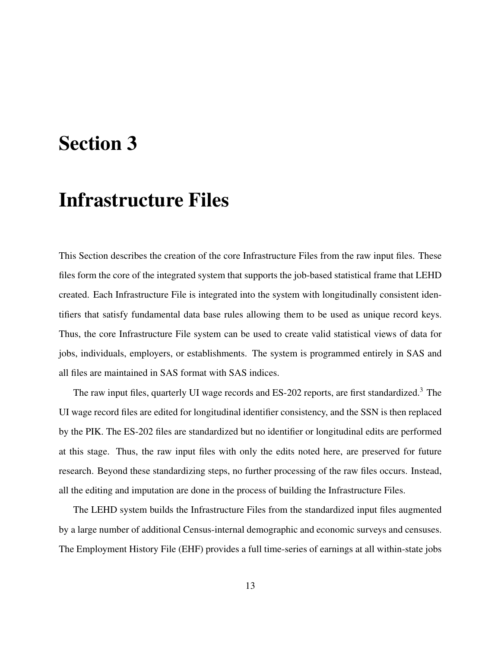## <span id="page-20-0"></span>Section 3

## Infrastructure Files

This Section describes the creation of the core Infrastructure Files from the raw input files. These files form the core of the integrated system that supports the job-based statistical frame that LEHD created. Each Infrastructure File is integrated into the system with longitudinally consistent identifiers that satisfy fundamental data base rules allowing them to be used as unique record keys. Thus, the core Infrastructure File system can be used to create valid statistical views of data for jobs, individuals, employers, or establishments. The system is programmed entirely in SAS and all files are maintained in SAS format with SAS indices.

The raw input files, quarterly UI wage records and ES-202 reports, are first standardized.<sup>3</sup> The UI wage record files are edited for longitudinal identifier consistency, and the SSN is then replaced by the PIK. The ES-202 files are standardized but no identifier or longitudinal edits are performed at this stage. Thus, the raw input files with only the edits noted here, are preserved for future research. Beyond these standardizing steps, no further processing of the raw files occurs. Instead, all the editing and imputation are done in the process of building the Infrastructure Files.

The LEHD system builds the Infrastructure Files from the standardized input files augmented by a large number of additional Census-internal demographic and economic surveys and censuses. The Employment History File (EHF) provides a full time-series of earnings at all within-state jobs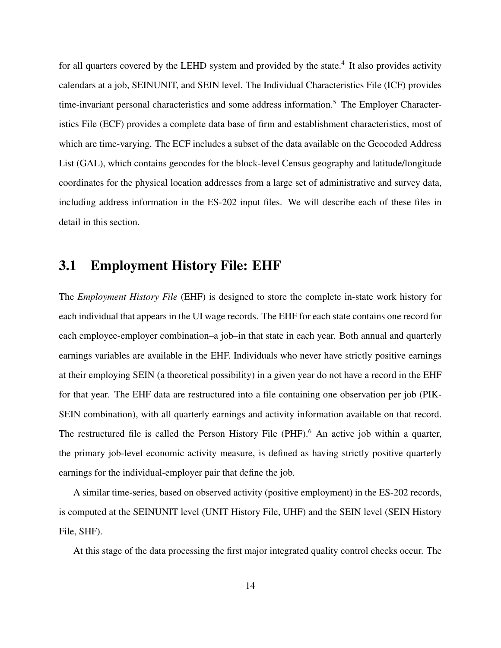for all quarters covered by the LEHD system and provided by the state.<sup>4</sup> It also provides activity calendars at a job, SEINUNIT, and SEIN level. The Individual Characteristics File (ICF) provides time-invariant personal characteristics and some address information.<sup>5</sup> The Employer Characteristics File (ECF) provides a complete data base of firm and establishment characteristics, most of which are time-varying. The ECF includes a subset of the data available on the Geocoded Address List (GAL), which contains geocodes for the block-level Census geography and latitude/longitude coordinates for the physical location addresses from a large set of administrative and survey data, including address information in the ES-202 input files. We will describe each of these files in detail in this section.

## <span id="page-21-0"></span>3.1 Employment History File: EHF

The *Employment History File* (EHF) is designed to store the complete in-state work history for each individual that appears in the UI wage records. The EHF for each state contains one record for each employee-employer combination–a job–in that state in each year. Both annual and quarterly earnings variables are available in the EHF. Individuals who never have strictly positive earnings at their employing SEIN (a theoretical possibility) in a given year do not have a record in the EHF for that year. The EHF data are restructured into a file containing one observation per job (PIK-SEIN combination), with all quarterly earnings and activity information available on that record. The restructured file is called the Person History File (PHF).<sup>6</sup> An active job within a quarter, the primary job-level economic activity measure, is defined as having strictly positive quarterly earnings for the individual-employer pair that define the job.

A similar time-series, based on observed activity (positive employment) in the ES-202 records, is computed at the SEINUNIT level (UNIT History File, UHF) and the SEIN level (SEIN History File, SHF).

At this stage of the data processing the first major integrated quality control checks occur. The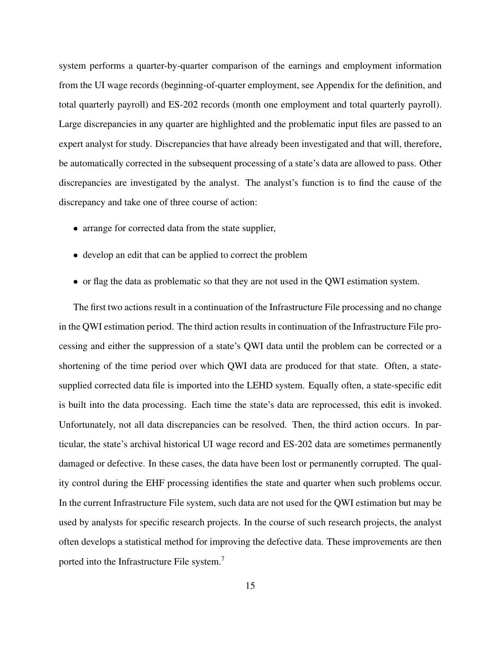system performs a quarter-by-quarter comparison of the earnings and employment information from the UI wage records (beginning-of-quarter employment, see Appendix for the definition, and total quarterly payroll) and ES-202 records (month one employment and total quarterly payroll). Large discrepancies in any quarter are highlighted and the problematic input files are passed to an expert analyst for study. Discrepancies that have already been investigated and that will, therefore, be automatically corrected in the subsequent processing of a state's data are allowed to pass. Other discrepancies are investigated by the analyst. The analyst's function is to find the cause of the discrepancy and take one of three course of action:

- arrange for corrected data from the state supplier,
- develop an edit that can be applied to correct the problem
- or flag the data as problematic so that they are not used in the QWI estimation system.

The first two actions result in a continuation of the Infrastructure File processing and no change in the QWI estimation period. The third action results in continuation of the Infrastructure File processing and either the suppression of a state's QWI data until the problem can be corrected or a shortening of the time period over which QWI data are produced for that state. Often, a statesupplied corrected data file is imported into the LEHD system. Equally often, a state-specific edit is built into the data processing. Each time the state's data are reprocessed, this edit is invoked. Unfortunately, not all data discrepancies can be resolved. Then, the third action occurs. In particular, the state's archival historical UI wage record and ES-202 data are sometimes permanently damaged or defective. In these cases, the data have been lost or permanently corrupted. The quality control during the EHF processing identifies the state and quarter when such problems occur. In the current Infrastructure File system, such data are not used for the QWI estimation but may be used by analysts for specific research projects. In the course of such research projects, the analyst often develops a statistical method for improving the defective data. These improvements are then ported into the Infrastructure File system.<sup>7</sup>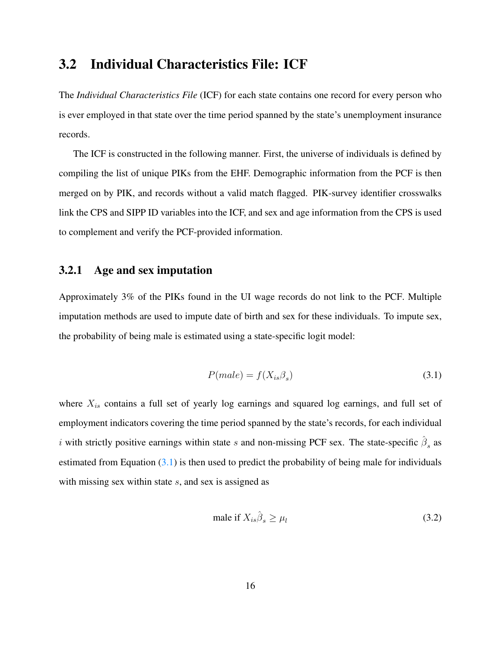## <span id="page-23-0"></span>3.2 Individual Characteristics File: ICF

The *Individual Characteristics File* (ICF) for each state contains one record for every person who is ever employed in that state over the time period spanned by the state's unemployment insurance records.

The ICF is constructed in the following manner. First, the universe of individuals is defined by compiling the list of unique PIKs from the EHF. Demographic information from the PCF is then merged on by PIK, and records without a valid match flagged. PIK-survey identifier crosswalks link the CPS and SIPP ID variables into the ICF, and sex and age information from the CPS is used to complement and verify the PCF-provided information.

### <span id="page-23-1"></span>3.2.1 Age and sex imputation

Approximately 3% of the PIKs found in the UI wage records do not link to the PCF. Multiple imputation methods are used to impute date of birth and sex for these individuals. To impute sex, the probability of being male is estimated using a state-specific logit model:

<span id="page-23-2"></span>
$$
P(male) = f(X_{is}\beta_s)
$$
\n(3.1)

where  $X_{is}$  contains a full set of yearly log earnings and squared log earnings, and full set of employment indicators covering the time period spanned by the state's records, for each individual i with strictly positive earnings within state s and non-missing PCF sex. The state-specific  $\hat{\beta}_s$  as estimated from Equation  $(3.1)$  is then used to predict the probability of being male for individuals with missing sex within state s, and sex is assigned as

$$
\text{male if } X_{is}\hat{\beta}_s \ge \mu_l \tag{3.2}
$$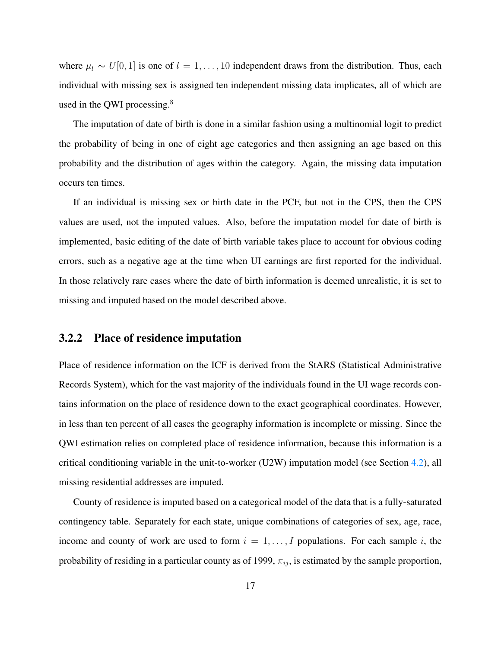where  $\mu_l \sim U[0, 1]$  is one of  $l = 1, \dots, 10$  independent draws from the distribution. Thus, each individual with missing sex is assigned ten independent missing data implicates, all of which are used in the QWI processing.<sup>8</sup>

The imputation of date of birth is done in a similar fashion using a multinomial logit to predict the probability of being in one of eight age categories and then assigning an age based on this probability and the distribution of ages within the category. Again, the missing data imputation occurs ten times.

If an individual is missing sex or birth date in the PCF, but not in the CPS, then the CPS values are used, not the imputed values. Also, before the imputation model for date of birth is implemented, basic editing of the date of birth variable takes place to account for obvious coding errors, such as a negative age at the time when UI earnings are first reported for the individual. In those relatively rare cases where the date of birth information is deemed unrealistic, it is set to missing and imputed based on the model described above.

### <span id="page-24-0"></span>3.2.2 Place of residence imputation

Place of residence information on the ICF is derived from the StARS (Statistical Administrative Records System), which for the vast majority of the individuals found in the UI wage records contains information on the place of residence down to the exact geographical coordinates. However, in less than ten percent of all cases the geography information is incomplete or missing. Since the QWI estimation relies on completed place of residence information, because this information is a critical conditioning variable in the unit-to-worker (U2W) imputation model (see Section [4.2\)](#page-40-0), all missing residential addresses are imputed.

County of residence is imputed based on a categorical model of the data that is a fully-saturated contingency table. Separately for each state, unique combinations of categories of sex, age, race, income and county of work are used to form  $i = 1, \ldots, I$  populations. For each sample i, the probability of residing in a particular county as of 1999,  $\pi_{ij}$ , is estimated by the sample proportion,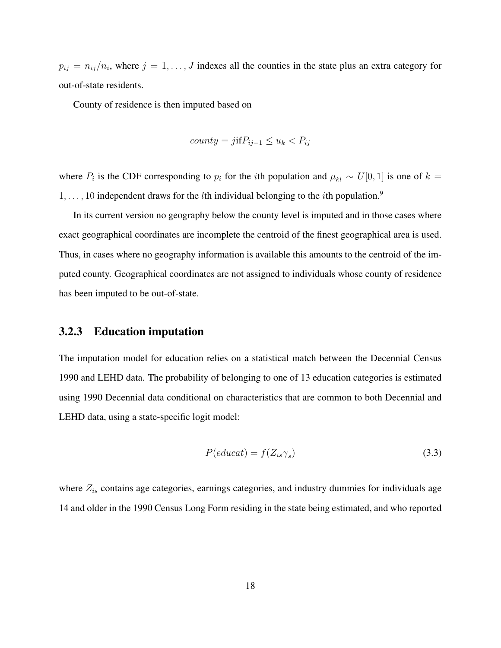$p_{ij} = n_{ij}/n_i$ , where  $j = 1, \ldots, J$  indexes all the counties in the state plus an extra category for out-of-state residents.

County of residence is then imputed based on

$$
county = j \text{if } P_{ij-1} \le u_k < P_{ij}
$$

where  $P_i$  is the CDF corresponding to  $p_i$  for the *i*th population and  $\mu_{kl} \sim U[0, 1]$  is one of  $k =$  $1, \ldots, 10$  independent draws for the *l*th individual belonging to the *i*th population.<sup>9</sup>

In its current version no geography below the county level is imputed and in those cases where exact geographical coordinates are incomplete the centroid of the finest geographical area is used. Thus, in cases where no geography information is available this amounts to the centroid of the imputed county. Geographical coordinates are not assigned to individuals whose county of residence has been imputed to be out-of-state.

#### <span id="page-25-0"></span>3.2.3 Education imputation

The imputation model for education relies on a statistical match between the Decennial Census 1990 and LEHD data. The probability of belonging to one of 13 education categories is estimated using 1990 Decennial data conditional on characteristics that are common to both Decennial and LEHD data, using a state-specific logit model:

$$
P(educat) = f(Z_{is}\gamma_s)
$$
\n(3.3)

where  $Z_{is}$  contains age categories, earnings categories, and industry dummies for individuals age 14 and older in the 1990 Census Long Form residing in the state being estimated, and who reported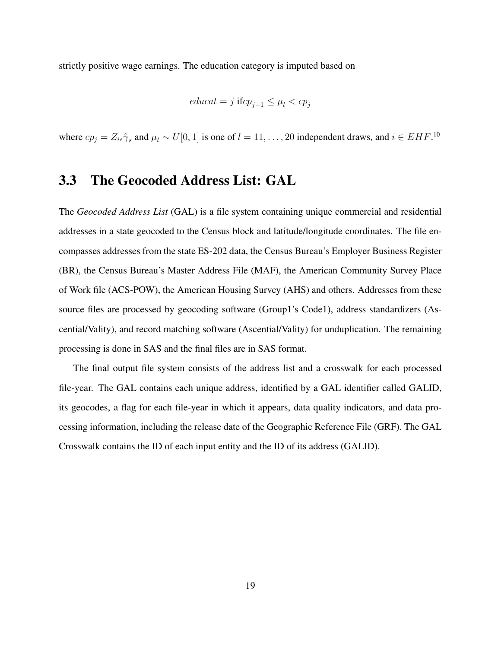strictly positive wage earnings. The education category is imputed based on

$$
educat = j \text{ if } cp_{j-1} \le \mu_l < cp_j
$$

where  $cp_j = Z_{is}\hat{\gamma}_s$  and  $\mu_l \sim U[0,1]$  is one of  $l = 11, \dots, 20$  independent draws, and  $i \in EHF$ .<sup>10</sup>

## <span id="page-26-0"></span>3.3 The Geocoded Address List: GAL

The *Geocoded Address List* (GAL) is a file system containing unique commercial and residential addresses in a state geocoded to the Census block and latitude/longitude coordinates. The file encompasses addresses from the state ES-202 data, the Census Bureau's Employer Business Register (BR), the Census Bureau's Master Address File (MAF), the American Community Survey Place of Work file (ACS-POW), the American Housing Survey (AHS) and others. Addresses from these source files are processed by geocoding software (Group1's Code1), address standardizers (Ascential/Vality), and record matching software (Ascential/Vality) for unduplication. The remaining processing is done in SAS and the final files are in SAS format.

The final output file system consists of the address list and a crosswalk for each processed file-year. The GAL contains each unique address, identified by a GAL identifier called GALID, its geocodes, a flag for each file-year in which it appears, data quality indicators, and data processing information, including the release date of the Geographic Reference File (GRF). The GAL Crosswalk contains the ID of each input entity and the ID of its address (GALID).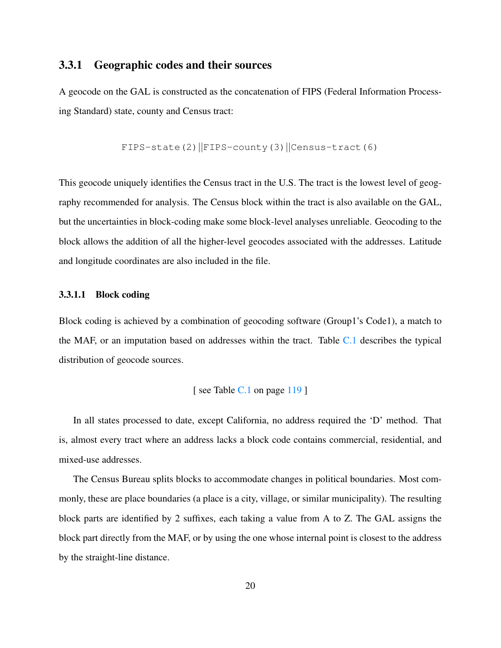### <span id="page-27-0"></span>3.3.1 Geographic codes and their sources

A geocode on the GAL is constructed as the concatenation of FIPS (Federal Information Processing Standard) state, county and Census tract:

FIPS-state(2)||FIPS-county(3)||Census-tract(6)

This geocode uniquely identifies the Census tract in the U.S. The tract is the lowest level of geography recommended for analysis. The Census block within the tract is also available on the GAL, but the uncertainties in block-coding make some block-level analyses unreliable. Geocoding to the block allows the addition of all the higher-level geocodes associated with the addresses. Latitude and longitude coordinates are also included in the file.

#### <span id="page-27-1"></span>3.3.1.1 Block coding

Block coding is achieved by a combination of geocoding software (Group1's Code1), a match to the MAF, or an imputation based on addresses within the tract. Table [C.1](#page-126-1) describes the typical distribution of geocode sources.

[ see Table [C.1](#page-126-1) on page [119](#page-126-1) ]

In all states processed to date, except California, no address required the 'D' method. That is, almost every tract where an address lacks a block code contains commercial, residential, and mixed-use addresses.

The Census Bureau splits blocks to accommodate changes in political boundaries. Most commonly, these are place boundaries (a place is a city, village, or similar municipality). The resulting block parts are identified by 2 suffixes, each taking a value from A to Z. The GAL assigns the block part directly from the MAF, or by using the one whose internal point is closest to the address by the straight-line distance.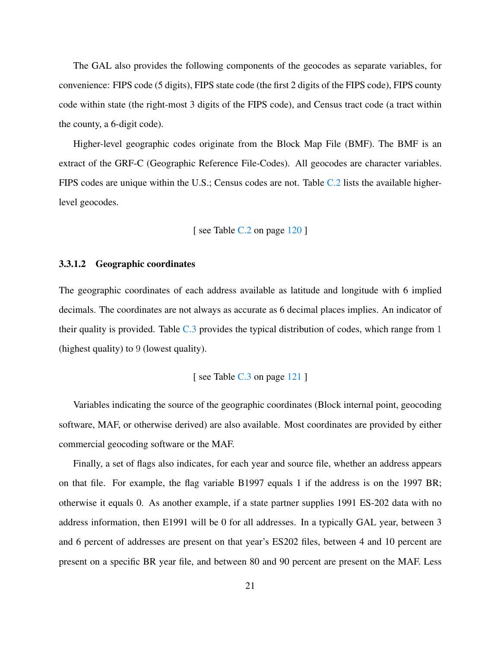The GAL also provides the following components of the geocodes as separate variables, for convenience: FIPS code (5 digits), FIPS state code (the first 2 digits of the FIPS code), FIPS county code within state (the right-most 3 digits of the FIPS code), and Census tract code (a tract within the county, a 6-digit code).

Higher-level geographic codes originate from the Block Map File (BMF). The BMF is an extract of the GRF-C (Geographic Reference File-Codes). All geocodes are character variables. FIPS codes are unique within the U.S.; Census codes are not. Table  $C.2$  lists the available higherlevel geocodes.

```
C.2120 ]
```
#### <span id="page-28-0"></span>3.3.1.2 Geographic coordinates

The geographic coordinates of each address available as latitude and longitude with 6 implied decimals. The coordinates are not always as accurate as 6 decimal places implies. An indicator of their quality is provided. Table  $C.3$  provides the typical distribution of codes, which range from 1 (highest quality) to 9 (lowest quality).

[ see Table [C.3](#page-128-0) on page [121](#page-128-0) ]

Variables indicating the source of the geographic coordinates (Block internal point, geocoding software, MAF, or otherwise derived) are also available. Most coordinates are provided by either commercial geocoding software or the MAF.

Finally, a set of flags also indicates, for each year and source file, whether an address appears on that file. For example, the flag variable B1997 equals 1 if the address is on the 1997 BR; otherwise it equals 0. As another example, if a state partner supplies 1991 ES-202 data with no address information, then E1991 will be 0 for all addresses. In a typically GAL year, between 3 and 6 percent of addresses are present on that year's ES202 files, between 4 and 10 percent are present on a specific BR year file, and between 80 and 90 percent are present on the MAF. Less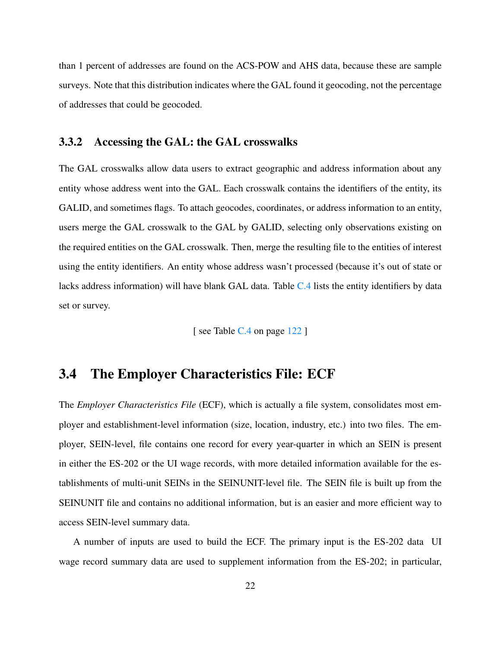than 1 percent of addresses are found on the ACS-POW and AHS data, because these are sample surveys. Note that this distribution indicates where the GAL found it geocoding, not the percentage of addresses that could be geocoded.

#### <span id="page-29-0"></span>3.3.2 Accessing the GAL: the GAL crosswalks

The GAL crosswalks allow data users to extract geographic and address information about any entity whose address went into the GAL. Each crosswalk contains the identifiers of the entity, its GALID, and sometimes flags. To attach geocodes, coordinates, or address information to an entity, users merge the GAL crosswalk to the GAL by GALID, selecting only observations existing on the required entities on the GAL crosswalk. Then, merge the resulting file to the entities of interest using the entity identifiers. An entity whose address wasn't processed (because it's out of state or lacks address information) will have blank GAL data. Table [C.4](#page-129-0) lists the entity identifiers by data set or survey.

[ see Table [C.4](#page-129-0) on page [122](#page-129-0) ]

## <span id="page-29-1"></span>3.4 The Employer Characteristics File: ECF

The *Employer Characteristics File* (ECF), which is actually a file system, consolidates most employer and establishment-level information (size, location, industry, etc.) into two files. The employer, SEIN-level, file contains one record for every year-quarter in which an SEIN is present in either the ES-202 or the UI wage records, with more detailed information available for the establishments of multi-unit SEINs in the SEINUNIT-level file. The SEIN file is built up from the SEINUNIT file and contains no additional information, but is an easier and more efficient way to access SEIN-level summary data.

A number of inputs are used to build the ECF. The primary input is the ES-202 data UI wage record summary data are used to supplement information from the ES-202; in particular,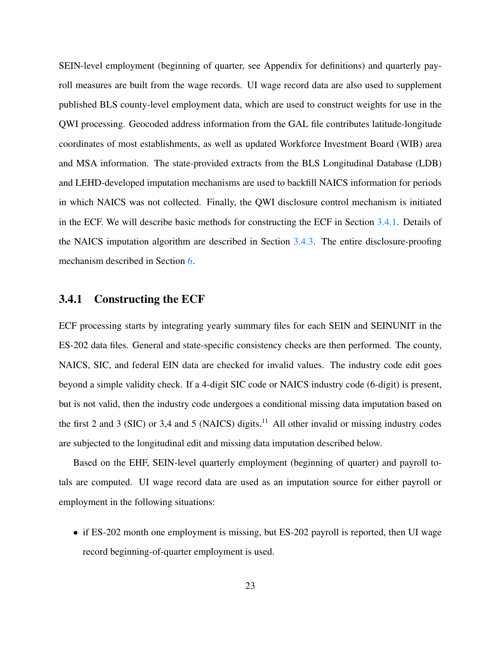SEIN-level employment (beginning of quarter, see Appendix for definitions) and quarterly payroll measures are built from the wage records. UI wage record data are also used to supplement published BLS county-level employment data, which are used to construct weights for use in the QWI processing. Geocoded address information from the GAL file contributes latitude-longitude coordinates of most establishments, as well as updated Workforce Investment Board (WIB) area and MSA information. The state-provided extracts from the BLS Longitudinal Database (LDB) and LEHD-developed imputation mechanisms are used to backfill NAICS information for periods in which NAICS was not collected. Finally, the QWI disclosure control mechanism is initiated in the ECF. We will describe basic methods for constructing the ECF in Section [3.4.1.](#page-30-0) Details of the NAICS imputation algorithm are described in Section [3.4.3.](#page-35-0) The entire disclosure-proofing mechanism described in Section [6.](#page-52-0)

### <span id="page-30-0"></span>3.4.1 Constructing the ECF

ECF processing starts by integrating yearly summary files for each SEIN and SEINUNIT in the ES-202 data files. General and state-specific consistency checks are then performed. The county, NAICS, SIC, and federal EIN data are checked for invalid values. The industry code edit goes beyond a simple validity check. If a 4-digit SIC code or NAICS industry code (6-digit) is present, but is not valid, then the industry code undergoes a conditional missing data imputation based on the first 2 and 3 (SIC) or 3,4 and 5 (NAICS) digits.<sup>11</sup> All other invalid or missing industry codes are subjected to the longitudinal edit and missing data imputation described below.

Based on the EHF, SEIN-level quarterly employment (beginning of quarter) and payroll totals are computed. UI wage record data are used as an imputation source for either payroll or employment in the following situations:

• if ES-202 month one employment is missing, but ES-202 payroll is reported, then UI wage record beginning-of-quarter employment is used.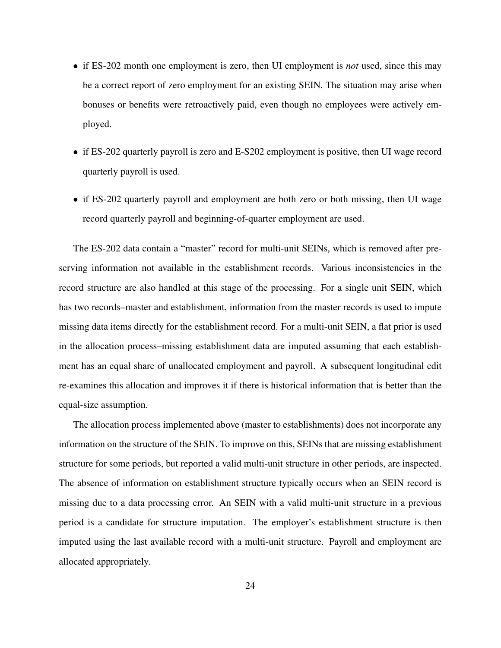- if ES-202 month one employment is zero, then UI employment is *not* used, since this may be a correct report of zero employment for an existing SEIN. The situation may arise when bonuses or benefits were retroactively paid, even though no employees were actively employed.
- if ES-202 quarterly payroll is zero and E-S202 employment is positive, then UI wage record quarterly payroll is used.
- if ES-202 quarterly payroll and employment are both zero or both missing, then UI wage record quarterly payroll and beginning-of-quarter employment are used.

The ES-202 data contain a "master" record for multi-unit SEINs, which is removed after preserving information not available in the establishment records. Various inconsistencies in the record structure are also handled at this stage of the processing. For a single unit SEIN, which has two records–master and establishment, information from the master records is used to impute missing data items directly for the establishment record. For a multi-unit SEIN, a flat prior is used in the allocation process–missing establishment data are imputed assuming that each establishment has an equal share of unallocated employment and payroll. A subsequent longitudinal edit re-examines this allocation and improves it if there is historical information that is better than the equal-size assumption.

The allocation process implemented above (master to establishments) does not incorporate any information on the structure of the SEIN. To improve on this, SEINs that are missing establishment structure for some periods, but reported a valid multi-unit structure in other periods, are inspected. The absence of information on establishment structure typically occurs when an SEIN record is missing due to a data processing error. An SEIN with a valid multi-unit structure in a previous period is a candidate for structure imputation. The employer's establishment structure is then imputed using the last available record with a multi-unit structure. Payroll and employment are allocated appropriately.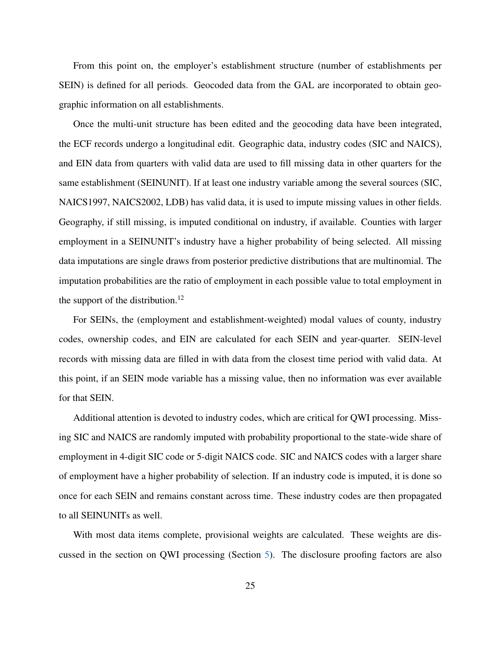From this point on, the employer's establishment structure (number of establishments per SEIN) is defined for all periods. Geocoded data from the GAL are incorporated to obtain geographic information on all establishments.

Once the multi-unit structure has been edited and the geocoding data have been integrated, the ECF records undergo a longitudinal edit. Geographic data, industry codes (SIC and NAICS), and EIN data from quarters with valid data are used to fill missing data in other quarters for the same establishment (SEINUNIT). If at least one industry variable among the several sources (SIC, NAICS1997, NAICS2002, LDB) has valid data, it is used to impute missing values in other fields. Geography, if still missing, is imputed conditional on industry, if available. Counties with larger employment in a SEINUNIT's industry have a higher probability of being selected. All missing data imputations are single draws from posterior predictive distributions that are multinomial. The imputation probabilities are the ratio of employment in each possible value to total employment in the support of the distribution.<sup>12</sup>

For SEINs, the (employment and establishment-weighted) modal values of county, industry codes, ownership codes, and EIN are calculated for each SEIN and year-quarter. SEIN-level records with missing data are filled in with data from the closest time period with valid data. At this point, if an SEIN mode variable has a missing value, then no information was ever available for that SEIN.

Additional attention is devoted to industry codes, which are critical for QWI processing. Missing SIC and NAICS are randomly imputed with probability proportional to the state-wide share of employment in 4-digit SIC code or 5-digit NAICS code. SIC and NAICS codes with a larger share of employment have a higher probability of selection. If an industry code is imputed, it is done so once for each SEIN and remains constant across time. These industry codes are then propagated to all SEINUNITs as well.

With most data items complete, provisional weights are calculated. These weights are discussed in the section on QWI processing (Section [5\)](#page-48-0). The disclosure proofing factors are also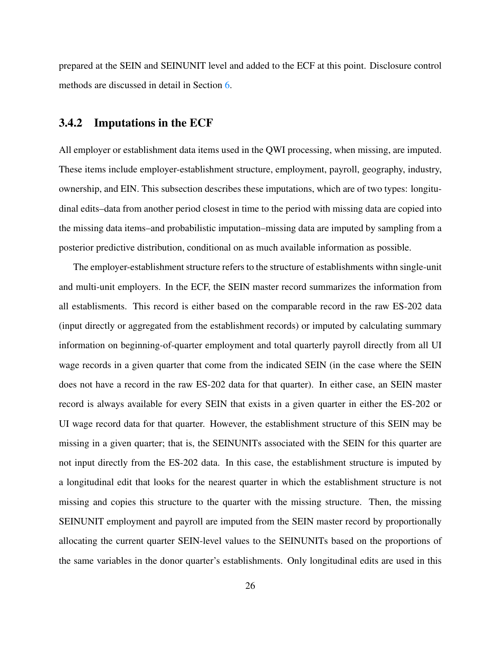prepared at the SEIN and SEINUNIT level and added to the ECF at this point. Disclosure control methods are discussed in detail in Section [6.](#page-52-0)

### <span id="page-33-0"></span>3.4.2 Imputations in the ECF

All employer or establishment data items used in the QWI processing, when missing, are imputed. These items include employer-establishment structure, employment, payroll, geography, industry, ownership, and EIN. This subsection describes these imputations, which are of two types: longitudinal edits–data from another period closest in time to the period with missing data are copied into the missing data items–and probabilistic imputation–missing data are imputed by sampling from a posterior predictive distribution, conditional on as much available information as possible.

The employer-establishment structure refers to the structure of establishments withn single-unit and multi-unit employers. In the ECF, the SEIN master record summarizes the information from all establisments. This record is either based on the comparable record in the raw ES-202 data (input directly or aggregated from the establishment records) or imputed by calculating summary information on beginning-of-quarter employment and total quarterly payroll directly from all UI wage records in a given quarter that come from the indicated SEIN (in the case where the SEIN does not have a record in the raw ES-202 data for that quarter). In either case, an SEIN master record is always available for every SEIN that exists in a given quarter in either the ES-202 or UI wage record data for that quarter. However, the establishment structure of this SEIN may be missing in a given quarter; that is, the SEINUNITs associated with the SEIN for this quarter are not input directly from the ES-202 data. In this case, the establishment structure is imputed by a longitudinal edit that looks for the nearest quarter in which the establishment structure is not missing and copies this structure to the quarter with the missing structure. Then, the missing SEINUNIT employment and payroll are imputed from the SEIN master record by proportionally allocating the current quarter SEIN-level values to the SEINUNITs based on the proportions of the same variables in the donor quarter's establishments. Only longitudinal edits are used in this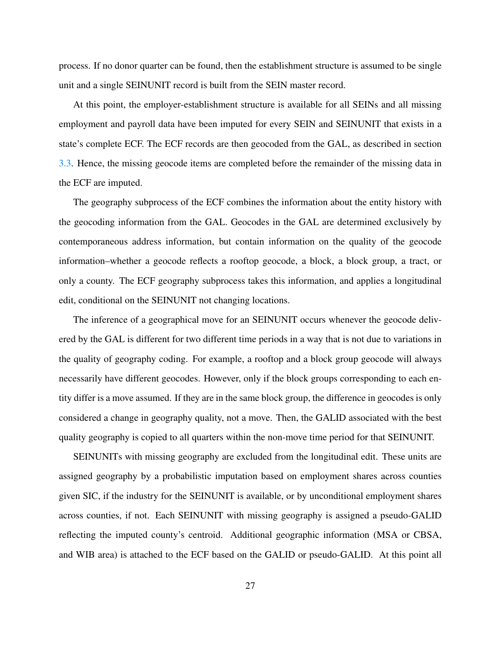process. If no donor quarter can be found, then the establishment structure is assumed to be single unit and a single SEINUNIT record is built from the SEIN master record.

At this point, the employer-establishment structure is available for all SEINs and all missing employment and payroll data have been imputed for every SEIN and SEINUNIT that exists in a state's complete ECF. The ECF records are then geocoded from the GAL, as described in section [3.3.](#page-26-0) Hence, the missing geocode items are completed before the remainder of the missing data in the ECF are imputed.

The geography subprocess of the ECF combines the information about the entity history with the geocoding information from the GAL. Geocodes in the GAL are determined exclusively by contemporaneous address information, but contain information on the quality of the geocode information–whether a geocode reflects a rooftop geocode, a block, a block group, a tract, or only a county. The ECF geography subprocess takes this information, and applies a longitudinal edit, conditional on the SEINUNIT not changing locations.

The inference of a geographical move for an SEINUNIT occurs whenever the geocode delivered by the GAL is different for two different time periods in a way that is not due to variations in the quality of geography coding. For example, a rooftop and a block group geocode will always necessarily have different geocodes. However, only if the block groups corresponding to each entity differ is a move assumed. If they are in the same block group, the difference in geocodes is only considered a change in geography quality, not a move. Then, the GALID associated with the best quality geography is copied to all quarters within the non-move time period for that SEINUNIT.

SEINUNITs with missing geography are excluded from the longitudinal edit. These units are assigned geography by a probabilistic imputation based on employment shares across counties given SIC, if the industry for the SEINUNIT is available, or by unconditional employment shares across counties, if not. Each SEINUNIT with missing geography is assigned a pseudo-GALID reflecting the imputed county's centroid. Additional geographic information (MSA or CBSA, and WIB area) is attached to the ECF based on the GALID or pseudo-GALID. At this point all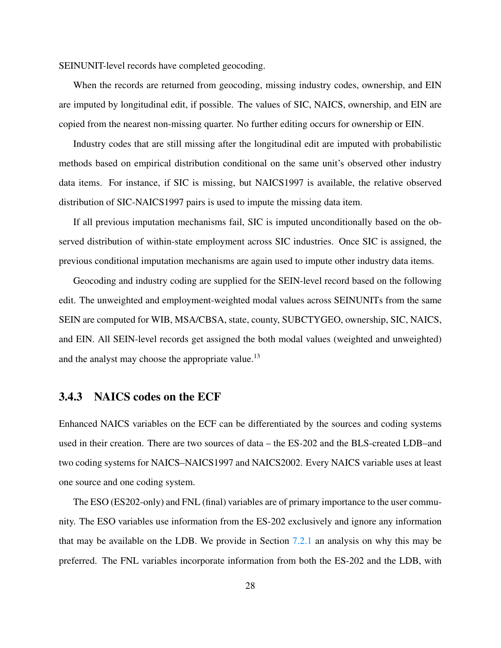SEINUNIT-level records have completed geocoding.

When the records are returned from geocoding, missing industry codes, ownership, and EIN are imputed by longitudinal edit, if possible. The values of SIC, NAICS, ownership, and EIN are copied from the nearest non-missing quarter. No further editing occurs for ownership or EIN.

Industry codes that are still missing after the longitudinal edit are imputed with probabilistic methods based on empirical distribution conditional on the same unit's observed other industry data items. For instance, if SIC is missing, but NAICS1997 is available, the relative observed distribution of SIC-NAICS1997 pairs is used to impute the missing data item.

If all previous imputation mechanisms fail, SIC is imputed unconditionally based on the observed distribution of within-state employment across SIC industries. Once SIC is assigned, the previous conditional imputation mechanisms are again used to impute other industry data items.

Geocoding and industry coding are supplied for the SEIN-level record based on the following edit. The unweighted and employment-weighted modal values across SEINUNITs from the same SEIN are computed for WIB, MSA/CBSA, state, county, SUBCTYGEO, ownership, SIC, NAICS, and EIN. All SEIN-level records get assigned the both modal values (weighted and unweighted) and the analyst may choose the appropriate value.<sup>13</sup>

### <span id="page-35-0"></span>3.4.3 NAICS codes on the ECF

Enhanced NAICS variables on the ECF can be differentiated by the sources and coding systems used in their creation. There are two sources of data – the ES-202 and the BLS-created LDB–and two coding systems for NAICS–NAICS1997 and NAICS2002. Every NAICS variable uses at least one source and one coding system.

The ESO (ES202-only) and FNL (final) variables are of primary importance to the user community. The ESO variables use information from the ES-202 exclusively and ignore any information that may be available on the LDB. We provide in Section [7.2.1](#page-56-0) an analysis on why this may be preferred. The FNL variables incorporate information from both the ES-202 and the LDB, with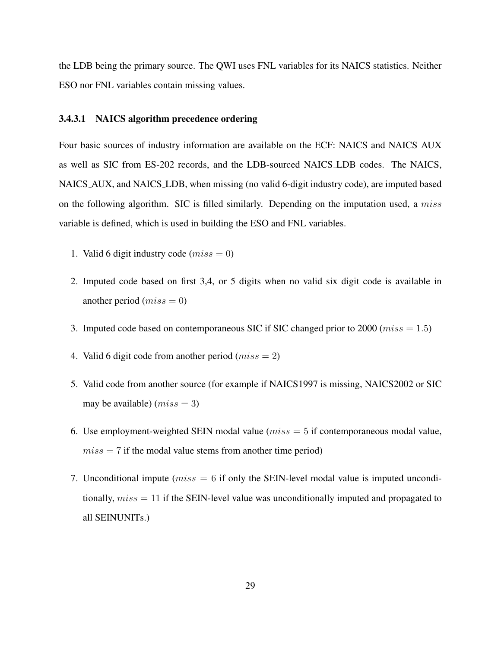the LDB being the primary source. The QWI uses FNL variables for its NAICS statistics. Neither ESO nor FNL variables contain missing values.

#### 3.4.3.1 NAICS algorithm precedence ordering

Four basic sources of industry information are available on the ECF: NAICS and NAICS AUX as well as SIC from ES-202 records, and the LDB-sourced NAICS LDB codes. The NAICS, NAICS AUX, and NAICS LDB, when missing (no valid 6-digit industry code), are imputed based on the following algorithm. SIC is filled similarly. Depending on the imputation used, a miss variable is defined, which is used in building the ESO and FNL variables.

- 1. Valid 6 digit industry code  $(miss = 0)$
- 2. Imputed code based on first 3,4, or 5 digits when no valid six digit code is available in another period  $(miss = 0)$
- 3. Imputed code based on contemporaneous SIC if SIC changed prior to 2000 ( $miss = 1.5$ )
- 4. Valid 6 digit code from another period  $(miss = 2)$
- 5. Valid code from another source (for example if NAICS1997 is missing, NAICS2002 or SIC may be available)  $(miss = 3)$
- 6. Use employment-weighted SEIN modal value ( $miss = 5$  if contemporaneous modal value,  $miss = 7$  if the modal value stems from another time period)
- 7. Unconditional impute ( $miss = 6$  if only the SEIN-level modal value is imputed unconditionally,  $miss = 11$  if the SEIN-level value was unconditionally imputed and propagated to all SEINUNITs.)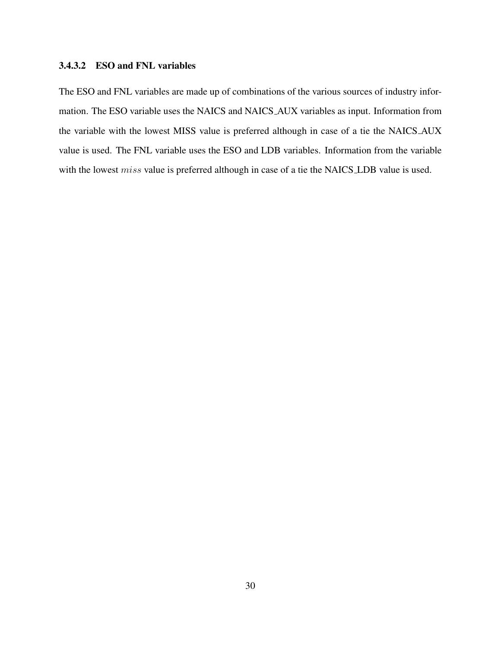#### 3.4.3.2 ESO and FNL variables

The ESO and FNL variables are made up of combinations of the various sources of industry information. The ESO variable uses the NAICS and NAICS AUX variables as input. Information from the variable with the lowest MISS value is preferred although in case of a tie the NAICS AUX value is used. The FNL variable uses the ESO and LDB variables. Information from the variable with the lowest *miss* value is preferred although in case of a tie the NAICS LDB value is used.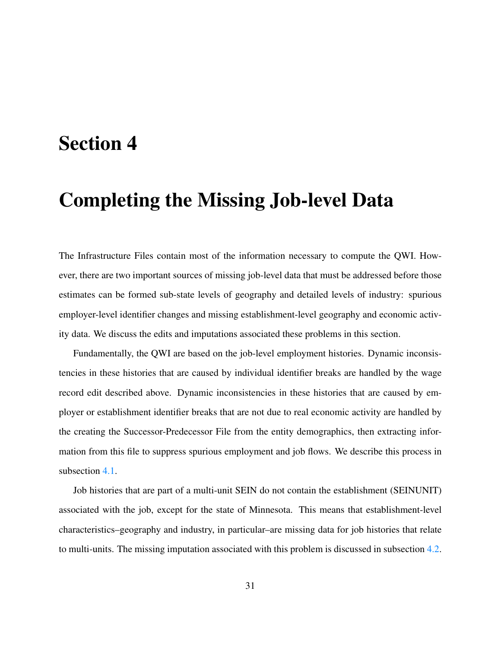## Section 4

## Completing the Missing Job-level Data

The Infrastructure Files contain most of the information necessary to compute the QWI. However, there are two important sources of missing job-level data that must be addressed before those estimates can be formed sub-state levels of geography and detailed levels of industry: spurious employer-level identifier changes and missing establishment-level geography and economic activity data. We discuss the edits and imputations associated these problems in this section.

Fundamentally, the QWI are based on the job-level employment histories. Dynamic inconsistencies in these histories that are caused by individual identifier breaks are handled by the wage record edit described above. Dynamic inconsistencies in these histories that are caused by employer or establishment identifier breaks that are not due to real economic activity are handled by the creating the Successor-Predecessor File from the entity demographics, then extracting information from this file to suppress spurious employment and job flows. We describe this process in subsection [4.1.](#page-39-0)

Job histories that are part of a multi-unit SEIN do not contain the establishment (SEINUNIT) associated with the job, except for the state of Minnesota. This means that establishment-level characteristics–geography and industry, in particular–are missing data for job histories that relate to multi-units. The missing imputation associated with this problem is discussed in subsection [4.2.](#page-40-0)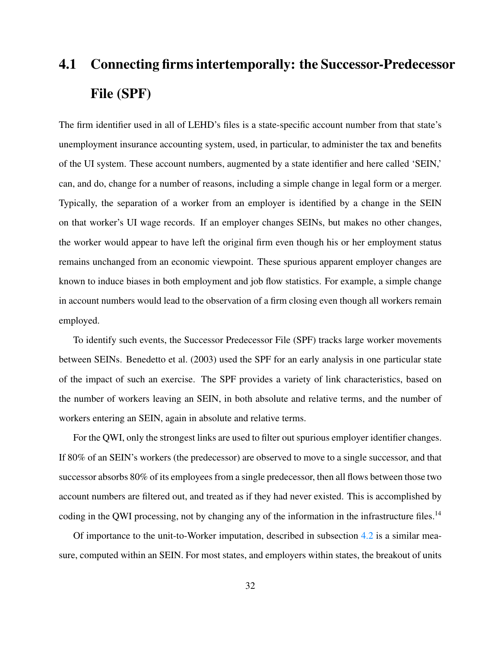# <span id="page-39-0"></span>4.1 Connecting firms intertemporally: the Successor-Predecessor File (SPF)

The firm identifier used in all of LEHD's files is a state-specific account number from that state's unemployment insurance accounting system, used, in particular, to administer the tax and benefits of the UI system. These account numbers, augmented by a state identifier and here called 'SEIN,' can, and do, change for a number of reasons, including a simple change in legal form or a merger. Typically, the separation of a worker from an employer is identified by a change in the SEIN on that worker's UI wage records. If an employer changes SEINs, but makes no other changes, the worker would appear to have left the original firm even though his or her employment status remains unchanged from an economic viewpoint. These spurious apparent employer changes are known to induce biases in both employment and job flow statistics. For example, a simple change in account numbers would lead to the observation of a firm closing even though all workers remain employed.

To identify such events, the Successor Predecessor File (SPF) tracks large worker movements between SEINs. [Benedetto et al.](#page-71-0) [\(2003\)](#page-71-0) used the SPF for an early analysis in one particular state of the impact of such an exercise. The SPF provides a variety of link characteristics, based on the number of workers leaving an SEIN, in both absolute and relative terms, and the number of workers entering an SEIN, again in absolute and relative terms.

For the QWI, only the strongest links are used to filter out spurious employer identifier changes. If 80% of an SEIN's workers (the predecessor) are observed to move to a single successor, and that successor absorbs 80% of its employees from a single predecessor, then all flows between those two account numbers are filtered out, and treated as if they had never existed. This is accomplished by coding in the QWI processing, not by changing any of the information in the infrastructure files.<sup>14</sup>

Of importance to the unit-to-Worker imputation, described in subsection [4.2](#page-40-0) is a similar measure, computed within an SEIN. For most states, and employers within states, the breakout of units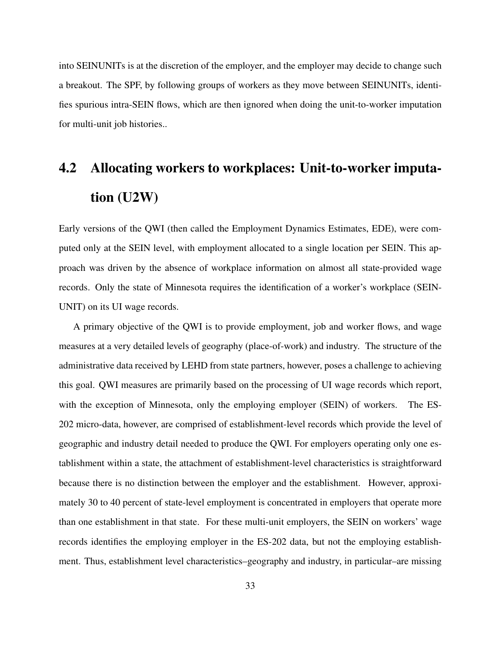into SEINUNITs is at the discretion of the employer, and the employer may decide to change such a breakout. The SPF, by following groups of workers as they move between SEINUNITs, identifies spurious intra-SEIN flows, which are then ignored when doing the unit-to-worker imputation for multi-unit job histories..

# <span id="page-40-0"></span>4.2 Allocating workers to workplaces: Unit-to-worker imputation (U2W)

Early versions of the QWI (then called the Employment Dynamics Estimates, EDE), were computed only at the SEIN level, with employment allocated to a single location per SEIN. This approach was driven by the absence of workplace information on almost all state-provided wage records. Only the state of Minnesota requires the identification of a worker's workplace (SEIN-UNIT) on its UI wage records.

A primary objective of the QWI is to provide employment, job and worker flows, and wage measures at a very detailed levels of geography (place-of-work) and industry. The structure of the administrative data received by LEHD from state partners, however, poses a challenge to achieving this goal. QWI measures are primarily based on the processing of UI wage records which report, with the exception of Minnesota, only the employing employer (SEIN) of workers. The ES-202 micro-data, however, are comprised of establishment-level records which provide the level of geographic and industry detail needed to produce the QWI. For employers operating only one establishment within a state, the attachment of establishment-level characteristics is straightforward because there is no distinction between the employer and the establishment. However, approximately 30 to 40 percent of state-level employment is concentrated in employers that operate more than one establishment in that state. For these multi-unit employers, the SEIN on workers' wage records identifies the employing employer in the ES-202 data, but not the employing establishment. Thus, establishment level characteristics–geography and industry, in particular–are missing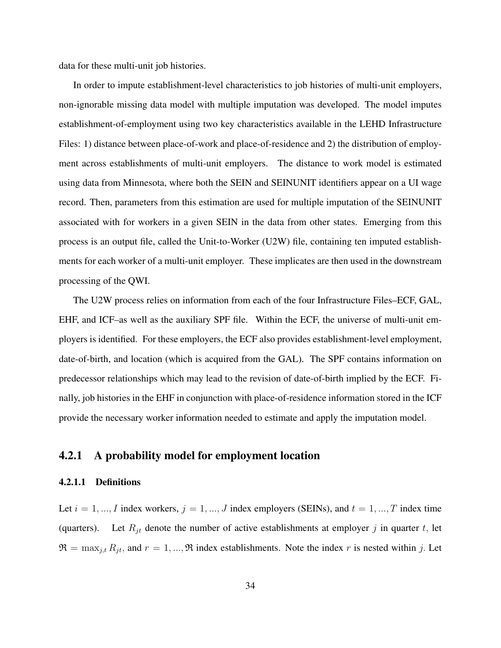data for these multi-unit job histories.

In order to impute establishment-level characteristics to job histories of multi-unit employers, non-ignorable missing data model with multiple imputation was developed. The model imputes establishment-of-employment using two key characteristics available in the LEHD Infrastructure Files: 1) distance between place-of-work and place-of-residence and 2) the distribution of employment across establishments of multi-unit employers. The distance to work model is estimated using data from Minnesota, where both the SEIN and SEINUNIT identifiers appear on a UI wage record. Then, parameters from this estimation are used for multiple imputation of the SEINUNIT associated with for workers in a given SEIN in the data from other states. Emerging from this process is an output file, called the Unit-to-Worker (U2W) file, containing ten imputed establishments for each worker of a multi-unit employer. These implicates are then used in the downstream processing of the QWI.

The U2W process relies on information from each of the four Infrastructure Files–ECF, GAL, EHF, and ICF–as well as the auxiliary SPF file. Within the ECF, the universe of multi-unit employers is identified. For these employers, the ECF also provides establishment-level employment, date-of-birth, and location (which is acquired from the GAL). The SPF contains information on predecessor relationships which may lead to the revision of date-of-birth implied by the ECF. Finally, job histories in the EHF in conjunction with place-of-residence information stored in the ICF provide the necessary worker information needed to estimate and apply the imputation model.

#### 4.2.1 A probability model for employment location

#### 4.2.1.1 Definitions

Let  $i = 1, ..., I$  index workers,  $j = 1, ..., J$  index employers (SEINs), and  $t = 1, ..., T$  index time (quarters). Let  $R_{jt}$  denote the number of active establishments at employer j in quarter t, let  $\mathfrak{R} = \max_{j,t} R_{jt}$ , and  $r = 1, ..., \mathfrak{R}$  index establishments. Note the index r is nested within j. Let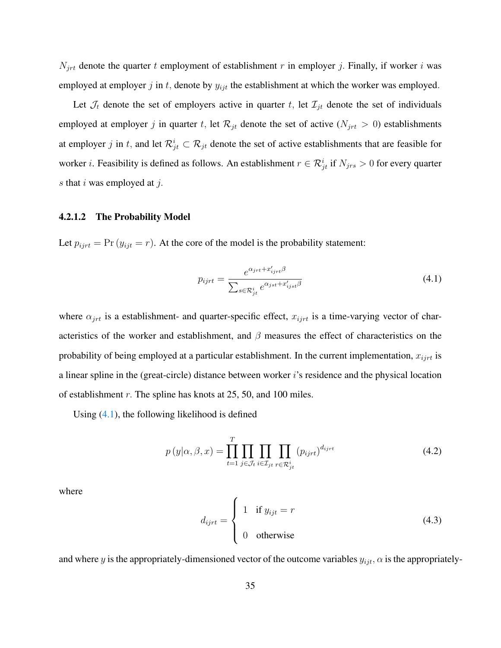$N_{jrt}$  denote the quarter t employment of establishment r in employer j. Finally, if worker i was employed at employer j in t, denote by  $y_{ijt}$  the establishment at which the worker was employed.

Let  $\mathcal{J}_t$  denote the set of employers active in quarter t, let  $\mathcal{I}_{jt}$  denote the set of individuals employed at employer j in quarter t, let  $\mathcal{R}_{jt}$  denote the set of active  $(N_{jrt} > 0)$  establishments at employer j in t, and let  $\mathcal{R}^i_{jt} \subset \mathcal{R}_{jt}$  denote the set of active establishments that are feasible for worker *i*. Feasibility is defined as follows. An establishment  $r \in \mathcal{R}^i_{jt}$  if  $N_{jrs} > 0$  for every quarter s that  $i$  was employed at  $j$ .

#### 4.2.1.2 The Probability Model

Let  $p_{ijrt} = Pr(y_{ijt} = r)$ . At the core of the model is the probability statement:

<span id="page-42-0"></span>
$$
p_{ijrt} = \frac{e^{\alpha_{jrt} + x'_{ijrt}\beta}}{\sum_{s \in \mathcal{R}_{jt}^i} e^{\alpha_{jst} + x'_{ijst}\beta}}
$$
(4.1)

where  $\alpha_{jrt}$  is a establishment- and quarter-specific effect,  $x_{ijrt}$  is a time-varying vector of characteristics of the worker and establishment, and  $\beta$  measures the effect of characteristics on the probability of being employed at a particular establishment. In the current implementation,  $x_{ijrt}$  is a linear spline in the (great-circle) distance between worker i's residence and the physical location of establishment r. The spline has knots at 25, 50, and 100 miles.

Using  $(4.1)$ , the following likelihood is defined

<span id="page-42-1"></span>
$$
p(y|\alpha, \beta, x) = \prod_{t=1}^{T} \prod_{j \in \mathcal{J}_t} \prod_{i \in \mathcal{I}_{jt}} \prod_{r \in \mathcal{R}_{jt}^i} (p_{ijrt})^{d_{ijrt}}
$$
(4.2)

where

$$
d_{ijrt} = \begin{cases} 1 & \text{if } y_{ijt} = r \\ 0 & \text{otherwise} \end{cases}
$$
 (4.3)

and where y is the appropriately-dimensioned vector of the outcome variables  $y_{ijt}$ ,  $\alpha$  is the appropriately-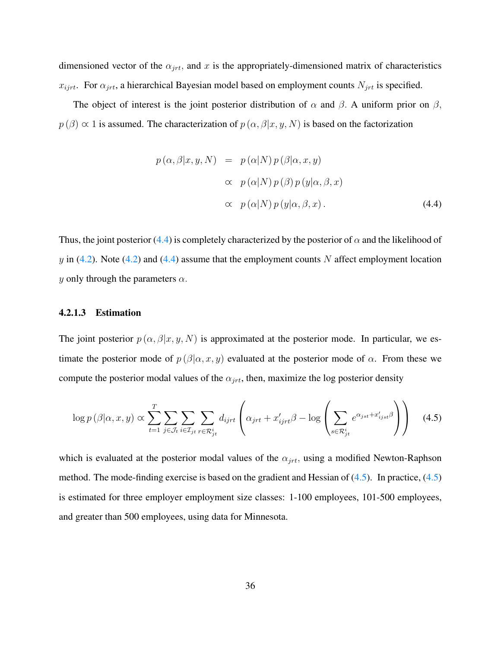dimensioned vector of the  $\alpha_{jrt}$ , and x is the appropriately-dimensioned matrix of characteristics  $x_{ijrt}$ . For  $\alpha_{jrt}$ , a hierarchical Bayesian model based on employment counts  $N_{jrt}$  is specified.

The object of interest is the joint posterior distribution of  $\alpha$  and  $\beta$ . A uniform prior on  $\beta$ ,  $p(\beta) \propto 1$  is assumed. The characterization of  $p(\alpha, \beta | x, y, N)$  is based on the factorization

<span id="page-43-0"></span>
$$
p(\alpha, \beta | x, y, N) = p(\alpha | N) p(\beta | \alpha, x, y)
$$
  

$$
\propto p(\alpha | N) p(\beta) p(y | \alpha, \beta, x)
$$
  

$$
\propto p(\alpha | N) p(y | \alpha, \beta, x).
$$
 (4.4)

Thus, the joint posterior [\(4.4\)](#page-43-0) is completely characterized by the posterior of  $\alpha$  and the likelihood of y in  $(4.2)$ . Note  $(4.2)$  and  $(4.4)$  assume that the employment counts N affect employment location y only through the parameters  $\alpha$ .

#### 4.2.1.3 Estimation

The joint posterior  $p(\alpha, \beta | x, y, N)$  is approximated at the posterior mode. In particular, we estimate the posterior mode of  $p(\beta|\alpha, x, y)$  evaluated at the posterior mode of  $\alpha$ . From these we compute the posterior modal values of the  $\alpha_{jrt}$ , then, maximize the log posterior density

<span id="page-43-1"></span>
$$
\log p(\beta|\alpha, x, y) \propto \sum_{t=1}^{T} \sum_{j \in \mathcal{J}_t} \sum_{i \in \mathcal{I}_{jt}} \sum_{r \in \mathcal{R}_{jt}^i} d_{ijrt} \left( \alpha_{jrt} + x_{ijrt}'\beta - \log \left( \sum_{s \in \mathcal{R}_{jt}^i} e^{\alpha_{jst} + x_{ijst}'\beta} \right) \right)
$$
(4.5)

which is evaluated at the posterior modal values of the  $\alpha_{jrt}$ , using a modified Newton-Raphson method. The mode-finding exercise is based on the gradient and Hessian of  $(4.5)$ . In practice,  $(4.5)$ is estimated for three employer employment size classes:  $1-100$  employees,  $101-500$  employees, and greater than 500 employees, using data for Minnesota.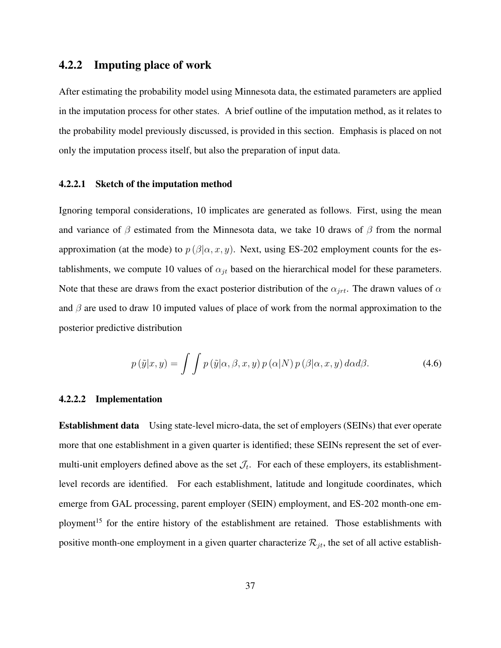### 4.2.2 Imputing place of work

After estimating the probability model using Minnesota data, the estimated parameters are applied in the imputation process for other states. A brief outline of the imputation method, as it relates to the probability model previously discussed, is provided in this section. Emphasis is placed on not only the imputation process itself, but also the preparation of input data.

#### 4.2.2.1 Sketch of the imputation method

Ignoring temporal considerations, 10 implicates are generated as follows. First, using the mean and variance of  $\beta$  estimated from the Minnesota data, we take 10 draws of  $\beta$  from the normal approximation (at the mode) to  $p(\beta|\alpha, x, y)$ . Next, using ES-202 employment counts for the establishments, we compute 10 values of  $\alpha_{jt}$  based on the hierarchical model for these parameters. Note that these are draws from the exact posterior distribution of the  $\alpha_{irt}$ . The drawn values of  $\alpha$ and  $\beta$  are used to draw 10 imputed values of place of work from the normal approximation to the posterior predictive distribution

$$
p(\tilde{y}|x,y) = \int \int p(\tilde{y}|\alpha,\beta,x,y) p(\alpha|N) p(\beta|\alpha,x,y) d\alpha d\beta.
$$
 (4.6)

#### 4.2.2.2 Implementation

Establishment data Using state-level micro-data, the set of employers (SEINs) that ever operate more that one establishment in a given quarter is identified; these SEINs represent the set of evermulti-unit employers defined above as the set  $\mathcal{J}_t$ . For each of these employers, its establishmentlevel records are identified. For each establishment, latitude and longitude coordinates, which emerge from GAL processing, parent employer (SEIN) employment, and ES-202 month-one employment<sup>15</sup> for the entire history of the establishment are retained. Those establishments with positive month-one employment in a given quarter characterize  $\mathcal{R}_{jt}$ , the set of all active establish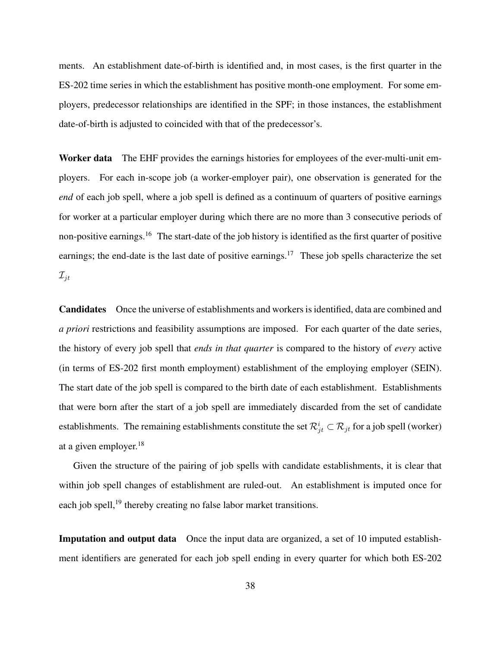ments. An establishment date-of-birth is identified and, in most cases, is the first quarter in the ES-202 time series in which the establishment has positive month-one employment. For some employers, predecessor relationships are identified in the SPF; in those instances, the establishment date-of-birth is adjusted to coincided with that of the predecessor's.

Worker data The EHF provides the earnings histories for employees of the ever-multi-unit employers. For each in-scope job (a worker-employer pair), one observation is generated for the *end* of each job spell, where a job spell is defined as a continuum of quarters of positive earnings for worker at a particular employer during which there are no more than 3 consecutive periods of non-positive earnings.<sup>16</sup> The start-date of the job history is identified as the first quarter of positive earnings; the end-date is the last date of positive earnings.<sup>17</sup> These job spells characterize the set  ${\cal I}_{it}$ 

Candidates Once the universe of establishments and workers is identified, data are combined and *a priori* restrictions and feasibility assumptions are imposed. For each quarter of the date series, the history of every job spell that *ends in that quarter* is compared to the history of *every* active (in terms of ES-202 first month employment) establishment of the employing employer (SEIN). The start date of the job spell is compared to the birth date of each establishment. Establishments that were born after the start of a job spell are immediately discarded from the set of candidate establishments. The remaining establishments constitute the set  $\mathcal{R}^i_{jt} \subset \mathcal{R}_{jt}$  for a job spell (worker) at a given employer.<sup>18</sup>

Given the structure of the pairing of job spells with candidate establishments, it is clear that within job spell changes of establishment are ruled-out. An establishment is imputed once for each job spell,<sup>19</sup> thereby creating no false labor market transitions.

Imputation and output data Once the input data are organized, a set of 10 imputed establishment identifiers are generated for each job spell ending in every quarter for which both ES-202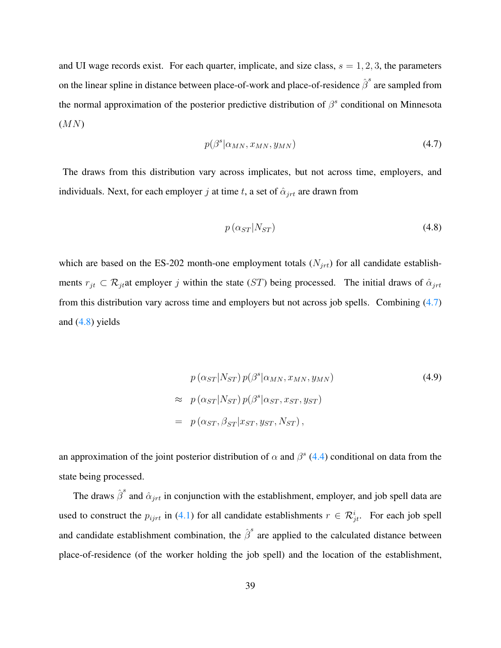and UI wage records exist. For each quarter, implicate, and size class,  $s = 1, 2, 3$ , the parameters on the linear spline in distance between place-of-work and place-of-residence  $\hat{\beta}^s$  are sampled from the normal approximation of the posterior predictive distribution of  $\beta^s$  conditional on Minnesota  $(MN)$ 

<span id="page-46-0"></span>
$$
p(\beta^s | \alpha_{MN}, x_{MN}, y_{MN}) \tag{4.7}
$$

The draws from this distribution vary across implicates, but not across time, employers, and individuals. Next, for each employer j at time t, a set of  $\hat{\alpha}_{jrt}$  are drawn from

<span id="page-46-1"></span>
$$
p\left(\alpha_{ST}|N_{ST}\right) \tag{4.8}
$$

which are based on the ES-202 month-one employment totals  $(N_{jrt})$  for all candidate establishments  $r_{jt} \subset \mathcal{R}_{jt}$  at employer j within the state (ST) being processed. The initial draws of  $\hat{\alpha}_{jrt}$ from this distribution vary across time and employers but not across job spells. Combining [\(4.7\)](#page-46-0) and [\(4.8\)](#page-46-1) yields

$$
p(\alpha_{ST}|N_{ST})p(\beta^{s}|\alpha_{MN}, x_{MN}, y_{MN})
$$
\n
$$
\approx p(\alpha_{ST}|N_{ST})p(\beta^{s}|\alpha_{ST}, x_{ST}, y_{ST})
$$
\n
$$
= p(\alpha_{ST}, \beta_{ST}|x_{ST}, y_{ST}, N_{ST}),
$$
\n(4.9)

an approximation of the joint posterior distribution of  $\alpha$  and  $\beta^s$  [\(4.4\)](#page-43-0) conditional on data from the state being processed.

The draws  $\hat{\beta}^s$  and  $\hat{\alpha}_{jrt}$  in conjunction with the establishment, employer, and job spell data are used to construct the  $p_{ijrt}$  in [\(4.1\)](#page-42-0) for all candidate establishments  $r \in \mathcal{R}^i_{jt}$ . For each job spell and candidate establishment combination, the  $\hat{\beta}^s$  are applied to the calculated distance between place-of-residence (of the worker holding the job spell) and the location of the establishment,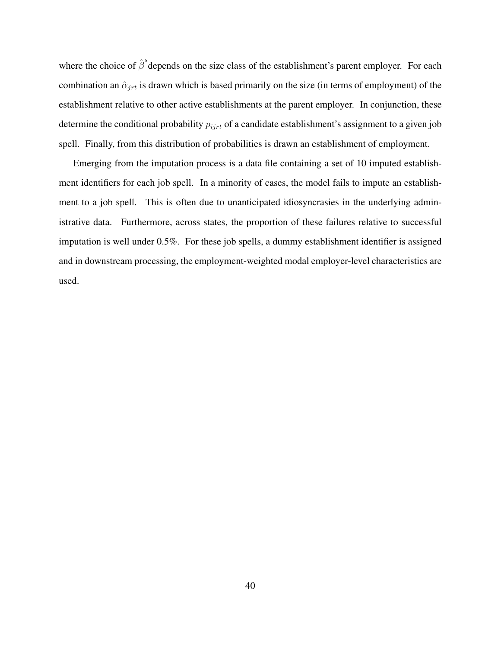where the choice of  $\hat{\beta}^s$  depends on the size class of the establishment's parent employer. For each combination an  $\hat{\alpha}_{jrt}$  is drawn which is based primarily on the size (in terms of employment) of the establishment relative to other active establishments at the parent employer. In conjunction, these determine the conditional probability  $p_{ijrt}$  of a candidate establishment's assignment to a given job spell. Finally, from this distribution of probabilities is drawn an establishment of employment.

Emerging from the imputation process is a data file containing a set of 10 imputed establishment identifiers for each job spell. In a minority of cases, the model fails to impute an establishment to a job spell. This is often due to unanticipated idiosyncrasies in the underlying administrative data. Furthermore, across states, the proportion of these failures relative to successful imputation is well under 0.5%. For these job spells, a dummy establishment identifier is assigned and in downstream processing, the employment-weighted modal employer-level characteristics are used.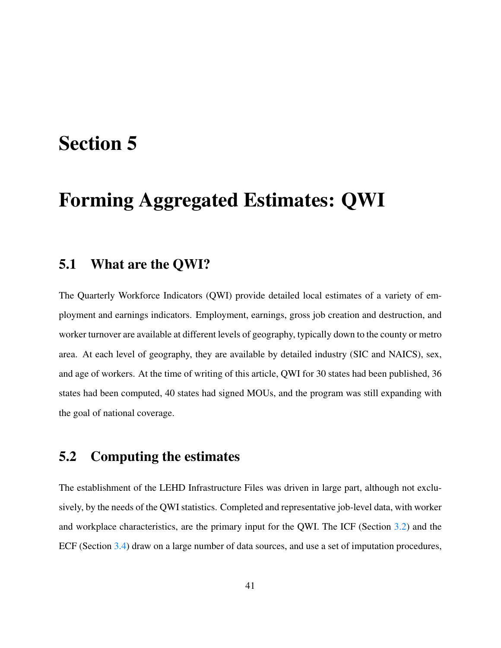# <span id="page-48-0"></span>Section 5

# Forming Aggregated Estimates: QWI

## 5.1 What are the QWI?

The Quarterly Workforce Indicators (QWI) provide detailed local estimates of a variety of employment and earnings indicators. Employment, earnings, gross job creation and destruction, and worker turnover are available at different levels of geography, typically down to the county or metro area. At each level of geography, they are available by detailed industry (SIC and NAICS), sex, and age of workers. At the time of writing of this article, QWI for 30 states had been published, 36 states had been computed, 40 states had signed MOUs, and the program was still expanding with the goal of national coverage.

### 5.2 Computing the estimates

The establishment of the LEHD Infrastructure Files was driven in large part, although not exclusively, by the needs of the QWI statistics. Completed and representative job-level data, with worker and workplace characteristics, are the primary input for the QWI. The ICF (Section [3.2\)](#page-23-0) and the ECF (Section [3.4\)](#page-29-0) draw on a large number of data sources, and use a set of imputation procedures,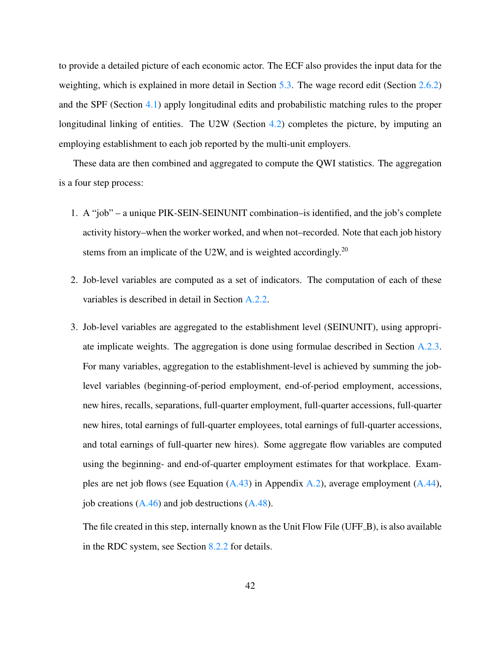to provide a detailed picture of each economic actor. The ECF also provides the input data for the weighting, which is explained in more detail in Section [5.3.](#page-50-0) The wage record edit (Section [2.6.2\)](#page-17-0) and the SPF (Section [4.1\)](#page-39-0) apply longitudinal edits and probabilistic matching rules to the proper longitudinal linking of entities. The U2W (Section [4.2\)](#page-40-0) completes the picture, by imputing an employing establishment to each job reported by the multi-unit employers.

These data are then combined and aggregated to compute the QWI statistics. The aggregation is a four step process:

- 1. A "job" a unique PIK-SEIN-SEINUNIT combination–is identified, and the job's complete activity history–when the worker worked, and when not–recorded. Note that each job history stems from an implicate of the U2W, and is weighted accordingly.<sup>20</sup>
- 2. Job-level variables are computed as a set of indicators. The computation of each of these variables is described in detail in Section [A.2.2.](#page-92-0)
- 3. Job-level variables are aggregated to the establishment level (SEINUNIT), using appropriate implicate weights. The aggregation is done using formulae described in Section [A.2.3.](#page-101-0) For many variables, aggregation to the establishment-level is achieved by summing the joblevel variables (beginning-of-period employment, end-of-period employment, accessions, new hires, recalls, separations, full-quarter employment, full-quarter accessions, full-quarter new hires, total earnings of full-quarter employees, total earnings of full-quarter accessions, and total earnings of full-quarter new hires). Some aggregate flow variables are computed using the beginning- and end-of-quarter employment estimates for that workplace. Examples are net job flows (see Equation  $(A.43)$  in Appendix  $(A.2)$  $(A.2)$ , average employment  $(A.44)$ , job creations  $(A.46)$  and job destructions  $(A.48)$ .

The file created in this step, internally known as the Unit Flow File (UFF<sub>-B)</sub>, is also available in the RDC system, see Section [8.2.2](#page-64-0) for details.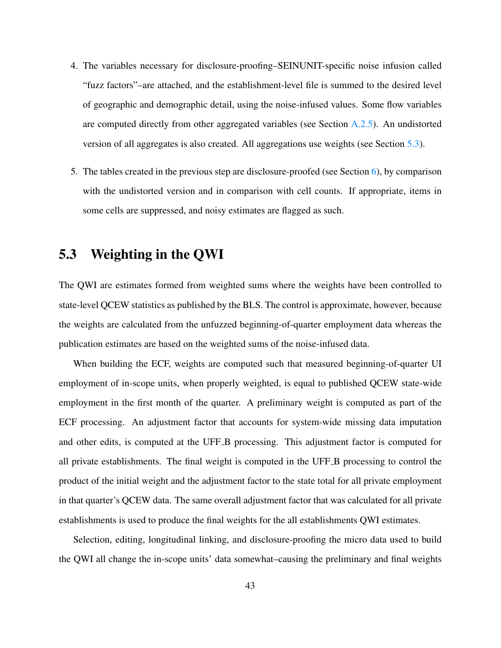- 4. The variables necessary for disclosure-proofing–SEINUNIT-specific noise infusion called "fuzz factors"–are attached, and the establishment-level file is summed to the desired level of geographic and demographic detail, using the noise-infused values. Some flow variables are computed directly from other aggregated variables (see Section  $A.2.5$ ). An undistorted version of all aggregates is also created. All aggregations use weights (see Section [5.3\)](#page-50-0).
- 5. The tables created in the previous step are disclosure-proofed (see Section  $6$ ), by comparison with the undistorted version and in comparison with cell counts. If appropriate, items in some cells are suppressed, and noisy estimates are flagged as such.

## <span id="page-50-0"></span>5.3 Weighting in the QWI

The QWI are estimates formed from weighted sums where the weights have been controlled to state-level QCEW statistics as published by the BLS. The control is approximate, however, because the weights are calculated from the unfuzzed beginning-of-quarter employment data whereas the publication estimates are based on the weighted sums of the noise-infused data.

When building the ECF, weights are computed such that measured beginning-of-quarter UI employment of in-scope units, when properly weighted, is equal to published QCEW state-wide employment in the first month of the quarter. A preliminary weight is computed as part of the ECF processing. An adjustment factor that accounts for system-wide missing data imputation and other edits, is computed at the UFF B processing. This adjustment factor is computed for all private establishments. The final weight is computed in the UFF B processing to control the product of the initial weight and the adjustment factor to the state total for all private employment in that quarter's QCEW data. The same overall adjustment factor that was calculated for all private establishments is used to produce the final weights for the all establishments QWI estimates.

Selection, editing, longitudinal linking, and disclosure-proofing the micro data used to build the QWI all change the in-scope units' data somewhat–causing the preliminary and final weights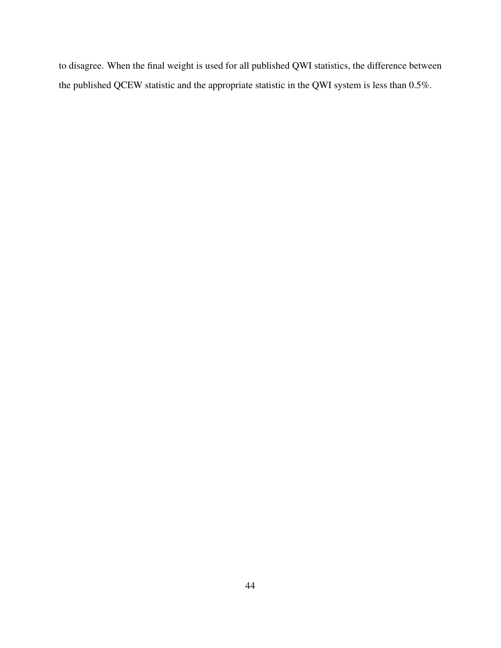to disagree. When the final weight is used for all published QWI statistics, the difference between the published QCEW statistic and the appropriate statistic in the QWI system is less than 0.5%.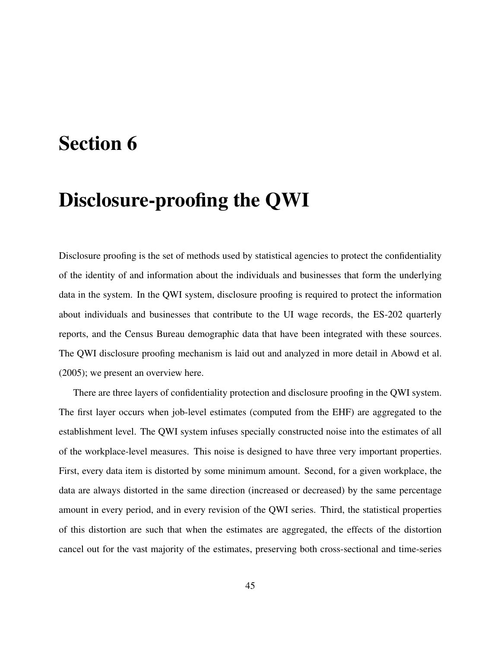# <span id="page-52-0"></span>Section 6

# Disclosure-proofing the QWI

Disclosure proofing is the set of methods used by statistical agencies to protect the confidentiality of the identity of and information about the individuals and businesses that form the underlying data in the system. In the QWI system, disclosure proofing is required to protect the information about individuals and businesses that contribute to the UI wage records, the ES-202 quarterly reports, and the Census Bureau demographic data that have been integrated with these sources. The QWI disclosure proofing mechanism is laid out and analyzed in more detail in [Abowd et al.](#page-71-1) [\(2005\)](#page-71-1); we present an overview here.

There are three layers of confidentiality protection and disclosure proofing in the QWI system. The first layer occurs when job-level estimates (computed from the EHF) are aggregated to the establishment level. The QWI system infuses specially constructed noise into the estimates of all of the workplace-level measures. This noise is designed to have three very important properties. First, every data item is distorted by some minimum amount. Second, for a given workplace, the data are always distorted in the same direction (increased or decreased) by the same percentage amount in every period, and in every revision of the QWI series. Third, the statistical properties of this distortion are such that when the estimates are aggregated, the effects of the distortion cancel out for the vast majority of the estimates, preserving both cross-sectional and time-series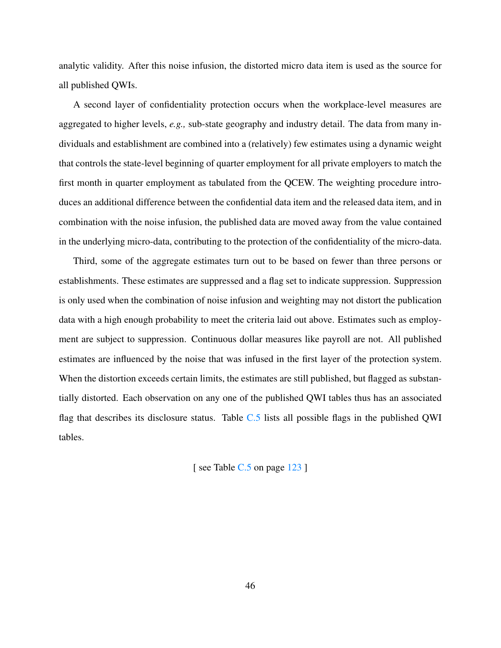analytic validity. After this noise infusion, the distorted micro data item is used as the source for all published QWIs.

A second layer of confidentiality protection occurs when the workplace-level measures are aggregated to higher levels, *e.g.,* sub-state geography and industry detail. The data from many individuals and establishment are combined into a (relatively) few estimates using a dynamic weight that controls the state-level beginning of quarter employment for all private employers to match the first month in quarter employment as tabulated from the QCEW. The weighting procedure introduces an additional difference between the confidential data item and the released data item, and in combination with the noise infusion, the published data are moved away from the value contained in the underlying micro-data, contributing to the protection of the confidentiality of the micro-data.

Third, some of the aggregate estimates turn out to be based on fewer than three persons or establishments. These estimates are suppressed and a flag set to indicate suppression. Suppression is only used when the combination of noise infusion and weighting may not distort the publication data with a high enough probability to meet the criteria laid out above. Estimates such as employment are subject to suppression. Continuous dollar measures like payroll are not. All published estimates are influenced by the noise that was infused in the first layer of the protection system. When the distortion exceeds certain limits, the estimates are still published, but flagged as substantially distorted. Each observation on any one of the published QWI tables thus has an associated flag that describes its disclosure status. Table [C.5](#page-130-0) lists all possible flags in the published QWI tables.

[ see Table [C.5](#page-130-0) on page [123](#page-130-0) ]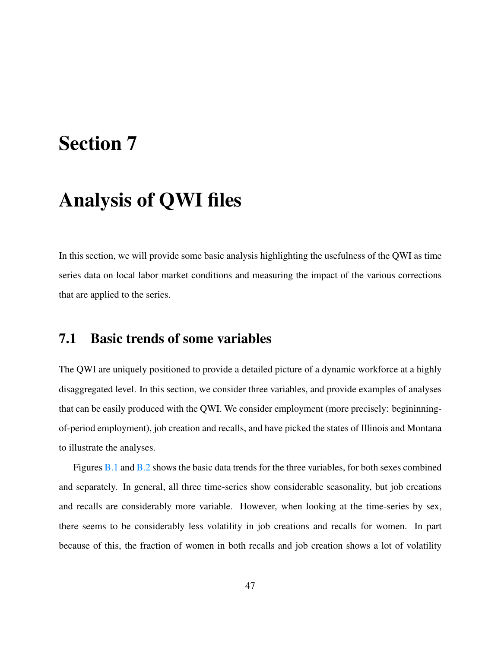# Section 7

## Analysis of QWI files

In this section, we will provide some basic analysis highlighting the usefulness of the QWI as time series data on local labor market conditions and measuring the impact of the various corrections that are applied to the series.

### 7.1 Basic trends of some variables

The QWI are uniquely positioned to provide a detailed picture of a dynamic workforce at a highly disaggregated level. In this section, we consider three variables, and provide examples of analyses that can be easily produced with the QWI. We consider employment (more precisely: begininningof-period employment), job creation and recalls, and have picked the states of Illinois and Montana to illustrate the analyses.

Figures [B.1](#page-121-0) and [B.2](#page-122-0) shows the basic data trends for the three variables, for both sexes combined and separately. In general, all three time-series show considerable seasonality, but job creations and recalls are considerably more variable. However, when looking at the time-series by sex, there seems to be considerably less volatility in job creations and recalls for women. In part because of this, the fraction of women in both recalls and job creation shows a lot of volatility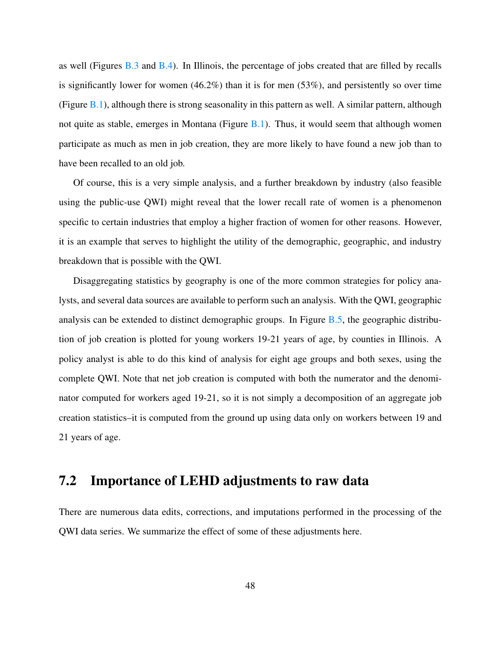as well (Figures [B.3](#page-123-0) and [B.4\)](#page-124-0). In Illinois, the percentage of jobs created that are filled by recalls is significantly lower for women (46.2%) than it is for men (53%), and persistently so over time (Figure [B.1\)](#page-121-0), although there is strong seasonality in this pattern as well. A similar pattern, although not quite as stable, emerges in Montana (Figure  $B(1)$ ). Thus, it would seem that although women participate as much as men in job creation, they are more likely to have found a new job than to have been recalled to an old job.

Of course, this is a very simple analysis, and a further breakdown by industry (also feasible using the public-use QWI) might reveal that the lower recall rate of women is a phenomenon specific to certain industries that employ a higher fraction of women for other reasons. However, it is an example that serves to highlight the utility of the demographic, geographic, and industry breakdown that is possible with the QWI.

Disaggregating statistics by geography is one of the more common strategies for policy analysts, and several data sources are available to perform such an analysis. With the QWI, geographic analysis can be extended to distinct demographic groups. In Figure [B.5,](#page-125-0) the geographic distribution of job creation is plotted for young workers 19-21 years of age, by counties in Illinois. A policy analyst is able to do this kind of analysis for eight age groups and both sexes, using the complete QWI. Note that net job creation is computed with both the numerator and the denominator computed for workers aged 19-21, so it is not simply a decomposition of an aggregate job creation statistics–it is computed from the ground up using data only on workers between 19 and 21 years of age.

### 7.2 Importance of LEHD adjustments to raw data

There are numerous data edits, corrections, and imputations performed in the processing of the QWI data series. We summarize the effect of some of these adjustments here.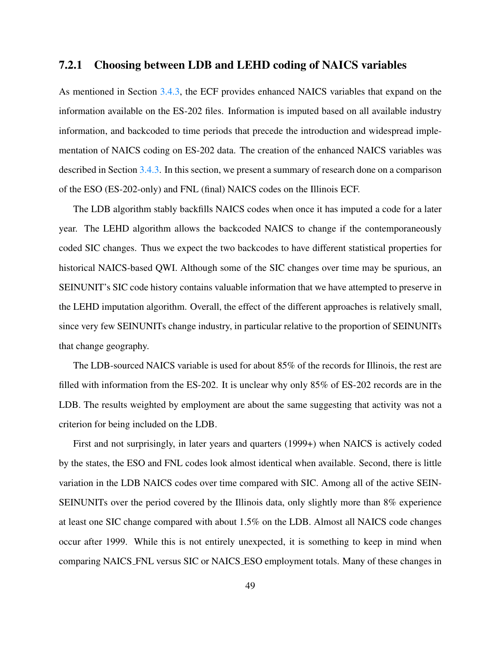#### 7.2.1 Choosing between LDB and LEHD coding of NAICS variables

As mentioned in Section [3.4.3,](#page-35-0) the ECF provides enhanced NAICS variables that expand on the information available on the ES-202 files. Information is imputed based on all available industry information, and backcoded to time periods that precede the introduction and widespread implementation of NAICS coding on ES-202 data. The creation of the enhanced NAICS variables was described in Section [3.4.3.](#page-35-0) In this section, we present a summary of research done on a comparison of the ESO (ES-202-only) and FNL (final) NAICS codes on the Illinois ECF.

The LDB algorithm stably backfills NAICS codes when once it has imputed a code for a later year. The LEHD algorithm allows the backcoded NAICS to change if the contemporaneously coded SIC changes. Thus we expect the two backcodes to have different statistical properties for historical NAICS-based QWI. Although some of the SIC changes over time may be spurious, an SEINUNIT's SIC code history contains valuable information that we have attempted to preserve in the LEHD imputation algorithm. Overall, the effect of the different approaches is relatively small, since very few SEINUNITs change industry, in particular relative to the proportion of SEINUNITs that change geography.

The LDB-sourced NAICS variable is used for about 85% of the records for Illinois, the rest are filled with information from the ES-202. It is unclear why only 85% of ES-202 records are in the LDB. The results weighted by employment are about the same suggesting that activity was not a criterion for being included on the LDB.

First and not surprisingly, in later years and quarters (1999+) when NAICS is actively coded by the states, the ESO and FNL codes look almost identical when available. Second, there is little variation in the LDB NAICS codes over time compared with SIC. Among all of the active SEIN-SEINUNITs over the period covered by the Illinois data, only slightly more than 8% experience at least one SIC change compared with about 1.5% on the LDB. Almost all NAICS code changes occur after 1999. While this is not entirely unexpected, it is something to keep in mind when comparing NAICS FNL versus SIC or NAICS ESO employment totals. Many of these changes in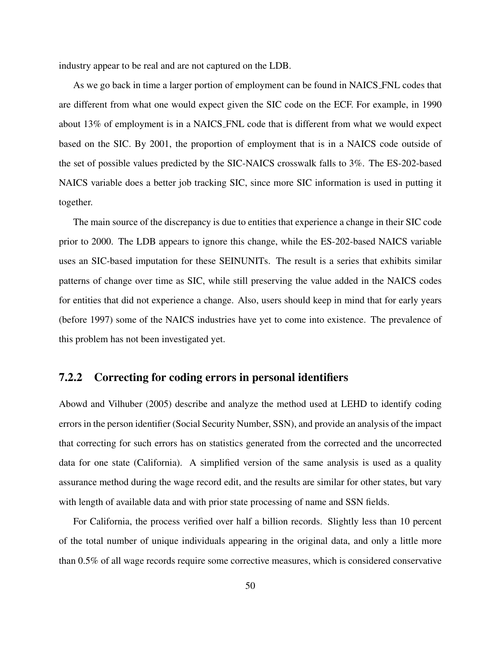industry appear to be real and are not captured on the LDB.

As we go back in time a larger portion of employment can be found in NAICS FNL codes that are different from what one would expect given the SIC code on the ECF. For example, in 1990 about 13% of employment is in a NAICS FNL code that is different from what we would expect based on the SIC. By 2001, the proportion of employment that is in a NAICS code outside of the set of possible values predicted by the SIC-NAICS crosswalk falls to 3%. The ES-202-based NAICS variable does a better job tracking SIC, since more SIC information is used in putting it together.

The main source of the discrepancy is due to entities that experience a change in their SIC code prior to 2000. The LDB appears to ignore this change, while the ES-202-based NAICS variable uses an SIC-based imputation for these SEINUNITs. The result is a series that exhibits similar patterns of change over time as SIC, while still preserving the value added in the NAICS codes for entities that did not experience a change. Also, users should keep in mind that for early years (before 1997) some of the NAICS industries have yet to come into existence. The prevalence of this problem has not been investigated yet.

#### 7.2.2 Correcting for coding errors in personal identifiers

[Abowd and Vilhuber](#page-71-2) [\(2005\)](#page-71-2) describe and analyze the method used at LEHD to identify coding errors in the person identifier (Social Security Number, SSN), and provide an analysis of the impact that correcting for such errors has on statistics generated from the corrected and the uncorrected data for one state (California). A simplified version of the same analysis is used as a quality assurance method during the wage record edit, and the results are similar for other states, but vary with length of available data and with prior state processing of name and SSN fields.

For California, the process verified over half a billion records. Slightly less than 10 percent of the total number of unique individuals appearing in the original data, and only a little more than 0.5% of all wage records require some corrective measures, which is considered conservative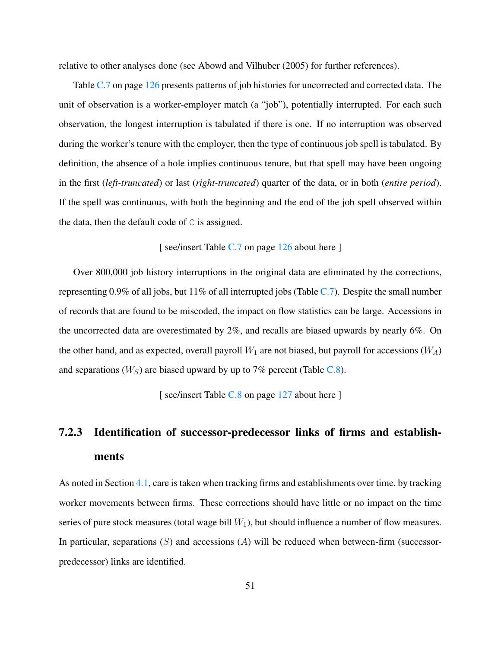relative to other analyses done (see [Abowd and Vilhuber](#page-71-2) [\(2005\)](#page-71-2) for further references).

Table [C.7](#page-133-0) on page [126](#page-133-0) presents patterns of job histories for uncorrected and corrected data. The unit of observation is a worker-employer match (a "job"), potentially interrupted. For each such observation, the longest interruption is tabulated if there is one. If no interruption was observed during the worker's tenure with the employer, then the type of continuous job spell is tabulated. By definition, the absence of a hole implies continuous tenure, but that spell may have been ongoing in the first (*left-truncated*) or last (*right-truncated*) quarter of the data, or in both (*entire period*). If the spell was continuous, with both the beginning and the end of the job spell observed within the data, then the default code of  $\mathcal C$  is assigned.

#### [ see/insert Table [C.7](#page-133-0) on page [126](#page-133-0) about here ]

Over 800,000 job history interruptions in the original data are eliminated by the corrections, representing  $0.9\%$  of all jobs, but 11% of all interrupted jobs (Table [C.7\)](#page-133-0). Despite the small number of records that are found to be miscoded, the impact on flow statistics can be large. Accessions in the uncorrected data are overestimated by 2%, and recalls are biased upwards by nearly 6%. On the other hand, and as expected, overall payroll  $W_1$  are not biased, but payroll for accessions  $(W_A)$ and separations  $(W<sub>S</sub>)$  are biased upward by up to 7% percent (Table [C.8\)](#page-134-0).

[ see/insert Table [C.8](#page-134-0) on page [127](#page-134-0) about here ]

## 7.2.3 Identification of successor-predecessor links of firms and establishments

As noted in Section [4.1,](#page-39-0) care is taken when tracking firms and establishments over time, by tracking worker movements between firms. These corrections should have little or no impact on the time series of pure stock measures (total wage bill  $W_1$ ), but should influence a number of flow measures. In particular, separations  $(S)$  and accessions  $(A)$  will be reduced when between-firm (successorpredecessor) links are identified.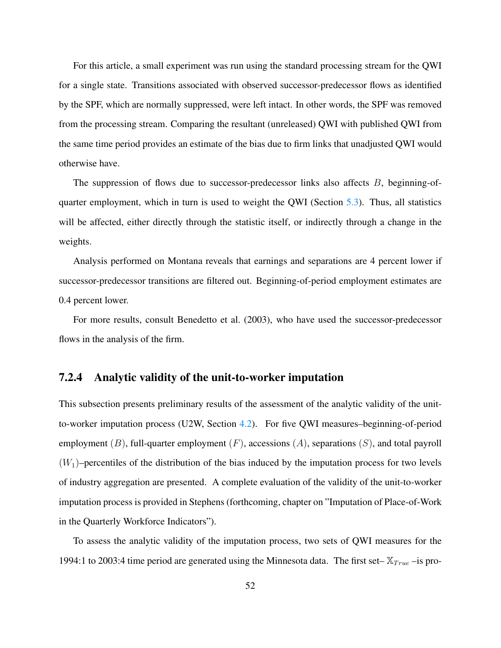For this article, a small experiment was run using the standard processing stream for the QWI for a single state. Transitions associated with observed successor-predecessor flows as identified by the SPF, which are normally suppressed, were left intact. In other words, the SPF was removed from the processing stream. Comparing the resultant (unreleased) QWI with published QWI from the same time period provides an estimate of the bias due to firm links that unadjusted QWI would otherwise have.

The suppression of flows due to successor-predecessor links also affects  $B$ , beginning-ofquarter employment, which in turn is used to weight the QWI (Section [5.3\)](#page-50-0). Thus, all statistics will be affected, either directly through the statistic itself, or indirectly through a change in the weights.

Analysis performed on Montana reveals that earnings and separations are 4 percent lower if successor-predecessor transitions are filtered out. Beginning-of-period employment estimates are 0.4 percent lower.

For more results, consult [Benedetto et al.](#page-71-0) [\(2003\)](#page-71-0), who have used the successor-predecessor flows in the analysis of the firm.

#### 7.2.4 Analytic validity of the unit-to-worker imputation

This subsection presents preliminary results of the assessment of the analytic validity of the unitto-worker imputation process (U2W, Section [4.2\)](#page-40-0). For five QWI measures–beginning-of-period employment  $(B)$ , full-quarter employment  $(F)$ , accessions  $(A)$ , separations  $(S)$ , and total payroll  $(W_1)$ –percentiles of the distribution of the bias induced by the imputation process for two levels of industry aggregation are presented. A complete evaluation of the validity of the unit-to-worker imputation process is provided in [Stephens](#page-72-0) [\(forthcoming,](#page-72-0) chapter on "Imputation of Place-of-Work in the Quarterly Workforce Indicators").

To assess the analytic validity of the imputation process, two sets of QWI measures for the 1994:1 to 2003:4 time period are generated using the Minnesota data. The first set– $\mathbb{X}_{True}$  –is pro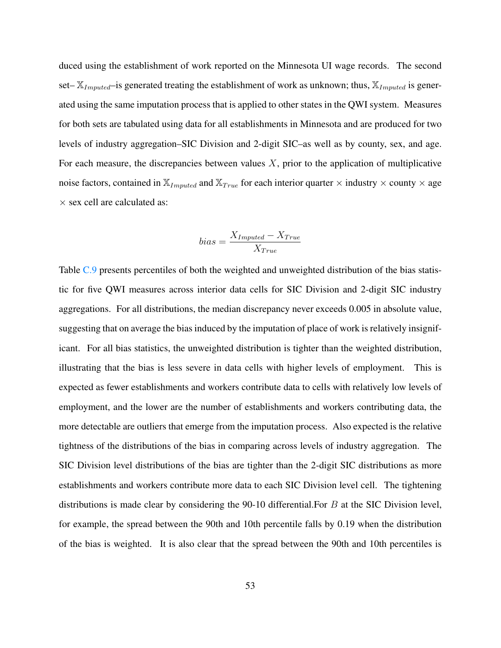duced using the establishment of work reported on the Minnesota UI wage records. The second set–  $\mathbb{X}_{Imputed}$ –is generated treating the establishment of work as unknown; thus,  $\mathbb{X}_{Imputed}$  is generated using the same imputation process that is applied to other states in the QWI system. Measures for both sets are tabulated using data for all establishments in Minnesota and are produced for two levels of industry aggregation–SIC Division and 2-digit SIC–as well as by county, sex, and age. For each measure, the discrepancies between values  $X$ , prior to the application of multiplicative noise factors, contained in  $\mathbb{X}_{Imputed}$  and  $\mathbb{X}_{True}$  for each interior quarter  $\times$  industry  $\times$  county  $\times$  age  $\times$  sex cell are calculated as:

$$
bias = \frac{X_{Imputed} - X_{True}}{X_{True}}
$$

Table [C.9](#page-135-0) presents percentiles of both the weighted and unweighted distribution of the bias statistic for five QWI measures across interior data cells for SIC Division and 2-digit SIC industry aggregations. For all distributions, the median discrepancy never exceeds 0.005 in absolute value, suggesting that on average the bias induced by the imputation of place of work is relatively insignificant. For all bias statistics, the unweighted distribution is tighter than the weighted distribution, illustrating that the bias is less severe in data cells with higher levels of employment. This is expected as fewer establishments and workers contribute data to cells with relatively low levels of employment, and the lower are the number of establishments and workers contributing data, the more detectable are outliers that emerge from the imputation process. Also expected is the relative tightness of the distributions of the bias in comparing across levels of industry aggregation. The SIC Division level distributions of the bias are tighter than the 2-digit SIC distributions as more establishments and workers contribute more data to each SIC Division level cell. The tightening distributions is made clear by considering the  $90-10$  differential. For B at the SIC Division level, for example, the spread between the 90th and 10th percentile falls by 0.19 when the distribution of the bias is weighted. It is also clear that the spread between the 90th and 10th percentiles is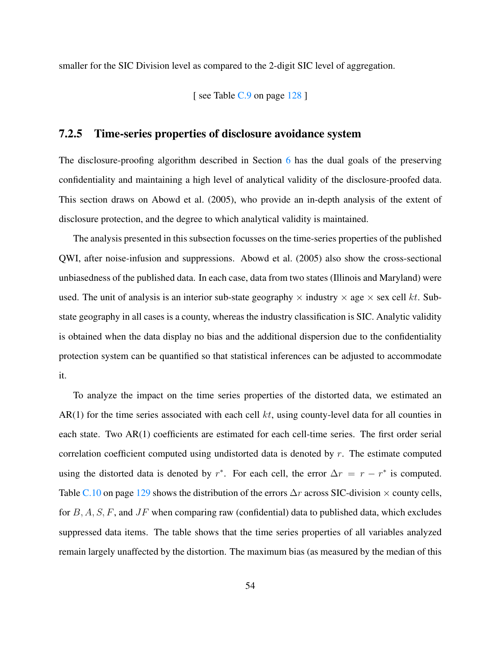smaller for the SIC Division level as compared to the 2-digit SIC level of aggregation.

[ see Table [C.9](#page-135-0) on page [128](#page-135-0) ]

#### 7.2.5 Time-series properties of disclosure avoidance system

The disclosure-proofing algorithm described in Section [6](#page-52-0) has the dual goals of the preserving confidentiality and maintaining a high level of analytical validity of the disclosure-proofed data. This section draws on [Abowd et al.](#page-71-1) [\(2005\)](#page-71-1), who provide an in-depth analysis of the extent of disclosure protection, and the degree to which analytical validity is maintained.

The analysis presented in this subsection focusses on the time-series properties of the published QWI, after noise-infusion and suppressions. [Abowd et al.](#page-71-1) [\(2005\)](#page-71-1) also show the cross-sectional unbiasedness of the published data. In each case, data from two states (Illinois and Maryland) were used. The unit of analysis is an interior sub-state geography  $\times$  industry  $\times$  age  $\times$  sex cell kt. Substate geography in all cases is a county, whereas the industry classification is SIC. Analytic validity is obtained when the data display no bias and the additional dispersion due to the confidentiality protection system can be quantified so that statistical inferences can be adjusted to accommodate it.

To analyze the impact on the time series properties of the distorted data, we estimated an  $AR(1)$  for the time series associated with each cell kt, using county-level data for all counties in each state. Two AR(1) coefficients are estimated for each cell-time series. The first order serial correlation coefficient computed using undistorted data is denoted by  $r$ . The estimate computed using the distorted data is denoted by  $r^*$ . For each cell, the error  $\Delta r = r - r^*$  is computed. Table [C.10](#page-136-0) on page [129](#page-136-0) shows the distribution of the errors  $\Delta r$  across SIC-division  $\times$  county cells, for  $B, A, S, F$ , and  $JF$  when comparing raw (confidential) data to published data, which excludes suppressed data items. The table shows that the time series properties of all variables analyzed remain largely unaffected by the distortion. The maximum bias (as measured by the median of this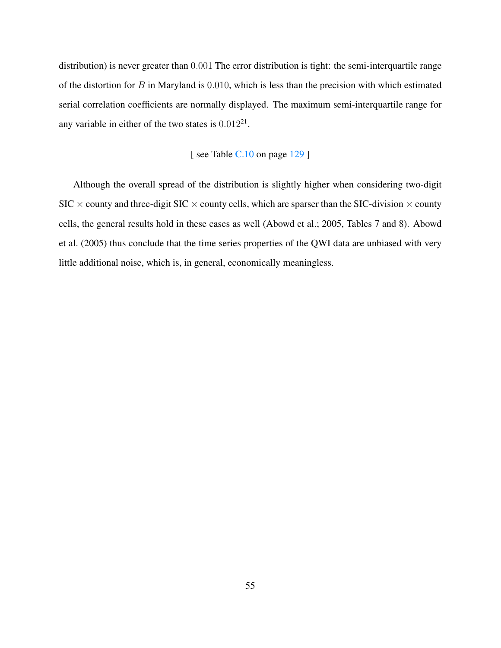distribution) is never greater than 0.001 The error distribution is tight: the semi-interquartile range of the distortion for  $B$  in Maryland is 0.010, which is less than the precision with which estimated serial correlation coefficients are normally displayed. The maximum semi-interquartile range for any variable in either of the two states is  $0.012^{21}$ .

#### [ see Table [C.10](#page-136-0) on page [129](#page-136-0) ]

Although the overall spread of the distribution is slightly higher when considering two-digit  $SIC \times$  county and three-digit  $SIC \times$  county cells, which are sparser than the SIC-division  $\times$  county cells, the general results hold in these cases as well [\(Abowd et al.;](#page-71-1) [2005,](#page-71-1) Tables 7 and 8). [Abowd](#page-71-1) [et al.](#page-71-1) [\(2005\)](#page-71-1) thus conclude that the time series properties of the QWI data are unbiased with very little additional noise, which is, in general, economically meaningless.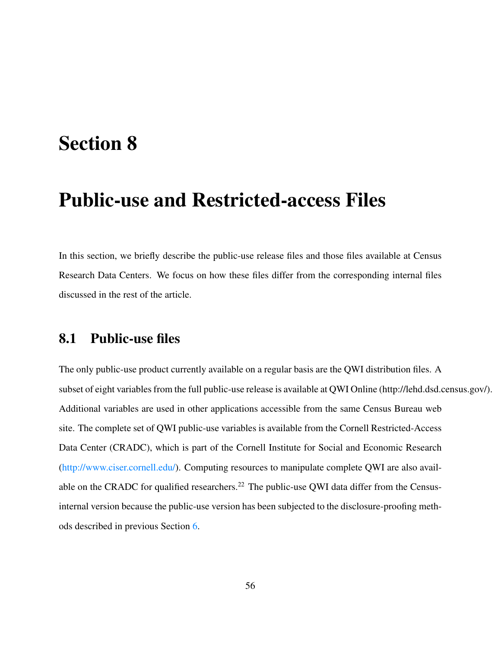## Section 8

## Public-use and Restricted-access Files

In this section, we briefly describe the public-use release files and those files available at Census Research Data Centers. We focus on how these files differ from the corresponding internal files discussed in the rest of the article.

### 8.1 Public-use files

The only public-use product currently available on a regular basis are the QWI distribution files. A subset of eight variables from the full public-use release is available at QWI Online (http://lehd.dsd.census.gov/). Additional variables are used in other applications accessible from the same Census Bureau web site. The complete set of QWI public-use variables is available from the Cornell Restricted-Access Data Center (CRADC), which is part of the Cornell Institute for Social and Economic Research [\(http://www.ciser.cornell.edu/\)](http://www.ciser.cornell.edu/). Computing resources to manipulate complete QWI are also available on the CRADC for qualified researchers.<sup>22</sup> The public-use QWI data differ from the Censusinternal version because the public-use version has been subjected to the disclosure-proofing methods described in previous Section [6.](#page-52-0)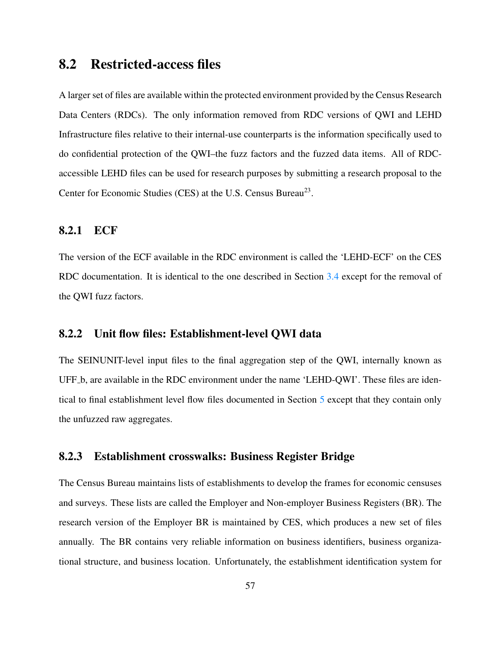### 8.2 Restricted-access files

A larger set of files are available within the protected environment provided by the Census Research Data Centers (RDCs). The only information removed from RDC versions of QWI and LEHD Infrastructure files relative to their internal-use counterparts is the information specifically used to do confidential protection of the QWI–the fuzz factors and the fuzzed data items. All of RDCaccessible LEHD files can be used for research purposes by submitting a research proposal to the Center for Economic Studies (CES) at the U.S. Census Bureau<sup>23</sup>.

### 8.2.1 ECF

The version of the ECF available in the RDC environment is called the 'LEHD-ECF' on the CES RDC documentation. It is identical to the one described in Section [3.4](#page-29-0) except for the removal of the QWI fuzz factors.

### <span id="page-64-0"></span>8.2.2 Unit flow files: Establishment-level QWI data

The SEINUNIT-level input files to the final aggregation step of the QWI, internally known as UFF b, are available in the RDC environment under the name 'LEHD-QWI'. These files are identical to final establishment level flow files documented in Section [5](#page-48-0) except that they contain only the unfuzzed raw aggregates.

#### 8.2.3 Establishment crosswalks: Business Register Bridge

The Census Bureau maintains lists of establishments to develop the frames for economic censuses and surveys. These lists are called the Employer and Non-employer Business Registers (BR). The research version of the Employer BR is maintained by CES, which produces a new set of files annually. The BR contains very reliable information on business identifiers, business organizational structure, and business location. Unfortunately, the establishment identification system for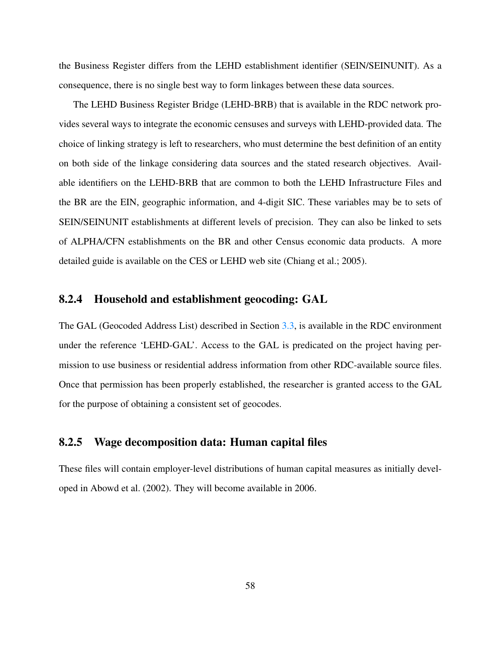the Business Register differs from the LEHD establishment identifier (SEIN/SEINUNIT). As a consequence, there is no single best way to form linkages between these data sources.

The LEHD Business Register Bridge (LEHD-BRB) that is available in the RDC network provides several ways to integrate the economic censuses and surveys with LEHD-provided data. The choice of linking strategy is left to researchers, who must determine the best definition of an entity on both side of the linkage considering data sources and the stated research objectives. Available identifiers on the LEHD-BRB that are common to both the LEHD Infrastructure Files and the BR are the EIN, geographic information, and 4-digit SIC. These variables may be to sets of SEIN/SEINUNIT establishments at different levels of precision. They can also be linked to sets of ALPHA/CFN establishments on the BR and other Census economic data products. A more detailed guide is available on the CES or LEHD web site [\(Chiang et al.;](#page-71-3) [2005\)](#page-71-3).

#### 8.2.4 Household and establishment geocoding: GAL

The GAL (Geocoded Address List) described in Section [3.3,](#page-26-0) is available in the RDC environment under the reference 'LEHD-GAL'. Access to the GAL is predicated on the project having permission to use business or residential address information from other RDC-available source files. Once that permission has been properly established, the researcher is granted access to the GAL for the purpose of obtaining a consistent set of geocodes.

#### 8.2.5 Wage decomposition data: Human capital files

These files will contain employer-level distributions of human capital measures as initially developed in [Abowd et al.](#page-71-4) [\(2002\)](#page-71-4). They will become available in 2006.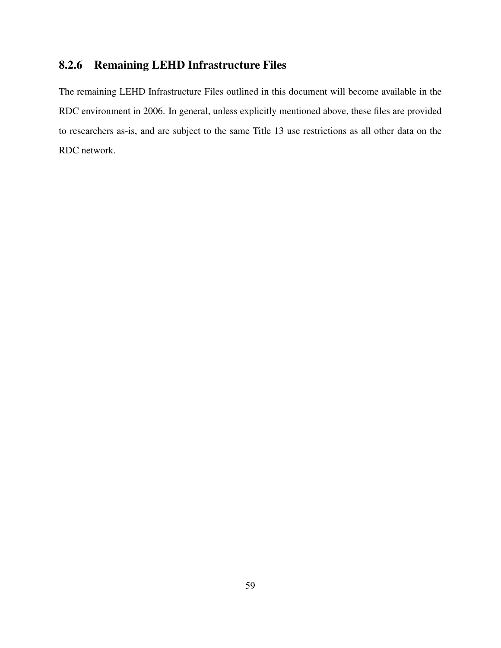## 8.2.6 Remaining LEHD Infrastructure Files

The remaining LEHD Infrastructure Files outlined in this document will become available in the RDC environment in 2006. In general, unless explicitly mentioned above, these files are provided to researchers as-is, and are subject to the same Title 13 use restrictions as all other data on the RDC network.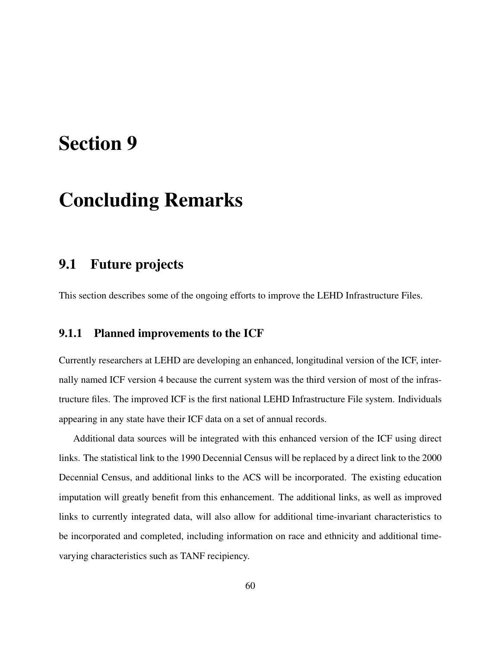## Section 9

## Concluding Remarks

### 9.1 Future projects

This section describes some of the ongoing efforts to improve the LEHD Infrastructure Files.

### 9.1.1 Planned improvements to the ICF

Currently researchers at LEHD are developing an enhanced, longitudinal version of the ICF, internally named ICF version 4 because the current system was the third version of most of the infrastructure files. The improved ICF is the first national LEHD Infrastructure File system. Individuals appearing in any state have their ICF data on a set of annual records.

Additional data sources will be integrated with this enhanced version of the ICF using direct links. The statistical link to the 1990 Decennial Census will be replaced by a direct link to the 2000 Decennial Census, and additional links to the ACS will be incorporated. The existing education imputation will greatly benefit from this enhancement. The additional links, as well as improved links to currently integrated data, will also allow for additional time-invariant characteristics to be incorporated and completed, including information on race and ethnicity and additional timevarying characteristics such as TANF recipiency.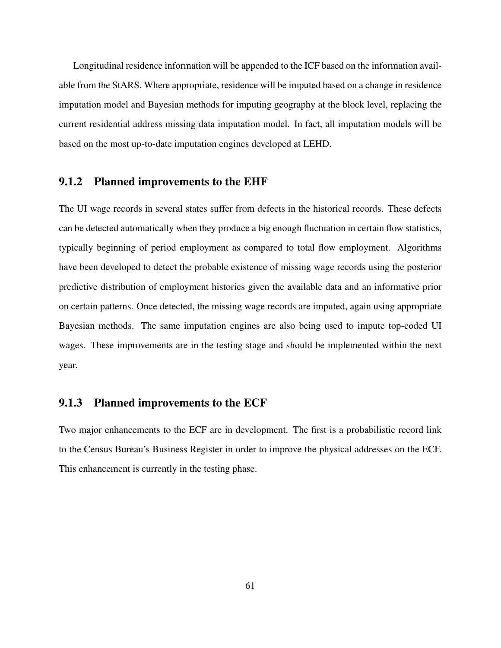Longitudinal residence information will be appended to the ICF based on the information available from the StARS. Where appropriate, residence will be imputed based on a change in residence imputation model and Bayesian methods for imputing geography at the block level, replacing the current residential address missing data imputation model. In fact, all imputation models will be based on the most up-to-date imputation engines developed at LEHD.

### 9.1.2 Planned improvements to the EHF

The UI wage records in several states suffer from defects in the historical records. These defects can be detected automatically when they produce a big enough fluctuation in certain flow statistics, typically beginning of period employment as compared to total flow employment. Algorithms have been developed to detect the probable existence of missing wage records using the posterior predictive distribution of employment histories given the available data and an informative prior on certain patterns. Once detected, the missing wage records are imputed, again using appropriate Bayesian methods. The same imputation engines are also being used to impute top-coded UI wages. These improvements are in the testing stage and should be implemented within the next year.

### 9.1.3 Planned improvements to the ECF

Two major enhancements to the ECF are in development. The first is a probabilistic record link to the Census Bureau's Business Register in order to improve the physical addresses on the ECF. This enhancement is currently in the testing phase.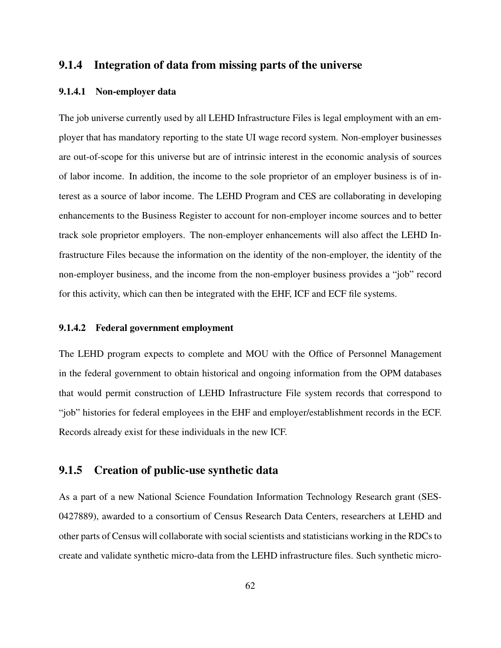#### 9.1.4 Integration of data from missing parts of the universe

#### 9.1.4.1 Non-employer data

The job universe currently used by all LEHD Infrastructure Files is legal employment with an employer that has mandatory reporting to the state UI wage record system. Non-employer businesses are out-of-scope for this universe but are of intrinsic interest in the economic analysis of sources of labor income. In addition, the income to the sole proprietor of an employer business is of interest as a source of labor income. The LEHD Program and CES are collaborating in developing enhancements to the Business Register to account for non-employer income sources and to better track sole proprietor employers. The non-employer enhancements will also affect the LEHD Infrastructure Files because the information on the identity of the non-employer, the identity of the non-employer business, and the income from the non-employer business provides a "job" record for this activity, which can then be integrated with the EHF, ICF and ECF file systems.

#### 9.1.4.2 Federal government employment

The LEHD program expects to complete and MOU with the Office of Personnel Management in the federal government to obtain historical and ongoing information from the OPM databases that would permit construction of LEHD Infrastructure File system records that correspond to "job" histories for federal employees in the EHF and employer/establishment records in the ECF. Records already exist for these individuals in the new ICF.

### 9.1.5 Creation of public-use synthetic data

As a part of a new National Science Foundation Information Technology Research grant (SES-0427889), awarded to a consortium of Census Research Data Centers, researchers at LEHD and other parts of Census will collaborate with social scientists and statisticians working in the RDCs to create and validate synthetic micro-data from the LEHD infrastructure files. Such synthetic micro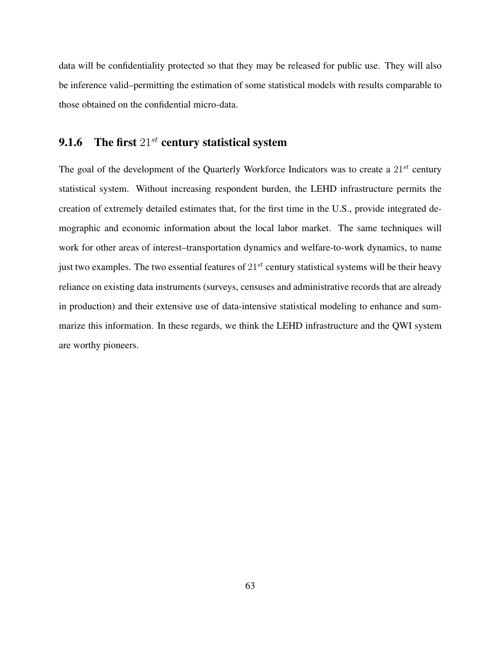data will be confidentiality protected so that they may be released for public use. They will also be inference valid–permitting the estimation of some statistical models with results comparable to those obtained on the confidential micro-data.

### 9.1.6 The first  $21^{st}$  century statistical system

The goal of the development of the Quarterly Workforce Indicators was to create a  $21^{st}$  century statistical system. Without increasing respondent burden, the LEHD infrastructure permits the creation of extremely detailed estimates that, for the first time in the U.S., provide integrated demographic and economic information about the local labor market. The same techniques will work for other areas of interest–transportation dynamics and welfare-to-work dynamics, to name just two examples. The two essential features of  $21^{st}$  century statistical systems will be their heavy reliance on existing data instruments (surveys, censuses and administrative records that are already in production) and their extensive use of data-intensive statistical modeling to enhance and summarize this information. In these regards, we think the LEHD infrastructure and the QWI system are worthy pioneers.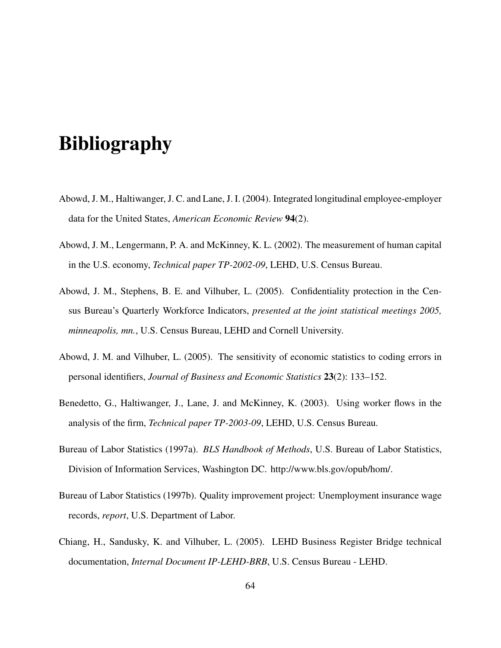## Bibliography

- Abowd, J. M., Haltiwanger, J. C. and Lane, J. I. (2004). Integrated longitudinal employee-employer data for the United States, *American Economic Review* 94(2).
- <span id="page-71-4"></span>Abowd, J. M., Lengermann, P. A. and McKinney, K. L. (2002). The measurement of human capital in the U.S. economy, *Technical paper TP-2002-09*, LEHD, U.S. Census Bureau.
- <span id="page-71-1"></span>Abowd, J. M., Stephens, B. E. and Vilhuber, L. (2005). Confidentiality protection in the Census Bureau's Quarterly Workforce Indicators, *presented at the joint statistical meetings 2005, minneapolis, mn.*, U.S. Census Bureau, LEHD and Cornell University.
- <span id="page-71-2"></span>Abowd, J. M. and Vilhuber, L. (2005). The sensitivity of economic statistics to coding errors in personal identifiers, *Journal of Business and Economic Statistics* 23(2): 133–152.
- <span id="page-71-0"></span>Benedetto, G., Haltiwanger, J., Lane, J. and McKinney, K. (2003). Using worker flows in the analysis of the firm, *Technical paper TP-2003-09*, LEHD, U.S. Census Bureau.
- Bureau of Labor Statistics (1997a). *BLS Handbook of Methods*, U.S. Bureau of Labor Statistics, Division of Information Services, Washington DC. http://www.bls.gov/opub/hom/.
- Bureau of Labor Statistics (1997b). Quality improvement project: Unemployment insurance wage records, *report*, U.S. Department of Labor.
- <span id="page-71-3"></span>Chiang, H., Sandusky, K. and Vilhuber, L. (2005). LEHD Business Register Bridge technical documentation, *Internal Document IP-LEHD-BRB*, U.S. Census Bureau - LEHD.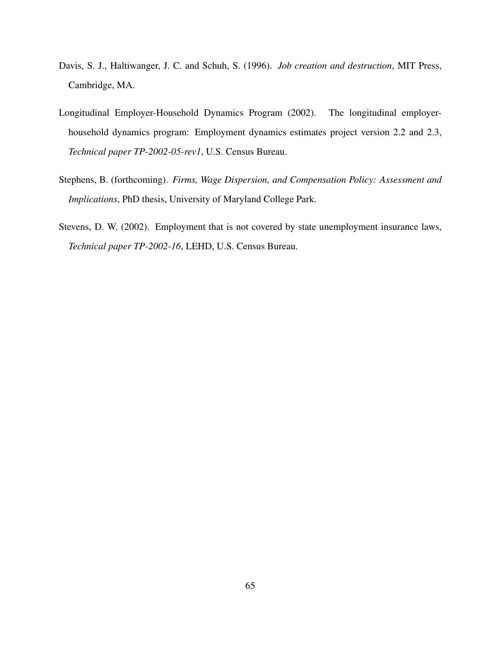- <span id="page-72-0"></span>Davis, S. J., Haltiwanger, J. C. and Schuh, S. (1996). *Job creation and destruction*, MIT Press, Cambridge, MA.
- Longitudinal Employer-Household Dynamics Program (2002). The longitudinal employerhousehold dynamics program: Employment dynamics estimates project version 2.2 and 2.3, *Technical paper TP-2002-05-rev1*, U.S. Census Bureau.
- Stephens, B. (forthcoming). *Firms, Wage Dispersion, and Compensation Policy: Assessment and Implications*, PhD thesis, University of Maryland College Park.
- Stevens, D. W. (2002). Employment that is not covered by state unemployment insurance laws, *Technical paper TP-2002-16*, LEHD, U.S. Census Bureau.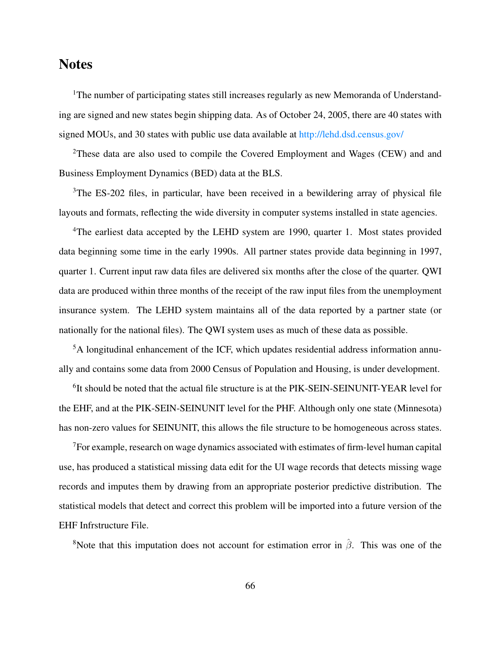### **Notes**

<sup>1</sup>The number of participating states still increases regularly as new Memoranda of Understanding are signed and new states begin shipping data. As of October 24, 2005, there are 40 states with signed MOUs, and 30 states with public use data available at <http://lehd.dsd.census.gov/>

<sup>2</sup>These data are also used to compile the Covered Employment and Wages (CEW) and and Business Employment Dynamics (BED) data at the BLS.

<sup>3</sup>The ES-202 files, in particular, have been received in a bewildering array of physical file layouts and formats, reflecting the wide diversity in computer systems installed in state agencies.

<sup>4</sup>The earliest data accepted by the LEHD system are 1990, quarter 1. Most states provided data beginning some time in the early 1990s. All partner states provide data beginning in 1997, quarter 1. Current input raw data files are delivered six months after the close of the quarter. QWI data are produced within three months of the receipt of the raw input files from the unemployment insurance system. The LEHD system maintains all of the data reported by a partner state (or nationally for the national files). The QWI system uses as much of these data as possible.

<sup>5</sup>A longitudinal enhancement of the ICF, which updates residential address information annually and contains some data from 2000 Census of Population and Housing, is under development.

<sup>6</sup>It should be noted that the actual file structure is at the PIK-SEIN-SEINUNIT-YEAR level for the EHF, and at the PIK-SEIN-SEINUNIT level for the PHF. Although only one state (Minnesota) has non-zero values for SEINUNIT, this allows the file structure to be homogeneous across states.

 $<sup>7</sup>$ For example, research on wage dynamics associated with estimates of firm-level human capital</sup> use, has produced a statistical missing data edit for the UI wage records that detects missing wage records and imputes them by drawing from an appropriate posterior predictive distribution. The statistical models that detect and correct this problem will be imported into a future version of the EHF Infrstructure File.

<sup>8</sup>Note that this imputation does not account for estimation error in  $\hat{\beta}$ . This was one of the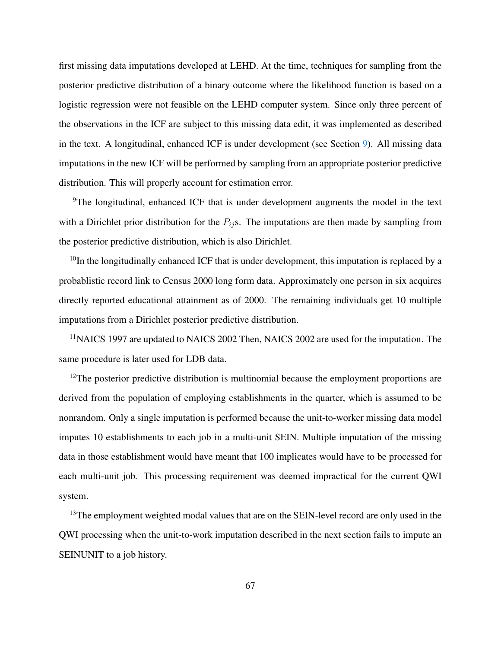first missing data imputations developed at LEHD. At the time, techniques for sampling from the posterior predictive distribution of a binary outcome where the likelihood function is based on a logistic regression were not feasible on the LEHD computer system. Since only three percent of the observations in the ICF are subject to this missing data edit, it was implemented as described in the text. A longitudinal, enhanced ICF is under development (see Section [9\)](#page-67-0). All missing data imputations in the new ICF will be performed by sampling from an appropriate posterior predictive distribution. This will properly account for estimation error.

<sup>9</sup>The longitudinal, enhanced ICF that is under development augments the model in the text with a Dirichlet prior distribution for the  $P_{ij}$ s. The imputations are then made by sampling from the posterior predictive distribution, which is also Dirichlet.

 $10$ In the longitudinally enhanced ICF that is under development, this imputation is replaced by a probablistic record link to Census 2000 long form data. Approximately one person in six acquires directly reported educational attainment as of 2000. The remaining individuals get 10 multiple imputations from a Dirichlet posterior predictive distribution.

<sup>11</sup>NAICS 1997 are updated to NAICS 2002 Then, NAICS 2002 are used for the imputation. The same procedure is later used for LDB data.

 $12$ The posterior predictive distribution is multinomial because the employment proportions are derived from the population of employing establishments in the quarter, which is assumed to be nonrandom. Only a single imputation is performed because the unit-to-worker missing data model imputes 10 establishments to each job in a multi-unit SEIN. Multiple imputation of the missing data in those establishment would have meant that 100 implicates would have to be processed for each multi-unit job. This processing requirement was deemed impractical for the current QWI system.

<sup>13</sup>The employment weighted modal values that are on the SEIN-level record are only used in the QWI processing when the unit-to-work imputation described in the next section fails to impute an SEINUNIT to a job history.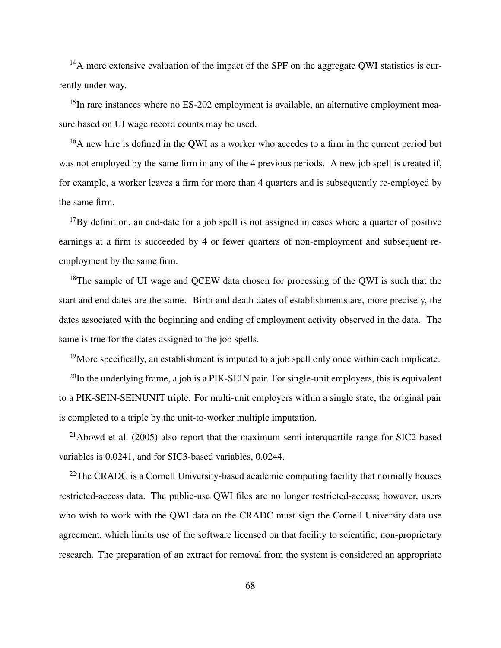$14A$  more extensive evaluation of the impact of the SPF on the aggregate QWI statistics is currently under way.

<sup>15</sup>In rare instances where no ES-202 employment is available, an alternative employment measure based on UI wage record counts may be used.

<sup>16</sup>A new hire is defined in the QWI as a worker who accedes to a firm in the current period but was not employed by the same firm in any of the 4 previous periods. A new job spell is created if, for example, a worker leaves a firm for more than 4 quarters and is subsequently re-employed by the same firm.

 $17$ By definition, an end-date for a job spell is not assigned in cases where a quarter of positive earnings at a firm is succeeded by 4 or fewer quarters of non-employment and subsequent reemployment by the same firm.

<sup>18</sup>The sample of UI wage and QCEW data chosen for processing of the QWI is such that the start and end dates are the same. Birth and death dates of establishments are, more precisely, the dates associated with the beginning and ending of employment activity observed in the data. The same is true for the dates assigned to the job spells.

<sup>19</sup>More specifically, an establishment is imputed to a job spell only once within each implicate.

 $^{20}$ In the underlying frame, a job is a PIK-SEIN pair. For single-unit employers, this is equivalent to a PIK-SEIN-SEINUNIT triple. For multi-unit employers within a single state, the original pair is completed to a triple by the unit-to-worker multiple imputation.

<sup>21</sup>[Abowd et al.](#page-71-0) [\(2005\)](#page-71-0) also report that the maximum semi-interquartile range for SIC2-based variables is 0.0241, and for SIC3-based variables, 0.0244.

 $22$ The CRADC is a Cornell University-based academic computing facility that normally houses restricted-access data. The public-use QWI files are no longer restricted-access; however, users who wish to work with the QWI data on the CRADC must sign the Cornell University data use agreement, which limits use of the software licensed on that facility to scientific, non-proprietary research. The preparation of an extract for removal from the system is considered an appropriate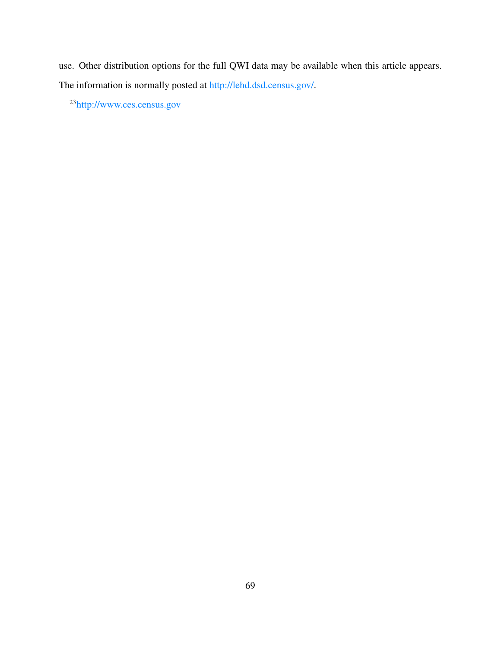use. Other distribution options for the full QWI data may be available when this article appears. The information is normally posted at [http://lehd.dsd.census.gov/.](http://lehd.dsd.census.gov/)

<sup>23</sup><http://www.ces.census.gov>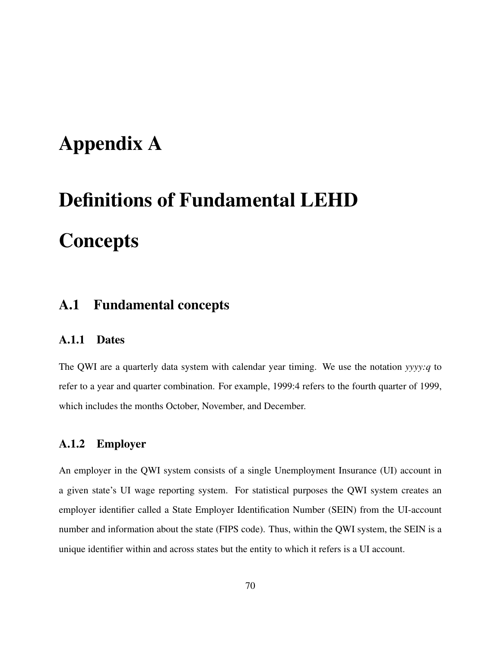# Appendix A

# Definitions of Fundamental LEHD **Concepts**

# A.1 Fundamental concepts

#### A.1.1 Dates

The QWI are a quarterly data system with calendar year timing. We use the notation *yyyy:q* to refer to a year and quarter combination. For example, 1999:4 refers to the fourth quarter of 1999, which includes the months October, November, and December.

#### A.1.2 Employer

An employer in the QWI system consists of a single Unemployment Insurance (UI) account in a given state's UI wage reporting system. For statistical purposes the QWI system creates an employer identifier called a State Employer Identification Number (SEIN) from the UI-account number and information about the state (FIPS code). Thus, within the QWI system, the SEIN is a unique identifier within and across states but the entity to which it refers is a UI account.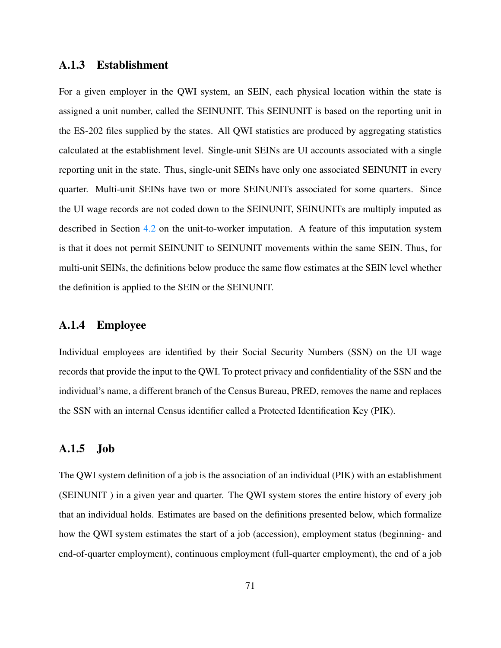#### A.1.3 Establishment

For a given employer in the QWI system, an SEIN, each physical location within the state is assigned a unit number, called the SEINUNIT. This SEINUNIT is based on the reporting unit in the ES-202 files supplied by the states. All QWI statistics are produced by aggregating statistics calculated at the establishment level. Single-unit SEINs are UI accounts associated with a single reporting unit in the state. Thus, single-unit SEINs have only one associated SEINUNIT in every quarter. Multi-unit SEINs have two or more SEINUNITs associated for some quarters. Since the UI wage records are not coded down to the SEINUNIT, SEINUNITs are multiply imputed as described in Section [4.2](#page-40-0) on the unit-to-worker imputation. A feature of this imputation system is that it does not permit SEINUNIT to SEINUNIT movements within the same SEIN. Thus, for multi-unit SEINs, the definitions below produce the same flow estimates at the SEIN level whether the definition is applied to the SEIN or the SEINUNIT.

#### A.1.4 Employee

Individual employees are identified by their Social Security Numbers (SSN) on the UI wage records that provide the input to the QWI. To protect privacy and confidentiality of the SSN and the individual's name, a different branch of the Census Bureau, PRED, removes the name and replaces the SSN with an internal Census identifier called a Protected Identification Key (PIK).

#### A.1.5 Job

The QWI system definition of a job is the association of an individual (PIK) with an establishment (SEINUNIT ) in a given year and quarter. The QWI system stores the entire history of every job that an individual holds. Estimates are based on the definitions presented below, which formalize how the QWI system estimates the start of a job (accession), employment status (beginning- and end-of-quarter employment), continuous employment (full-quarter employment), the end of a job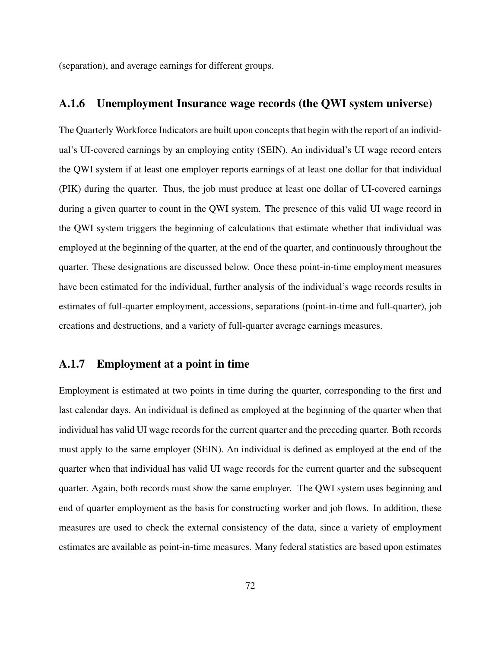(separation), and average earnings for different groups.

#### A.1.6 Unemployment Insurance wage records (the QWI system universe)

The Quarterly Workforce Indicators are built upon concepts that begin with the report of an individual's UI-covered earnings by an employing entity (SEIN). An individual's UI wage record enters the QWI system if at least one employer reports earnings of at least one dollar for that individual (PIK) during the quarter. Thus, the job must produce at least one dollar of UI-covered earnings during a given quarter to count in the QWI system. The presence of this valid UI wage record in the QWI system triggers the beginning of calculations that estimate whether that individual was employed at the beginning of the quarter, at the end of the quarter, and continuously throughout the quarter. These designations are discussed below. Once these point-in-time employment measures have been estimated for the individual, further analysis of the individual's wage records results in estimates of full-quarter employment, accessions, separations (point-in-time and full-quarter), job creations and destructions, and a variety of full-quarter average earnings measures.

#### A.1.7 Employment at a point in time

Employment is estimated at two points in time during the quarter, corresponding to the first and last calendar days. An individual is defined as employed at the beginning of the quarter when that individual has valid UI wage records for the current quarter and the preceding quarter. Both records must apply to the same employer (SEIN). An individual is defined as employed at the end of the quarter when that individual has valid UI wage records for the current quarter and the subsequent quarter. Again, both records must show the same employer. The QWI system uses beginning and end of quarter employment as the basis for constructing worker and job flows. In addition, these measures are used to check the external consistency of the data, since a variety of employment estimates are available as point-in-time measures. Many federal statistics are based upon estimates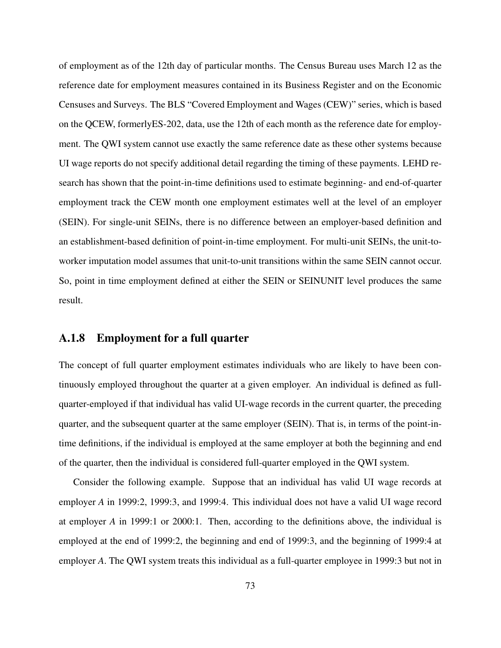of employment as of the 12th day of particular months. The Census Bureau uses March 12 as the reference date for employment measures contained in its Business Register and on the Economic Censuses and Surveys. The BLS "Covered Employment and Wages (CEW)" series, which is based on the QCEW, formerlyES-202, data, use the 12th of each month as the reference date for employment. The QWI system cannot use exactly the same reference date as these other systems because UI wage reports do not specify additional detail regarding the timing of these payments. LEHD research has shown that the point-in-time definitions used to estimate beginning- and end-of-quarter employment track the CEW month one employment estimates well at the level of an employer (SEIN). For single-unit SEINs, there is no difference between an employer-based definition and an establishment-based definition of point-in-time employment. For multi-unit SEINs, the unit-toworker imputation model assumes that unit-to-unit transitions within the same SEIN cannot occur. So, point in time employment defined at either the SEIN or SEINUNIT level produces the same result.

#### A.1.8 Employment for a full quarter

The concept of full quarter employment estimates individuals who are likely to have been continuously employed throughout the quarter at a given employer. An individual is defined as fullquarter-employed if that individual has valid UI-wage records in the current quarter, the preceding quarter, and the subsequent quarter at the same employer (SEIN). That is, in terms of the point-intime definitions, if the individual is employed at the same employer at both the beginning and end of the quarter, then the individual is considered full-quarter employed in the QWI system.

Consider the following example. Suppose that an individual has valid UI wage records at employer *A* in 1999:2, 1999:3, and 1999:4. This individual does not have a valid UI wage record at employer *A* in 1999:1 or 2000:1. Then, according to the definitions above, the individual is employed at the end of 1999:2, the beginning and end of 1999:3, and the beginning of 1999:4 at employer *A*. The QWI system treats this individual as a full-quarter employee in 1999:3 but not in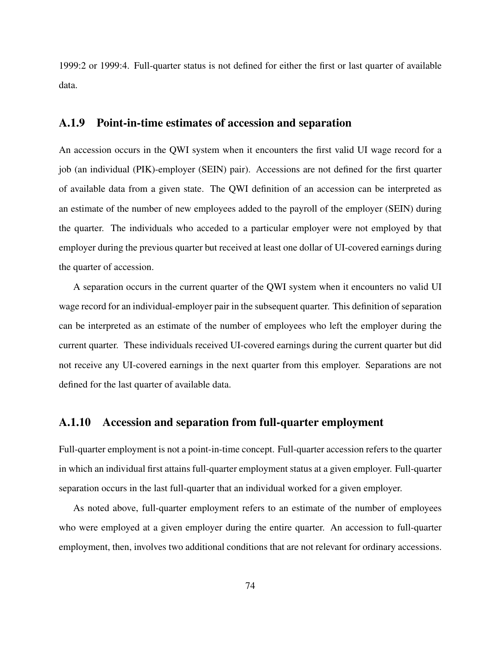1999:2 or 1999:4. Full-quarter status is not defined for either the first or last quarter of available data.

#### A.1.9 Point-in-time estimates of accession and separation

An accession occurs in the QWI system when it encounters the first valid UI wage record for a job (an individual (PIK)-employer (SEIN) pair). Accessions are not defined for the first quarter of available data from a given state. The QWI definition of an accession can be interpreted as an estimate of the number of new employees added to the payroll of the employer (SEIN) during the quarter. The individuals who acceded to a particular employer were not employed by that employer during the previous quarter but received at least one dollar of UI-covered earnings during the quarter of accession.

A separation occurs in the current quarter of the QWI system when it encounters no valid UI wage record for an individual-employer pair in the subsequent quarter. This definition of separation can be interpreted as an estimate of the number of employees who left the employer during the current quarter. These individuals received UI-covered earnings during the current quarter but did not receive any UI-covered earnings in the next quarter from this employer. Separations are not defined for the last quarter of available data.

#### A.1.10 Accession and separation from full-quarter employment

Full-quarter employment is not a point-in-time concept. Full-quarter accession refers to the quarter in which an individual first attains full-quarter employment status at a given employer. Full-quarter separation occurs in the last full-quarter that an individual worked for a given employer.

As noted above, full-quarter employment refers to an estimate of the number of employees who were employed at a given employer during the entire quarter. An accession to full-quarter employment, then, involves two additional conditions that are not relevant for ordinary accessions.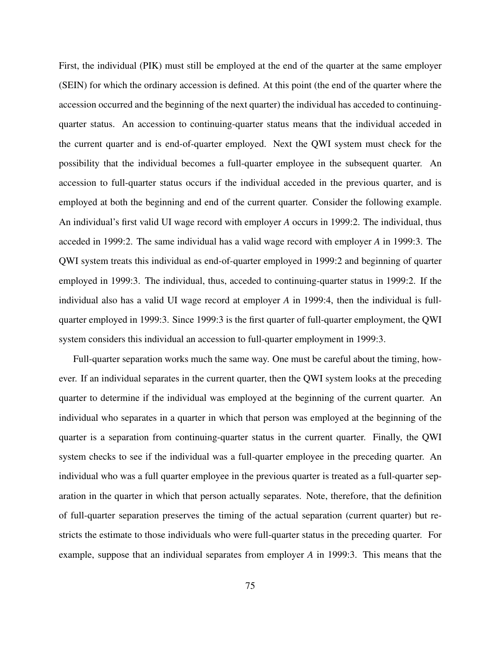First, the individual (PIK) must still be employed at the end of the quarter at the same employer (SEIN) for which the ordinary accession is defined. At this point (the end of the quarter where the accession occurred and the beginning of the next quarter) the individual has acceded to continuingquarter status. An accession to continuing-quarter status means that the individual acceded in the current quarter and is end-of-quarter employed. Next the QWI system must check for the possibility that the individual becomes a full-quarter employee in the subsequent quarter. An accession to full-quarter status occurs if the individual acceded in the previous quarter, and is employed at both the beginning and end of the current quarter. Consider the following example. An individual's first valid UI wage record with employer *A* occurs in 1999:2. The individual, thus acceded in 1999:2. The same individual has a valid wage record with employer *A* in 1999:3. The QWI system treats this individual as end-of-quarter employed in 1999:2 and beginning of quarter employed in 1999:3. The individual, thus, acceded to continuing-quarter status in 1999:2. If the individual also has a valid UI wage record at employer *A* in 1999:4, then the individual is fullquarter employed in 1999:3. Since 1999:3 is the first quarter of full-quarter employment, the QWI system considers this individual an accession to full-quarter employment in 1999:3.

Full-quarter separation works much the same way. One must be careful about the timing, however. If an individual separates in the current quarter, then the QWI system looks at the preceding quarter to determine if the individual was employed at the beginning of the current quarter. An individual who separates in a quarter in which that person was employed at the beginning of the quarter is a separation from continuing-quarter status in the current quarter. Finally, the QWI system checks to see if the individual was a full-quarter employee in the preceding quarter. An individual who was a full quarter employee in the previous quarter is treated as a full-quarter separation in the quarter in which that person actually separates. Note, therefore, that the definition of full-quarter separation preserves the timing of the actual separation (current quarter) but restricts the estimate to those individuals who were full-quarter status in the preceding quarter. For example, suppose that an individual separates from employer *A* in 1999:3. This means that the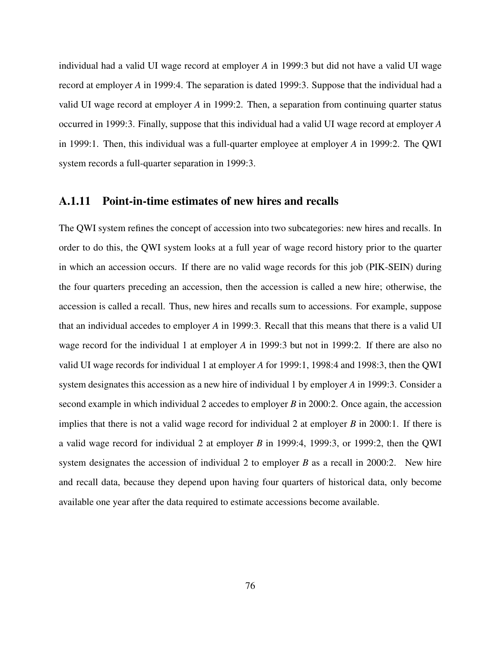individual had a valid UI wage record at employer *A* in 1999:3 but did not have a valid UI wage record at employer *A* in 1999:4. The separation is dated 1999:3. Suppose that the individual had a valid UI wage record at employer *A* in 1999:2. Then, a separation from continuing quarter status occurred in 1999:3. Finally, suppose that this individual had a valid UI wage record at employer *A* in 1999:1. Then, this individual was a full-quarter employee at employer *A* in 1999:2. The QWI system records a full-quarter separation in 1999:3.

#### A.1.11 Point-in-time estimates of new hires and recalls

The QWI system refines the concept of accession into two subcategories: new hires and recalls. In order to do this, the QWI system looks at a full year of wage record history prior to the quarter in which an accession occurs. If there are no valid wage records for this job (PIK-SEIN) during the four quarters preceding an accession, then the accession is called a new hire; otherwise, the accession is called a recall. Thus, new hires and recalls sum to accessions. For example, suppose that an individual accedes to employer *A* in 1999:3. Recall that this means that there is a valid UI wage record for the individual 1 at employer *A* in 1999:3 but not in 1999:2. If there are also no valid UI wage records for individual 1 at employer *A* for 1999:1, 1998:4 and 1998:3, then the QWI system designates this accession as a new hire of individual 1 by employer *A* in 1999:3. Consider a second example in which individual 2 accedes to employer *B* in 2000:2. Once again, the accession implies that there is not a valid wage record for individual 2 at employer *B* in 2000:1. If there is a valid wage record for individual 2 at employer *B* in 1999:4, 1999:3, or 1999:2, then the QWI system designates the accession of individual 2 to employer *B* as a recall in 2000:2. New hire and recall data, because they depend upon having four quarters of historical data, only become available one year after the data required to estimate accessions become available.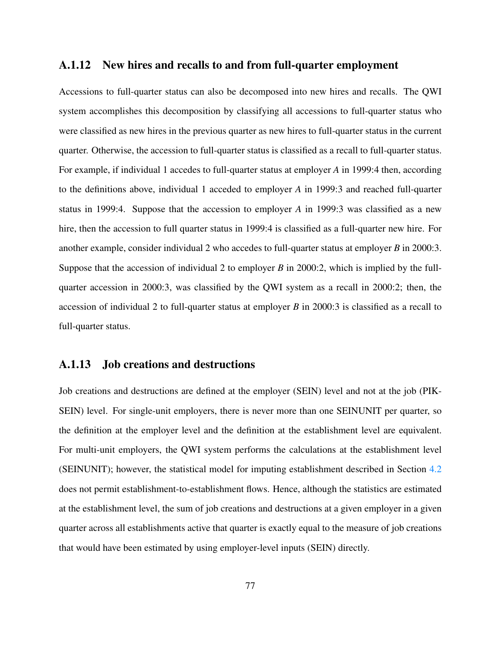#### A.1.12 New hires and recalls to and from full-quarter employment

Accessions to full-quarter status can also be decomposed into new hires and recalls. The QWI system accomplishes this decomposition by classifying all accessions to full-quarter status who were classified as new hires in the previous quarter as new hires to full-quarter status in the current quarter. Otherwise, the accession to full-quarter status is classified as a recall to full-quarter status. For example, if individual 1 accedes to full-quarter status at employer *A* in 1999:4 then, according to the definitions above, individual 1 acceded to employer *A* in 1999:3 and reached full-quarter status in 1999:4. Suppose that the accession to employer *A* in 1999:3 was classified as a new hire, then the accession to full quarter status in 1999:4 is classified as a full-quarter new hire. For another example, consider individual 2 who accedes to full-quarter status at employer *B* in 2000:3. Suppose that the accession of individual 2 to employer *B* in 2000:2, which is implied by the fullquarter accession in 2000:3, was classified by the QWI system as a recall in 2000:2; then, the accession of individual 2 to full-quarter status at employer *B* in 2000:3 is classified as a recall to full-quarter status.

#### A.1.13 Job creations and destructions

Job creations and destructions are defined at the employer (SEIN) level and not at the job (PIK-SEIN) level. For single-unit employers, there is never more than one SEINUNIT per quarter, so the definition at the employer level and the definition at the establishment level are equivalent. For multi-unit employers, the QWI system performs the calculations at the establishment level (SEINUNIT); however, the statistical model for imputing establishment described in Section [4.2](#page-40-0) does not permit establishment-to-establishment flows. Hence, although the statistics are estimated at the establishment level, the sum of job creations and destructions at a given employer in a given quarter across all establishments active that quarter is exactly equal to the measure of job creations that would have been estimated by using employer-level inputs (SEIN) directly.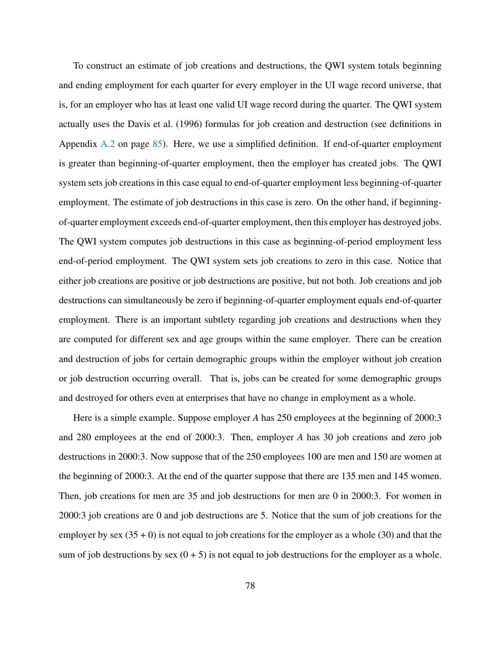To construct an estimate of job creations and destructions, the QWI system totals beginning and ending employment for each quarter for every employer in the UI wage record universe, that is, for an employer who has at least one valid UI wage record during the quarter. The QWI system actually uses the [Davis et al.](#page-72-0) [\(1996\)](#page-72-0) formulas for job creation and destruction (see definitions in Appendix [A.2](#page-92-0) on page [85\)](#page-92-0). Here, we use a simplified definition. If end-of-quarter employment is greater than beginning-of-quarter employment, then the employer has created jobs. The QWI system sets job creations in this case equal to end-of-quarter employment less beginning-of-quarter employment. The estimate of job destructions in this case is zero. On the other hand, if beginningof-quarter employment exceeds end-of-quarter employment, then this employer has destroyed jobs. The QWI system computes job destructions in this case as beginning-of-period employment less end-of-period employment. The QWI system sets job creations to zero in this case. Notice that either job creations are positive or job destructions are positive, but not both. Job creations and job destructions can simultaneously be zero if beginning-of-quarter employment equals end-of-quarter employment. There is an important subtlety regarding job creations and destructions when they are computed for different sex and age groups within the same employer. There can be creation and destruction of jobs for certain demographic groups within the employer without job creation or job destruction occurring overall. That is, jobs can be created for some demographic groups and destroyed for others even at enterprises that have no change in employment as a whole.

Here is a simple example. Suppose employer *A* has 250 employees at the beginning of 2000:3 and 280 employees at the end of 2000:3. Then, employer *A* has 30 job creations and zero job destructions in 2000:3. Now suppose that of the 250 employees 100 are men and 150 are women at the beginning of 2000:3. At the end of the quarter suppose that there are 135 men and 145 women. Then, job creations for men are 35 and job destructions for men are 0 in 2000:3. For women in 2000:3 job creations are 0 and job destructions are 5. Notice that the sum of job creations for the employer by sex  $(35 + 0)$  is not equal to job creations for the employer as a whole  $(30)$  and that the sum of job destructions by sex  $(0 + 5)$  is not equal to job destructions for the employer as a whole.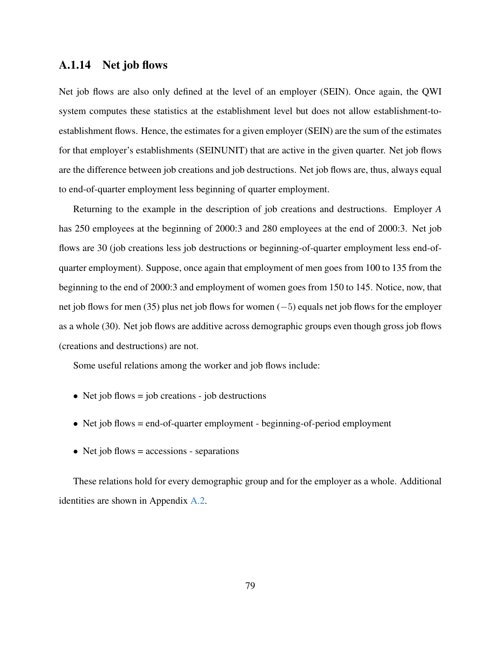#### A.1.14 Net job flows

Net job flows are also only defined at the level of an employer (SEIN). Once again, the QWI system computes these statistics at the establishment level but does not allow establishment-toestablishment flows. Hence, the estimates for a given employer (SEIN) are the sum of the estimates for that employer's establishments (SEINUNIT) that are active in the given quarter. Net job flows are the difference between job creations and job destructions. Net job flows are, thus, always equal to end-of-quarter employment less beginning of quarter employment.

Returning to the example in the description of job creations and destructions. Employer *A* has 250 employees at the beginning of 2000:3 and 280 employees at the end of 2000:3. Net job flows are 30 (job creations less job destructions or beginning-of-quarter employment less end-ofquarter employment). Suppose, once again that employment of men goes from 100 to 135 from the beginning to the end of 2000:3 and employment of women goes from 150 to 145. Notice, now, that net job flows for men (35) plus net job flows for women (−5) equals net job flows for the employer as a whole (30). Net job flows are additive across demographic groups even though gross job flows (creations and destructions) are not.

Some useful relations among the worker and job flows include:

- Net job flows  $=$  job creations job destructions
- Net job flows = end-of-quarter employment beginning-of-period employment
- Net job flows  $=$  accessions separations

These relations hold for every demographic group and for the employer as a whole. Additional identities are shown in Appendix [A.2.](#page-92-0)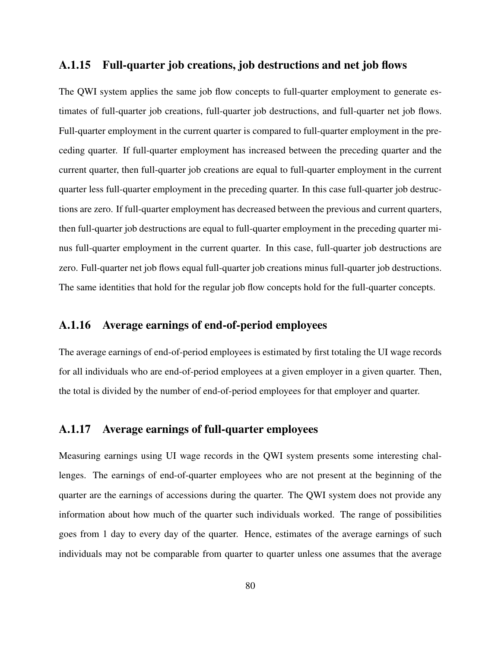#### A.1.15 Full-quarter job creations, job destructions and net job flows

The QWI system applies the same job flow concepts to full-quarter employment to generate estimates of full-quarter job creations, full-quarter job destructions, and full-quarter net job flows. Full-quarter employment in the current quarter is compared to full-quarter employment in the preceding quarter. If full-quarter employment has increased between the preceding quarter and the current quarter, then full-quarter job creations are equal to full-quarter employment in the current quarter less full-quarter employment in the preceding quarter. In this case full-quarter job destructions are zero. If full-quarter employment has decreased between the previous and current quarters, then full-quarter job destructions are equal to full-quarter employment in the preceding quarter minus full-quarter employment in the current quarter. In this case, full-quarter job destructions are zero. Full-quarter net job flows equal full-quarter job creations minus full-quarter job destructions. The same identities that hold for the regular job flow concepts hold for the full-quarter concepts.

#### A.1.16 Average earnings of end-of-period employees

The average earnings of end-of-period employees is estimated by first totaling the UI wage records for all individuals who are end-of-period employees at a given employer in a given quarter. Then, the total is divided by the number of end-of-period employees for that employer and quarter.

#### A.1.17 Average earnings of full-quarter employees

Measuring earnings using UI wage records in the QWI system presents some interesting challenges. The earnings of end-of-quarter employees who are not present at the beginning of the quarter are the earnings of accessions during the quarter. The QWI system does not provide any information about how much of the quarter such individuals worked. The range of possibilities goes from 1 day to every day of the quarter. Hence, estimates of the average earnings of such individuals may not be comparable from quarter to quarter unless one assumes that the average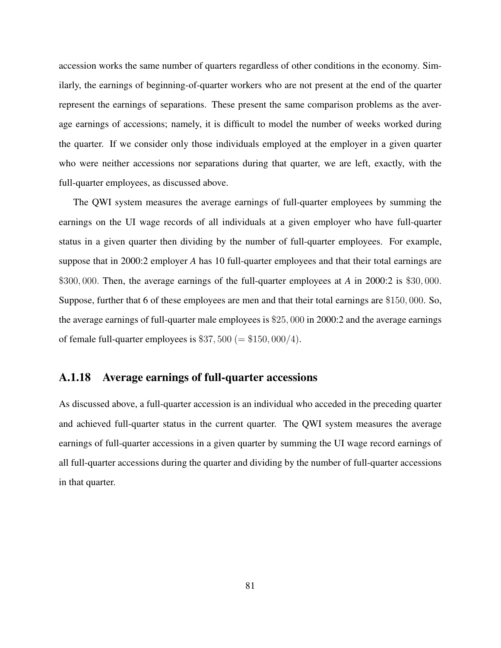accession works the same number of quarters regardless of other conditions in the economy. Similarly, the earnings of beginning-of-quarter workers who are not present at the end of the quarter represent the earnings of separations. These present the same comparison problems as the average earnings of accessions; namely, it is difficult to model the number of weeks worked during the quarter. If we consider only those individuals employed at the employer in a given quarter who were neither accessions nor separations during that quarter, we are left, exactly, with the full-quarter employees, as discussed above.

The QWI system measures the average earnings of full-quarter employees by summing the earnings on the UI wage records of all individuals at a given employer who have full-quarter status in a given quarter then dividing by the number of full-quarter employees. For example, suppose that in 2000:2 employer *A* has 10 full-quarter employees and that their total earnings are \$300, 000. Then, the average earnings of the full-quarter employees at *A* in 2000:2 is \$30, 000. Suppose, further that 6 of these employees are men and that their total earnings are \$150, 000. So, the average earnings of full-quarter male employees is \$25, 000 in 2000:2 and the average earnings of female full-quarter employees is  $$37,500 (= $150,000/4)$ .

#### A.1.18 Average earnings of full-quarter accessions

As discussed above, a full-quarter accession is an individual who acceded in the preceding quarter and achieved full-quarter status in the current quarter. The QWI system measures the average earnings of full-quarter accessions in a given quarter by summing the UI wage record earnings of all full-quarter accessions during the quarter and dividing by the number of full-quarter accessions in that quarter.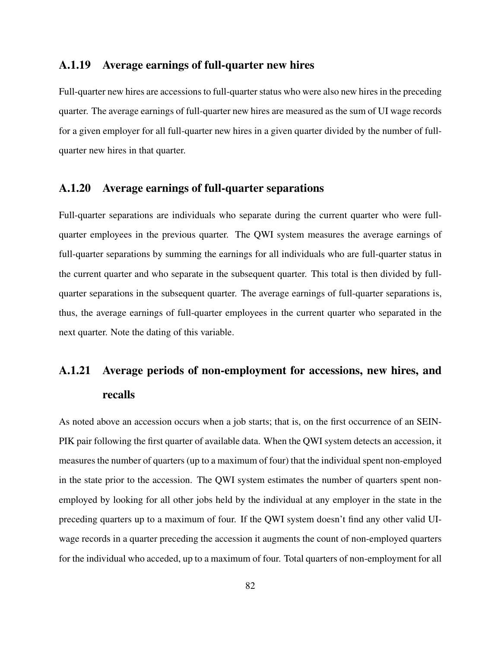#### A.1.19 Average earnings of full-quarter new hires

Full-quarter new hires are accessions to full-quarter status who were also new hires in the preceding quarter. The average earnings of full-quarter new hires are measured as the sum of UI wage records for a given employer for all full-quarter new hires in a given quarter divided by the number of fullquarter new hires in that quarter.

#### A.1.20 Average earnings of full-quarter separations

Full-quarter separations are individuals who separate during the current quarter who were fullquarter employees in the previous quarter. The QWI system measures the average earnings of full-quarter separations by summing the earnings for all individuals who are full-quarter status in the current quarter and who separate in the subsequent quarter. This total is then divided by fullquarter separations in the subsequent quarter. The average earnings of full-quarter separations is, thus, the average earnings of full-quarter employees in the current quarter who separated in the next quarter. Note the dating of this variable.

# A.1.21 Average periods of non-employment for accessions, new hires, and recalls

As noted above an accession occurs when a job starts; that is, on the first occurrence of an SEIN-PIK pair following the first quarter of available data. When the QWI system detects an accession, it measures the number of quarters (up to a maximum of four) that the individual spent non-employed in the state prior to the accession. The QWI system estimates the number of quarters spent nonemployed by looking for all other jobs held by the individual at any employer in the state in the preceding quarters up to a maximum of four. If the QWI system doesn't find any other valid UIwage records in a quarter preceding the accession it augments the count of non-employed quarters for the individual who acceded, up to a maximum of four. Total quarters of non-employment for all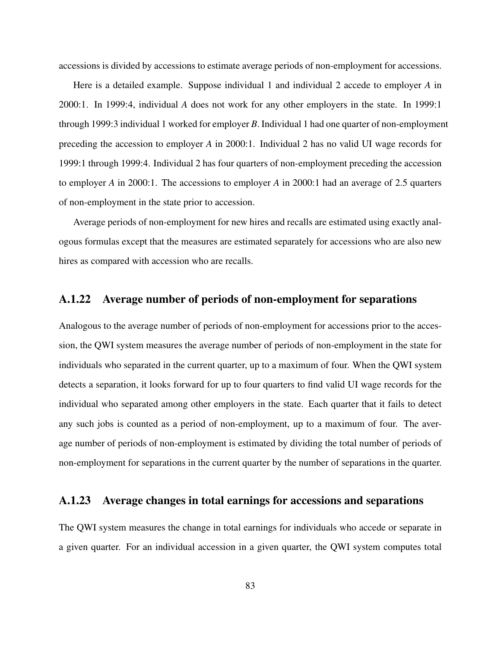accessions is divided by accessions to estimate average periods of non-employment for accessions.

Here is a detailed example. Suppose individual 1 and individual 2 accede to employer *A* in 2000:1. In 1999:4, individual *A* does not work for any other employers in the state. In 1999:1 through 1999:3 individual 1 worked for employer *B*. Individual 1 had one quarter of non-employment preceding the accession to employer *A* in 2000:1. Individual 2 has no valid UI wage records for 1999:1 through 1999:4. Individual 2 has four quarters of non-employment preceding the accession to employer *A* in 2000:1. The accessions to employer *A* in 2000:1 had an average of 2.5 quarters of non-employment in the state prior to accession.

Average periods of non-employment for new hires and recalls are estimated using exactly analogous formulas except that the measures are estimated separately for accessions who are also new hires as compared with accession who are recalls.

#### A.1.22 Average number of periods of non-employment for separations

Analogous to the average number of periods of non-employment for accessions prior to the accession, the QWI system measures the average number of periods of non-employment in the state for individuals who separated in the current quarter, up to a maximum of four. When the QWI system detects a separation, it looks forward for up to four quarters to find valid UI wage records for the individual who separated among other employers in the state. Each quarter that it fails to detect any such jobs is counted as a period of non-employment, up to a maximum of four. The average number of periods of non-employment is estimated by dividing the total number of periods of non-employment for separations in the current quarter by the number of separations in the quarter.

#### A.1.23 Average changes in total earnings for accessions and separations

The QWI system measures the change in total earnings for individuals who accede or separate in a given quarter. For an individual accession in a given quarter, the QWI system computes total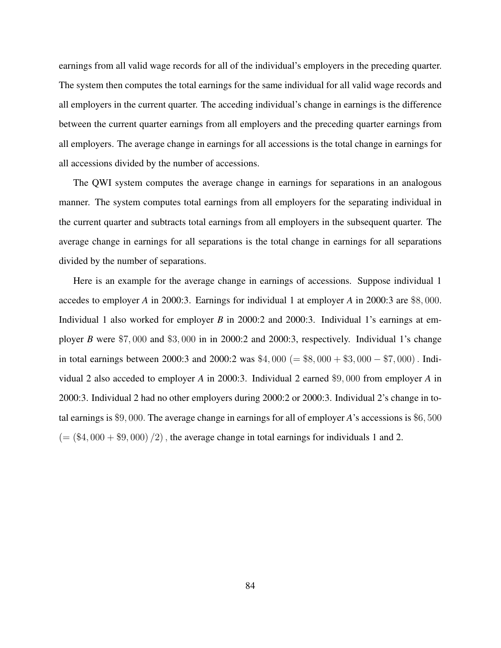earnings from all valid wage records for all of the individual's employers in the preceding quarter. The system then computes the total earnings for the same individual for all valid wage records and all employers in the current quarter. The acceding individual's change in earnings is the difference between the current quarter earnings from all employers and the preceding quarter earnings from all employers. The average change in earnings for all accessions is the total change in earnings for all accessions divided by the number of accessions.

The QWI system computes the average change in earnings for separations in an analogous manner. The system computes total earnings from all employers for the separating individual in the current quarter and subtracts total earnings from all employers in the subsequent quarter. The average change in earnings for all separations is the total change in earnings for all separations divided by the number of separations.

Here is an example for the average change in earnings of accessions. Suppose individual 1 accedes to employer *A* in 2000:3. Earnings for individual 1 at employer *A* in 2000:3 are \$8, 000. Individual 1 also worked for employer *B* in 2000:2 and 2000:3. Individual 1's earnings at employer *B* were \$7, 000 and \$3, 000 in in 2000:2 and 2000:3, respectively. Individual 1's change in total earnings between 2000:3 and 2000:2 was  $$4,000 (= $8,000 + $3,000 - $7,000)$ . Individual 2 also acceded to employer *A* in 2000:3. Individual 2 earned \$9, 000 from employer *A* in 2000:3. Individual 2 had no other employers during 2000:2 or 2000:3. Individual 2's change in total earnings is \$9, 000. The average change in earnings for all of employer *A*'s accessions is \$6, 500  $(=(\$4,000 + \$9,000) /2)$ , the average change in total earnings for individuals 1 and 2.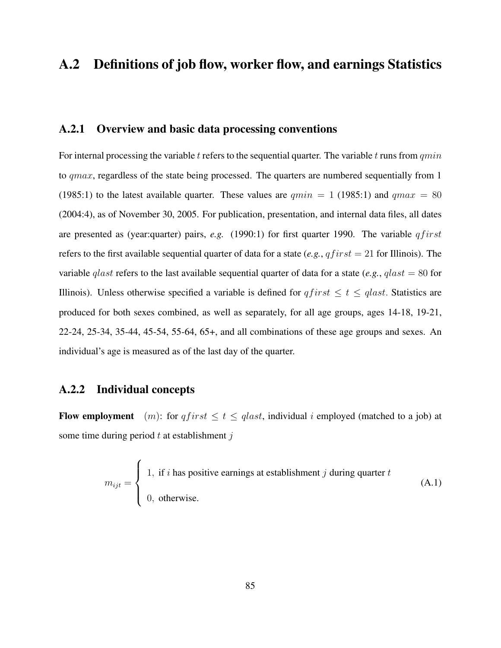## <span id="page-92-0"></span>A.2 Definitions of job flow, worker flow, and earnings Statistics

#### A.2.1 Overview and basic data processing conventions

For internal processing the variable t refers to the sequential quarter. The variable t runs from  $qmin$ to *qmax*, regardless of the state being processed. The quarters are numbered sequentially from 1 (1985:1) to the latest available quarter. These values are  $qmin = 1$  (1985:1) and  $qmax = 80$ (2004:4), as of November 30, 2005. For publication, presentation, and internal data files, all dates are presented as (year:quarter) pairs, *e.g.* (1990:1) for first quarter 1990. The variable *qf irst* refers to the first available sequential quarter of data for a state  $(e.g., qfirst = 21$  for Illinois). The variable *qlast* refers to the last available sequential quarter of data for a state (*e.g.*, *qlast* = 80 for Illinois). Unless otherwise specified a variable is defined for  $qfirst \le t \le qlast$ . Statistics are produced for both sexes combined, as well as separately, for all age groups, ages 14-18, 19-21, 22-24, 25-34, 35-44, 45-54, 55-64, 65+, and all combinations of these age groups and sexes. An individual's age is measured as of the last day of the quarter.

#### A.2.2 Individual concepts

Flow employment (m): for  $qfirst \le t \le qlast$ , individual i employed (matched to a job) at some time during period  $t$  at establishment  $j$ 

$$
m_{ijt} = \begin{cases} 1, & \text{if } i \text{ has positive earnings at establishment } j \text{ during quarter } t \\ 0, & \text{otherwise.} \end{cases}
$$
 (A.1)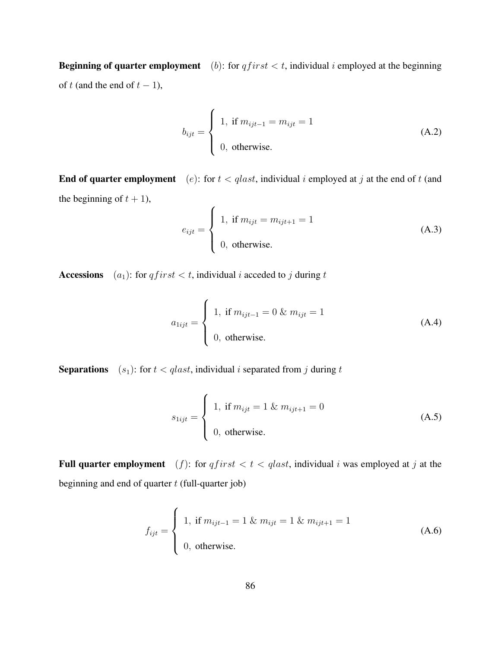**Beginning of quarter employment** (b): for  $qfirst < t$ , individual i employed at the beginning of t (and the end of  $t - 1$ ),

$$
b_{ijt} = \begin{cases} 1, & \text{if } m_{ijt-1} = m_{ijt} = 1 \\ 0, & \text{otherwise.} \end{cases}
$$
 (A.2)

**End of quarter employment** (e): for  $t < q$  last, individual i employed at j at the end of t (and the beginning of  $t + 1$ ),

$$
e_{ijt} = \begin{cases} 1, & \text{if } m_{ijt} = m_{ijt+1} = 1 \\ 0, & \text{otherwise.} \end{cases}
$$
 (A.3)

Accessions  $(a_1)$ : for  $qfirst < t$ , individual i acceded to j during t

$$
a_{1ijt} = \begin{cases} 1, & \text{if } m_{ijt-1} = 0 \& m_{ijt} = 1 \\ 0, & \text{otherwise.} \end{cases}
$$
 (A.4)

**Separations** (s<sub>1</sub>): for  $t < glast$ , individual i separated from j during t

$$
s_{1ijt} = \begin{cases} 1, & \text{if } m_{ijt} = 1 \& m_{ijt+1} = 0 \\ 0, & \text{otherwise.} \end{cases}
$$
 (A.5)

Full quarter employment (f): for  $qfirst < t < qlast$ , individual i was employed at j at the beginning and end of quarter  $t$  (full-quarter job)

$$
f_{ijt} = \begin{cases} 1, & \text{if } m_{ijt-1} = 1 \& m_{ijt} = 1 \& m_{ijt+1} = 1 \\ 0, & \text{otherwise.} \end{cases}
$$
 (A.6)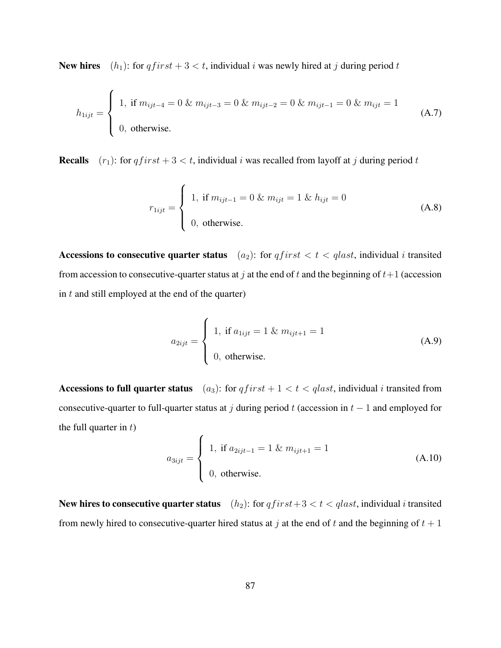New hires  $(h_1)$ : for  $qfirst + 3 < t$ , individual i was newly hired at j during period t

$$
h_{1ijt} = \begin{cases} 1, & \text{if } m_{ijt-4} = 0 \& m_{ijt-3} = 0 \& m_{ijt-2} = 0 \& m_{ijt-1} = 0 \& m_{ijt} = 1 \\ 0, & \text{otherwise.} \end{cases}
$$
 (A.7)

**Recalls**  $(r_1)$ : for  $qfirst + 3 < t$ , individual i was recalled from layoff at j during period t

$$
r_{1ijt} = \begin{cases} 1, & \text{if } m_{ijt-1} = 0 \& m_{ijt} = 1 \& h_{ijt} = 0 \\ 0, & \text{otherwise.} \end{cases}
$$
 (A.8)

Accessions to consecutive quarter status  $(a_2)$ : for  $qfirst < t < qlast$ , individual i transited from accession to consecutive-quarter status at j at the end of t and the beginning of  $t+1$  (accession in  $t$  and still employed at the end of the quarter)

$$
a_{2ijt} = \begin{cases} 1, & \text{if } a_{1ijt} = 1 \& m_{ijt+1} = 1 \\ 0, & \text{otherwise.} \end{cases}
$$
 (A.9)

Accessions to full quarter status  $(a_3)$ : for  $qfirst + 1 < t < qlast$ , individual i transited from consecutive-quarter to full-quarter status at j during period t (accession in  $t - 1$  and employed for the full quarter in  $t$ )

$$
a_{3ijt} = \begin{cases} 1, & \text{if } a_{2ijt-1} = 1 \& m_{ijt+1} = 1 \\ 0, & \text{otherwise.} \end{cases}
$$
 (A.10)

New hires to consecutive quarter status  $(h_2)$ : for  $qfirst+3 < t < qlast$ , individual i transited from newly hired to consecutive-quarter hired status at j at the end of t and the beginning of  $t + 1$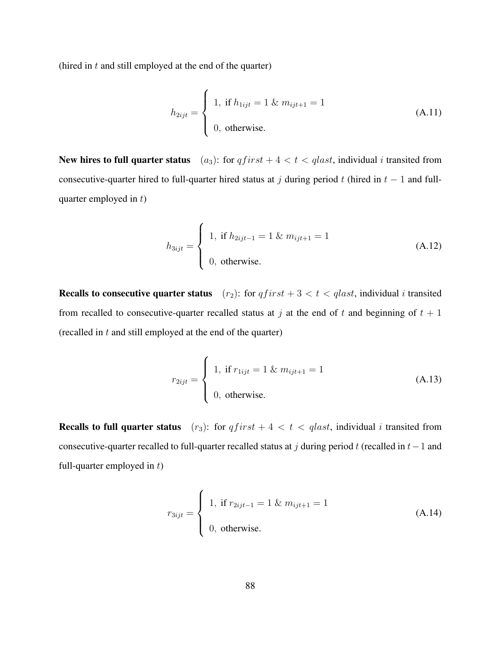(hired in  $t$  and still employed at the end of the quarter)

$$
h_{2ijt} = \begin{cases} 1, & \text{if } h_{1ijt} = 1 \& m_{ijt+1} = 1 \\ 0, & \text{otherwise.} \end{cases}
$$
 (A.11)

New hires to full quarter status  $(a_3)$ : for  $qfirst + 4 < t < qlast$ , individual i transited from consecutive-quarter hired to full-quarter hired status at j during period t (hired in  $t - 1$  and fullquarter employed in  $t$ )

 $\overline{ }$ 

$$
h_{3ijt} = \begin{cases} 1, & \text{if } h_{2ijt-1} = 1 \& m_{ijt+1} = 1 \\ 0, & \text{otherwise.} \end{cases}
$$
 (A.12)

**Recalls to consecutive quarter status**  $(r_2)$ : for  $qfirst + 3 < t < qlast$ , individual i transited from recalled to consecutive-quarter recalled status at j at the end of t and beginning of  $t + 1$ (recalled in  $t$  and still employed at the end of the quarter)

$$
r_{2ijt} = \begin{cases} 1, & \text{if } r_{1ijt} = 1 \& m_{ijt+1} = 1 \\ 0, & \text{otherwise.} \end{cases}
$$
 (A.13)

**Recalls to full quarter status**  $(r_3)$ : for  $qfirst + 4 < t < qlast$ , individual i transited from consecutive-quarter recalled to full-quarter recalled status at j during period t (recalled in  $t-1$  and full-quarter employed in  $t$ )

$$
r_{3ijt} = \begin{cases} 1, & \text{if } r_{2ijt-1} = 1 \& m_{ijt+1} = 1 \\ 0, & \text{otherwise.} \end{cases}
$$
 (A.14)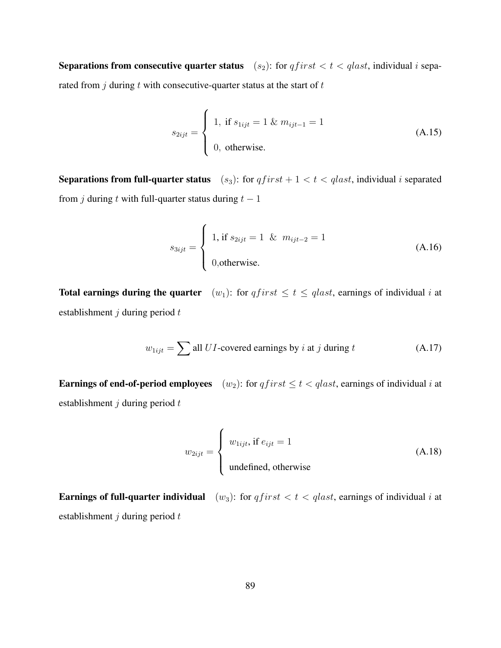Separations from consecutive quarter status  $(s_2)$ : for  $qfirst < t < qlast$ , individual i separated from  $j$  during  $t$  with consecutive-quarter status at the start of  $t$ 

$$
s_{2ijt} = \begin{cases} 1, & \text{if } s_{1ijt} = 1 \& m_{ijt-1} = 1 \\ 0, & \text{otherwise.} \end{cases}
$$
 (A.15)

**Separations from full-quarter status** ( $s_3$ ): for  $qfirst + 1 < t < qlast$ , individual i separated from j during t with full-quarter status during  $t - 1$ 

$$
s_{3ijt} = \begin{cases} 1, & \text{if } s_{2ijt} = 1 \& m_{ijt-2} = 1 \\ 0, & \text{otherwise.} \end{cases}
$$
 (A.16)

Total earnings during the quarter  $(w_1)$ : for  $qfirst \le t \le qlast$ , earnings of individual i at establishment  $j$  during period  $t$ 

$$
w_{1ijt} = \sum \text{all } UI\text{-covered earnings by } i \text{ at } j \text{ during } t \tag{A.17}
$$

**Earnings of end-of-period employees**  $(w_2)$ : for  $qfirst \le t < qlast$ , earnings of individual i at establishment  $j$  during period  $t$ 

$$
w_{2ijt} = \begin{cases} w_{1ijt}, \text{ if } e_{ijt} = 1\\ \text{undefined, otherwise} \end{cases}
$$
 (A.18)

**Earnings of full-quarter individual**  $(w_3)$ : for  $qfirst < t < qlast$ , earnings of individual i at establishment  $j$  during period  $t$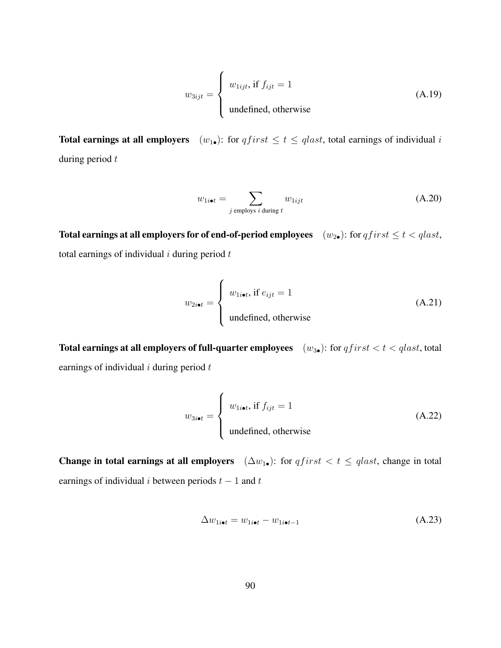$$
w_{3ijt} = \begin{cases} w_{1ijt}, \text{ if } f_{ijt} = 1\\ \text{undefined, otherwise} \end{cases}
$$
 (A.19)

Total earnings at all employers  $(w_{1\bullet})$ : for  $qfirst \le t \le qlast$ , total earnings of individual i during period  $t$ 

$$
w_{1i \bullet t} = \sum_{j \text{ employs } i \text{ during } t} w_{1ijt}
$$
 (A.20)

Total earnings at all employers for of end-of-period employees  $(w_{2\bullet})$ : for  $qfirst \leq t < qlast$ , total earnings of individual  $i$  during period  $t$ 

$$
w_{2i \bullet t} = \begin{cases} w_{1i \bullet t}, \text{ if } e_{ijt} = 1 \\ \text{undefined, otherwise} \end{cases}
$$
 (A.21)

Total earnings at all employers of full-quarter employees  $(w_{3\bullet})$ : for  $qfirst < t < qlast$ , total earnings of individual  $i$  during period  $t$ 

$$
w_{3i \bullet t} = \begin{cases} w_{1i \bullet t}, \text{ if } f_{ijt} = 1 \\ \text{undefined, otherwise} \end{cases}
$$
 (A.22)

Change in total earnings at all employers  $(\Delta w_{1\bullet})$ : for  $qfirst < t \leq qlast$ , change in total earnings of individual i between periods  $t - 1$  and  $t$ 

$$
\Delta w_{1i \bullet t} = w_{1i \bullet t} - w_{1i \bullet t - 1} \tag{A.23}
$$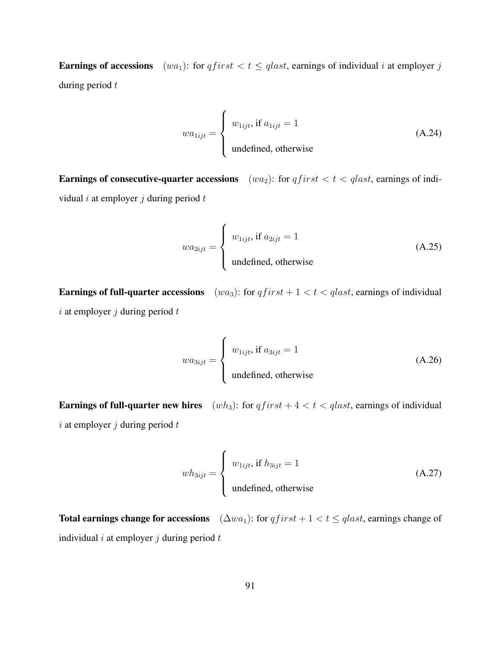**Earnings of accessions**  $(wa_1)$ : for  $qfirst < t \leq qlast$ , earnings of individual i at employer j during period  $t$ 

$$
wa_{1ijt} = \begin{cases} w_{1ijt}, \text{ if } a_{1ijt} = 1\\ \text{undefined, otherwise} \end{cases}
$$
 (A.24)

Earnings of consecutive-quarter accessions  $(wa_2)$ : for  $qfirst < t < qlast$ , earnings of individual  $i$  at employer  $j$  during period  $t$ 

$$
wa_{2ijt} = \begin{cases} w_{1ijt}, \text{ if } a_{2ijt} = 1\\ \text{undefined, otherwise} \end{cases}
$$
 (A.25)

**Earnings of full-quarter accessions** (wa<sub>3</sub>): for  $qfirst + 1 < t < qlast$ , earnings of individual  $i$  at employer  $j$  during period  $t$ 

$$
wa_{3ijt} = \begin{cases} w_{1ijt}, \text{ if } a_{3ijt} = 1\\ \text{undefined, otherwise} \end{cases}
$$
 (A.26)

**Earnings of full-quarter new hires**  $(wh_3)$ : for  $qfirst + 4 < t < qlast$ , earnings of individual i at employer  $j$  during period  $t$ 

$$
wh_{3ijt} = \begin{cases} w_{1ijt}, \text{ if } h_{3ijt} = 1\\ \text{undefined, otherwise} \end{cases}
$$
 (A.27)

Total earnings change for accessions  $(\Delta w a_1)$ : for  $qfirst + 1 < t \leq qlast$ , earnings change of individual  $i$  at employer  $j$  during period  $t$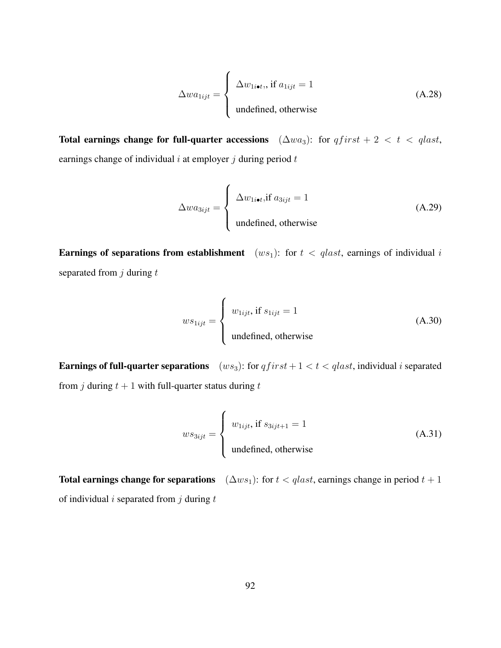$$
\Delta w a_{1ijt} = \begin{cases} \Delta w_{1i \bullet t}, & \text{if } a_{1ijt} = 1 \\ \text{undefined, otherwise} \end{cases}
$$
 (A.28)

Total earnings change for full-quarter accessions  $(\Delta w a_3)$ : for  $qfirst + 2 < t < qlast$ , earnings change of individual  $i$  at employer  $j$  during period  $t$ 

$$
\Delta w a_{3ijt} = \begin{cases} \Delta w_{1i \bullet t}, & \text{if } a_{3ijt} = 1\\ \text{undefined, otherwise} \end{cases}
$$
 (A.29)

**Earnings of separations from establishment** (ws<sub>1</sub>): for  $t < glast$ , earnings of individual i separated from  $j$  during  $t$ 

$$
ws_{1ijt} = \begin{cases} w_{1ijt}, \text{ if } s_{1ijt} = 1\\ \text{undefined, otherwise} \end{cases}
$$
 (A.30)

**Earnings of full-quarter separations**  $(ws_3)$ : for  $qfirst+1 < t < qlast$ , individual i separated from j during  $t + 1$  with full-quarter status during t

$$
ws_{3ijt} = \begin{cases} w_{1ijt}, \text{ if } s_{3ijt+1} = 1\\ \text{undefined, otherwise} \end{cases}
$$
 (A.31)

Total earnings change for separations  $(\Delta ws_1)$ : for  $t < qlast$ , earnings change in period  $t + 1$ of individual  $i$  separated from  $j$  during  $t$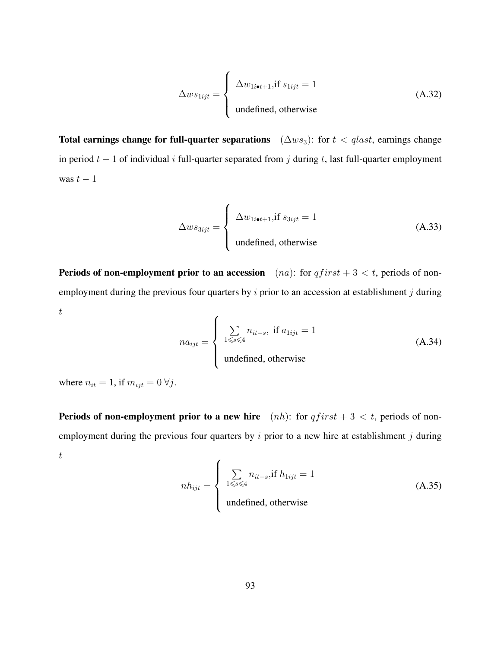$$
\Delta w s_{1ijt} = \begin{cases} \Delta w_{1i \bullet t+1}, & \text{if } s_{1ijt} = 1 \\ \text{undefined, otherwise} \end{cases}
$$
 (A.32)

Total earnings change for full-quarter separations  $(\Delta ws_3)$ : for  $t < glass$ , earnings change in period  $t + 1$  of individual i full-quarter separated from j during t, last full-quarter employment was  $t-1$ 

$$
\Delta w s_{3ijt} = \begin{cases} \Delta w_{1i \bullet t+1}, & \text{if } s_{3ijt} = 1 \\ \text{undefined, otherwise} \end{cases}
$$
 (A.33)

**Periods of non-employment prior to an accession** (na): for  $qfirst + 3 < t$ , periods of nonemployment during the previous four quarters by  $i$  prior to an accession at establishment  $j$  during t  $\epsilon$ 

$$
na_{ijt} = \begin{cases} \sum_{1 \le s \le 4} n_{it-s}, & \text{if } a_{1ijt} = 1\\ \text{undefined}, & \text{otherwise} \end{cases}
$$
 (A.34)

where  $n_{it} = 1$ , if  $m_{ijt} = 0 \forall j$ .

**Periods of non-employment prior to a new hire**  $(nh)$ : for  $qfirst + 3 < t$ , periods of nonemployment during the previous four quarters by  $i$  prior to a new hire at establishment  $j$  during t

$$
nh_{ijt} = \begin{cases} \sum_{1 \le s \le 4} n_{it-s}, & \text{if } h_{1ijt} = 1\\ \text{undefined}, & \text{otherwise} \end{cases}
$$
 (A.35)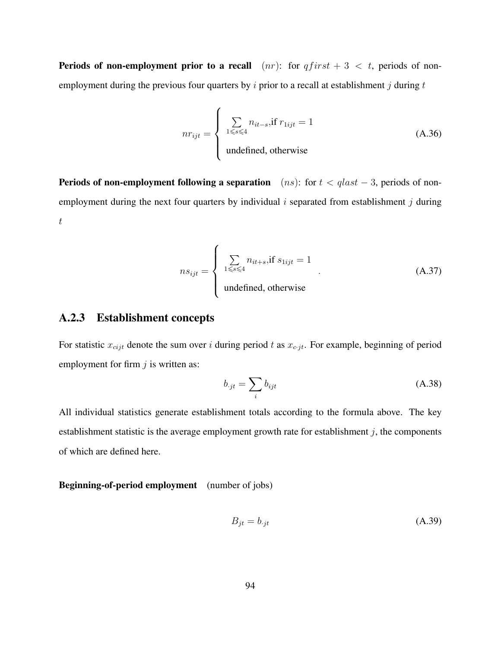Periods of non-employment prior to a recall  $(nr)$ : for  $qfirst + 3 < t$ , periods of nonemployment during the previous four quarters by  $i$  prior to a recall at establishment  $j$  during  $t$ 

$$
nr_{ijt} = \begin{cases} \sum_{1 \leq s \leq 4} n_{it-s}, \text{if } r_{1ijt} = 1\\ \text{undefined, otherwise} \end{cases}
$$
 (A.36)

**Periods of non-employment following a separation** (ns): for  $t < q$  last  $-3$ , periods of nonemployment during the next four quarters by individual  $i$  separated from establishment  $j$  during t

$$
n s_{ijt} = \begin{cases} \sum_{1 \leq s \leq 4} n_{it+s}, \text{if } s_{1ijt} = 1\\ \text{undefined, otherwise} \end{cases}
$$
 (A.37)

#### A.2.3 Establishment concepts

For statistic  $x_{cijt}$  denote the sum over i during period t as  $x_{cji}$ . For example, beginning of period employment for firm  $j$  is written as:

$$
b_{\cdot jt} = \sum_i b_{ijt} \tag{A.38}
$$

All individual statistics generate establishment totals according to the formula above. The key establishment statistic is the average employment growth rate for establishment  $j$ , the components of which are defined here.

#### Beginning-of-period employment (number of jobs)

$$
B_{jt} = b_{jt} \tag{A.39}
$$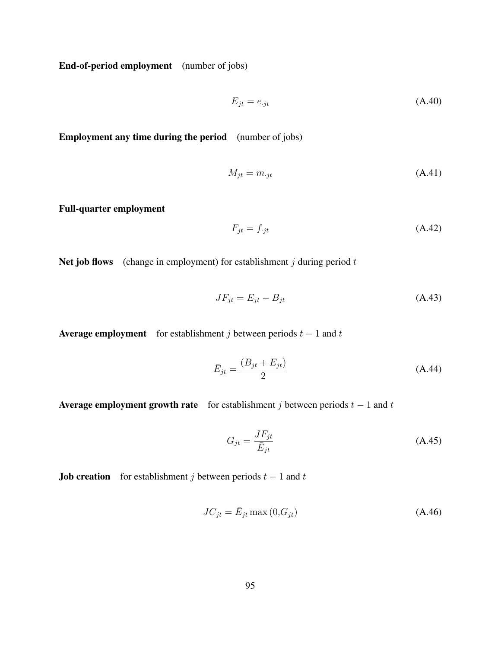End-of-period employment (number of jobs)

$$
E_{jt} = e_{jt} \tag{A.40}
$$

Employment any time during the period (number of jobs)

$$
M_{jt} = m_{\cdot jt} \tag{A.41}
$$

Full-quarter employment

$$
F_{jt} = f_{\cdot jt} \tag{A.42}
$$

Net job flows (change in employment) for establishment j during period  $t$ 

$$
JF_{jt} = E_{jt} - B_{jt} \tag{A.43}
$$

Average employment for establishment j between periods  $t - 1$  and t

$$
\bar{E}_{jt} = \frac{(B_{jt} + E_{jt})}{2} \tag{A.44}
$$

Average employment growth rate for establishment j between periods  $t - 1$  and t

$$
G_{jt} = \frac{JF_{jt}}{\bar{E}_{jt}}\tag{A.45}
$$

**Job creation** for establishment j between periods  $t - 1$  and t

$$
JC_{jt} = \bar{E}_{jt} \max(0, G_{jt})
$$
\n(A.46)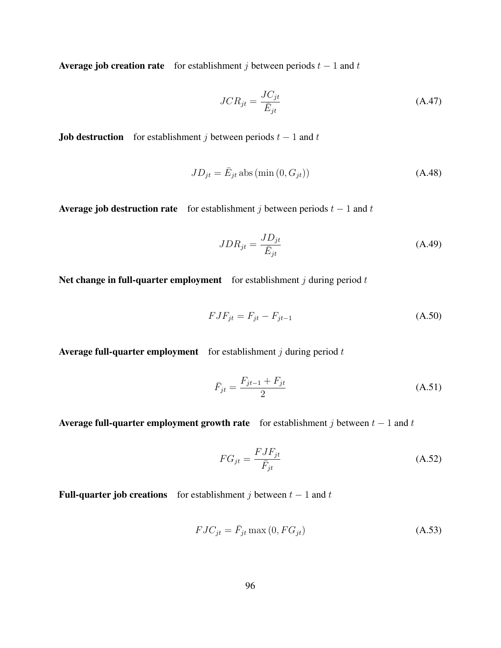Average job creation rate for establishment j between periods  $t - 1$  and t

$$
JCR_{jt} = \frac{JC_{jt}}{\bar{E}_{jt}}\tag{A.47}
$$

**Job destruction** for establishment j between periods  $t - 1$  and t

$$
JD_{jt} = \bar{E}_{jt} \text{ abs} (\min(0, G_{jt})) \tag{A.48}
$$

Average job destruction rate for establishment j between periods  $t - 1$  and t

$$
JDR_{jt} = \frac{JD_{jt}}{\bar{E}_{jt}}\tag{A.49}
$$

Net change in full-quarter employment for establishment j during period  $t$ 

$$
FJF_{jt} = F_{jt} - F_{jt-1} \tag{A.50}
$$

Average full-quarter employment for establishment j during period  $t$ 

$$
\bar{F}_{jt} = \frac{F_{jt-1} + F_{jt}}{2}
$$
\n(A.51)

Average full-quarter employment growth rate for establishment j between  $t - 1$  and  $t$ 

$$
FG_{jt} = \frac{FJF_{jt}}{\bar{F}_{jt}}\tag{A.52}
$$

**Full-quarter job creations** for establishment j between  $t - 1$  and t

$$
FJC_{jt} = \bar{F}_{jt} \max(0, FG_{jt})
$$
\n(A.53)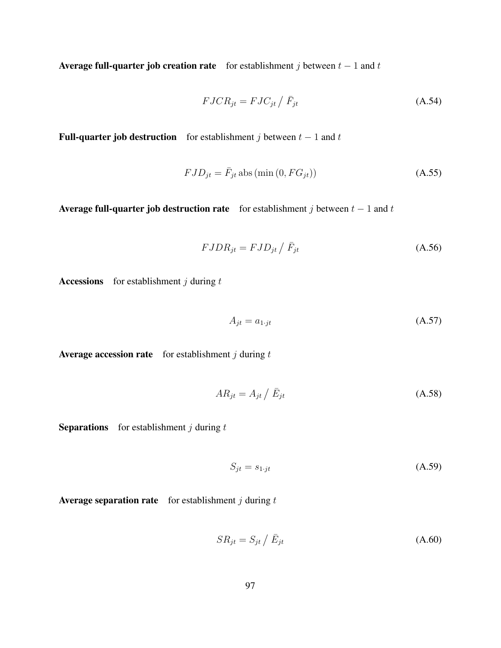Average full-quarter job creation rate for establishment j between  $t - 1$  and t

$$
FJCR_{jt} = FJC_{jt} / \bar{F}_{jt}
$$
\n(A.54)

**Full-quarter job destruction** for establishment j between  $t - 1$  and t

$$
FJD_{jt} = \bar{F}_{jt} \text{ abs (min } (0, FG_{jt})) \tag{A.55}
$$

Average full-quarter job destruction rate for establishment j between  $t - 1$  and t

$$
FJDR_{jt} = FJD_{jt} / \bar{F}_{jt}
$$
\n(A.56)

Accessions for establishment  $j$  during  $t$ 

$$
A_{jt} = a_{1 \cdot jt} \tag{A.57}
$$

Average accession rate for establishment  $j$  during  $t$ 

$$
AR_{jt} = A_{jt} / \bar{E}_{jt}
$$
\n(A.58)

**Separations** for establishment j during  $t$ 

$$
S_{jt} = s_{1 \cdot jt} \tag{A.59}
$$

Average separation rate for establishment  $j$  during  $t$ 

$$
SR_{jt} = S_{jt} / \bar{E}_{jt}
$$
\n(A.60)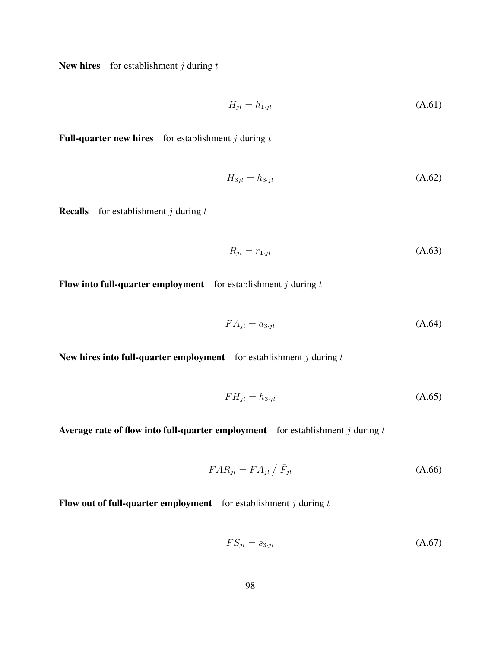New hires for establishment  $j$  during  $t$ 

$$
H_{jt} = h_{1\cdot jt} \tag{A.61}
$$

**Full-quarter new hires** for establishment j during  $t$ 

$$
H_{3jt} = h_{3\cdot jt} \tag{A.62}
$$

**Recalls** for establishment j during  $t$ 

$$
R_{jt} = r_{1\cdot jt} \tag{A.63}
$$

Flow into full-quarter employment for establishment  $j$  during  $t$ 

$$
FA_{jt} = a_{3\cdot jt} \tag{A.64}
$$

New hires into full-quarter employment for establishment j during  $t$ 

$$
FH_{jt} = h_{3 \cdot jt} \tag{A.65}
$$

Average rate of flow into full-quarter employment for establishment  $j$  during  $t$ 

$$
FAR_{jt} = FA_{jt} / \bar{F}_{jt}
$$
\n(A.66)

Flow out of full-quarter employment for establishment  $j$  during  $t$ 

$$
FS_{jt} = s_{3\cdot jt} \tag{A.67}
$$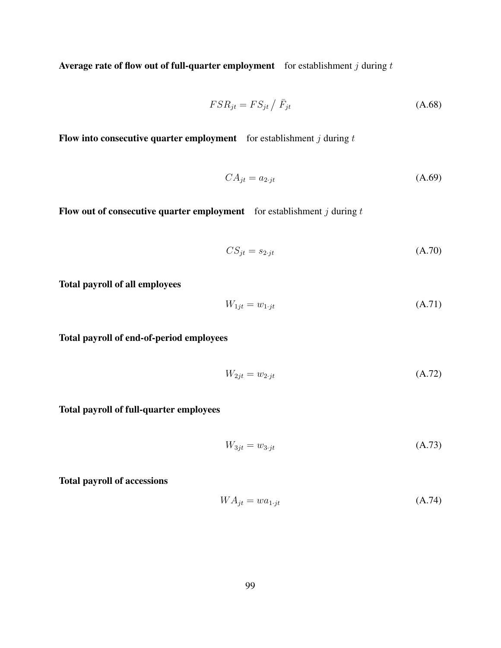Average rate of flow out of full-quarter employment for establishment j during  $t$ 

$$
FSR_{jt} = FS_{jt} / \bar{F}_{jt}
$$
\n(A.68)

Flow into consecutive quarter employment for establishment  $j$  during  $t$ 

$$
CA_{jt} = a_{2 \cdot jt} \tag{A.69}
$$

Flow out of consecutive quarter employment for establishment j during  $t$ 

$$
CS_{jt} = s_{2 \cdot jt} \tag{A.70}
$$

Total payroll of all employees

$$
W_{1jt} = w_{1\cdot jt} \tag{A.71}
$$

Total payroll of end-of-period employees

$$
W_{2jt} = w_{2\cdot jt} \tag{A.72}
$$

Total payroll of full-quarter employees

$$
W_{3jt} = w_{3\cdot jt} \tag{A.73}
$$

Total payroll of accessions

$$
WA_{jt} = w a_{1 \cdot jt} \tag{A.74}
$$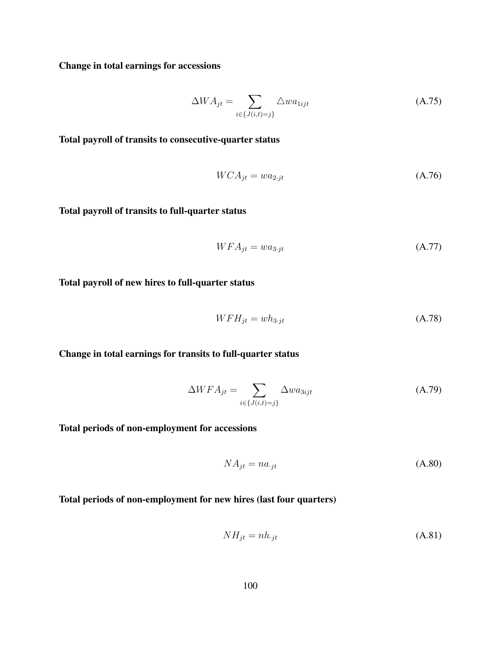Change in total earnings for accessions

$$
\Delta WA_{jt} = \sum_{i \in \{J(i,t)=j\}} \Delta wa_{1ijt}
$$
 (A.75)

Total payroll of transits to consecutive-quarter status

$$
WCA_{jt} = w a_{2 \cdot jt} \tag{A.76}
$$

Total payroll of transits to full-quarter status

$$
WFA_{jt} = w a_{3\cdot jt} \tag{A.77}
$$

Total payroll of new hires to full-quarter status

$$
WFH_{jt} = wh_{3\cdot jt} \tag{A.78}
$$

Change in total earnings for transits to full-quarter status

$$
\Delta WFA_{jt} = \sum_{i \in \{J(i,t)=j\}} \Delta w a_{3ijt} \tag{A.79}
$$

Total periods of non-employment for accessions

$$
NA_{jt} = na_{\cdot jt} \tag{A.80}
$$

Total periods of non-employment for new hires (last four quarters)

$$
NH_{jt} = nh_{\cdot jt} \tag{A.81}
$$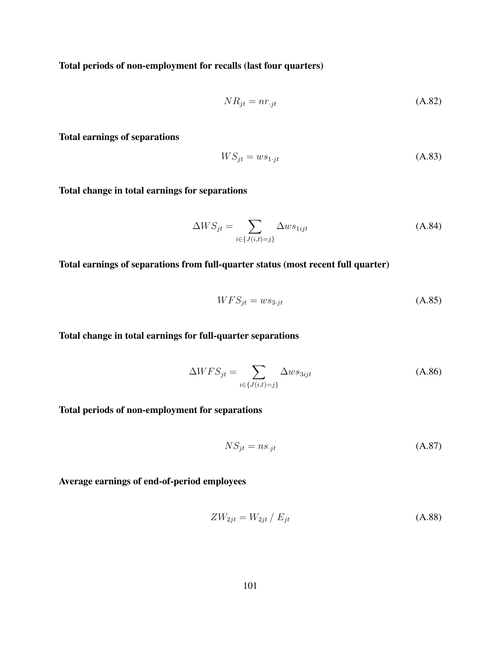Total periods of non-employment for recalls (last four quarters)

$$
NR_{jt} = nr_{\cdot jt} \tag{A.82}
$$

Total earnings of separations

$$
WS_{jt} = ws_{1\cdot jt} \tag{A.83}
$$

Total change in total earnings for separations

$$
\Delta WS_{jt} = \sum_{i \in \{J(i,t)=j\}} \Delta ws_{1ijt} \tag{A.84}
$$

Total earnings of separations from full-quarter status (most recent full quarter)

$$
WFS_{jt} = ws_{3\cdot jt} \tag{A.85}
$$

Total change in total earnings for full-quarter separations

$$
\Delta WFS_{jt} = \sum_{i \in \{J(i,t)=j\}} \Delta w s_{3ijt} \tag{A.86}
$$

Total periods of non-employment for separations

$$
NS_{jt} = ns_{\cdot jt} \tag{A.87}
$$

Average earnings of end-of-period employees

$$
ZW_{2jt} = W_{2jt} / E_{jt}
$$
\n(A.88)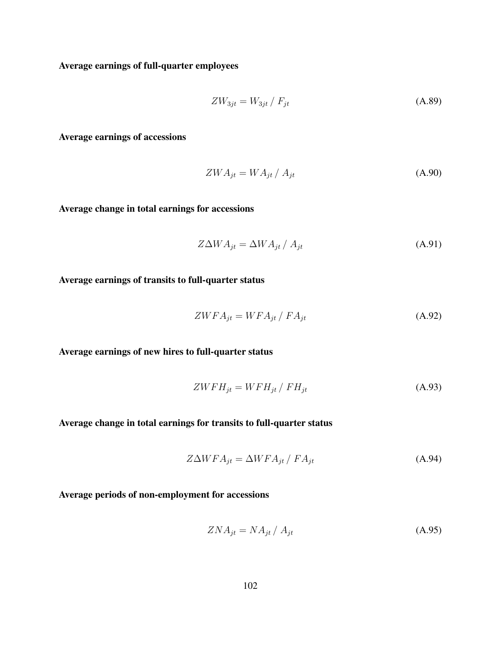Average earnings of full-quarter employees

$$
ZW_{3jt} = W_{3jt} / F_{jt}
$$
\n(A.89)

Average earnings of accessions

$$
ZWA_{jt} = WA_{jt} / A_{jt}
$$
\n(A.90)

Average change in total earnings for accessions

$$
Z\Delta WA_{jt} = \Delta WA_{jt} / A_{jt}
$$
 (A.91)

Average earnings of transits to full-quarter status

$$
ZWFA_{jt} = WFA_{jt} / FA_{jt}
$$
\n(A.92)

Average earnings of new hires to full-quarter status

$$
ZWFH_{jt} = WFH_{jt} / FH_{jt}
$$
\n(A.93)

Average change in total earnings for transits to full-quarter status

$$
Z\Delta WFA_{jt} = \Delta WFA_{jt} / FA_{jt}
$$
 (A.94)

Average periods of non-employment for accessions

$$
ZNA_{jt} = NA_{jt} / A_{jt}
$$
 (A.95)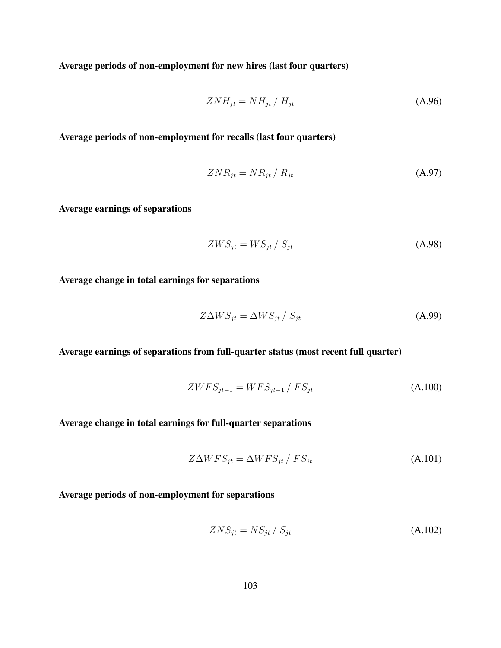Average periods of non-employment for new hires (last four quarters)

$$
ZNH_{jt} = NH_{jt} / H_{jt}
$$
\n(A.96)

Average periods of non-employment for recalls (last four quarters)

$$
ZNR_{jt} = NR_{jt}/R_{jt}
$$
\n(A.97)

Average earnings of separations

$$
ZWS_{jt} = WS_{jt} / S_{jt}
$$
\n(A.98)

Average change in total earnings for separations

$$
Z\Delta WS_{jt} = \Delta WS_{jt} / S_{jt}
$$
 (A.99)

Average earnings of separations from full-quarter status (most recent full quarter)

$$
ZWFS_{jt-1} = WFS_{jt-1} / FS_{jt}
$$
 (A.100)

Average change in total earnings for full-quarter separations

$$
Z\Delta WFS_{jt} = \Delta WFS_{jt} / FS_{jt}
$$
 (A.101)

Average periods of non-employment for separations

$$
ZNS_{jt} = NS_{jt} / S_{jt}
$$
\n(A.102)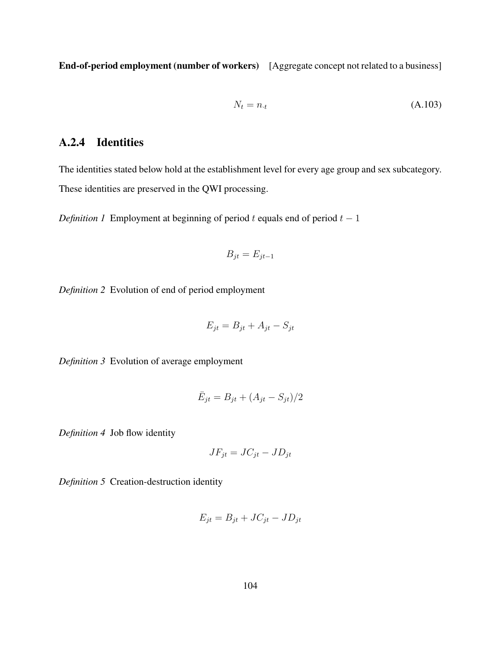End-of-period employment (number of workers) [Aggregate concept not related to a business]

$$
N_t = n_t \tag{A.103}
$$

### A.2.4 Identities

The identities stated below hold at the establishment level for every age group and sex subcategory. These identities are preserved in the QWI processing.

*Definition 1* Employment at beginning of period t equals end of period  $t - 1$ 

$$
B_{jt} = E_{jt-1}
$$

*Definition 2* Evolution of end of period employment

$$
E_{jt} = B_{jt} + A_{jt} - S_{jt}
$$

*Definition 3* Evolution of average employment

$$
\bar{E}_{jt} = B_{jt} + (A_{jt} - S_{jt})/2
$$

*Definition 4* Job flow identity

$$
JF_{jt} = JC_{jt} - JD_{jt}
$$

*Definition 5* Creation-destruction identity

$$
E_{jt} = B_{jt} + JC_{jt} - JD_{jt}
$$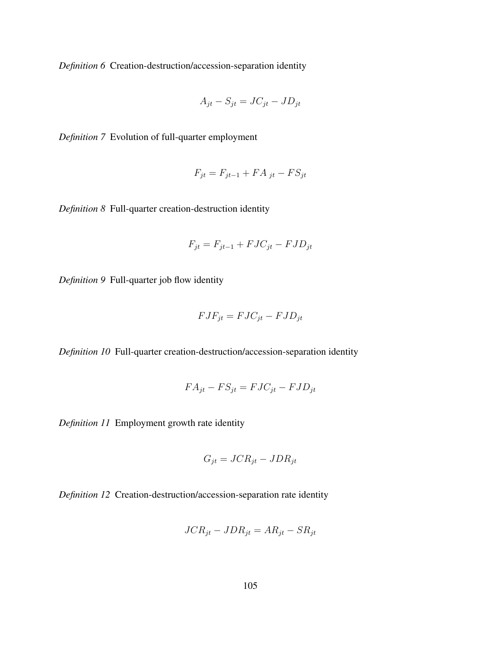*Definition 6* Creation-destruction/accession-separation identity

$$
A_{jt} - S_{jt} = JC_{jt} - JD_{jt}
$$

*Definition 7* Evolution of full-quarter employment

$$
F_{jt} = F_{jt-1} + FA_{jt} - FS_{jt}
$$

*Definition 8* Full-quarter creation-destruction identity

$$
F_{jt} = F_{jt-1} + FJC_{jt} - FJD_{jt}
$$

*Definition 9* Full-quarter job flow identity

$$
FJF_{jt} = FJC_{jt} - FJD_{jt}
$$

*Definition 10* Full-quarter creation-destruction/accession-separation identity

$$
FA_{jt} - FS_{jt} = FJC_{jt} - FJD_{jt}
$$

*Definition 11* Employment growth rate identity

$$
G_{jt} = JCR_{jt} - JDR_{jt}
$$

*Definition 12* Creation-destruction/accession-separation rate identity

$$
JCR_{jt} - JDR_{jt} = AR_{jt} - SR_{jt}
$$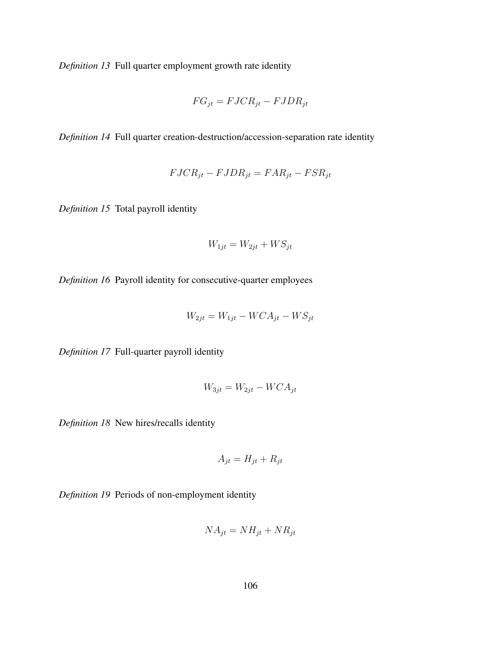*Definition 13* Full quarter employment growth rate identity

$$
FG_{jt} = FJCR_{jt} - FJDR_{jt}
$$

*Definition 14* Full quarter creation-destruction/accession-separation rate identity

$$
FJCR_{jt} - FJDR_{jt} = FAR_{jt} - FSR_{jt}
$$

*Definition 15* Total payroll identity

$$
W_{1jt} = W_{2jt} + WS_{jt}
$$

*Definition 16* Payroll identity for consecutive-quarter employees

$$
W_{2jt} = W_{1jt} - WCA_{jt} - WS_{jt}
$$

*Definition 17* Full-quarter payroll identity

$$
W_{3jt} = W_{2jt} - WCA_{jt}
$$

*Definition 18* New hires/recalls identity

$$
A_{jt} = H_{jt} + R_{jt}
$$

*Definition 19* Periods of non-employment identity

$$
NA_{jt} = NH_{jt} + NR_{jt}
$$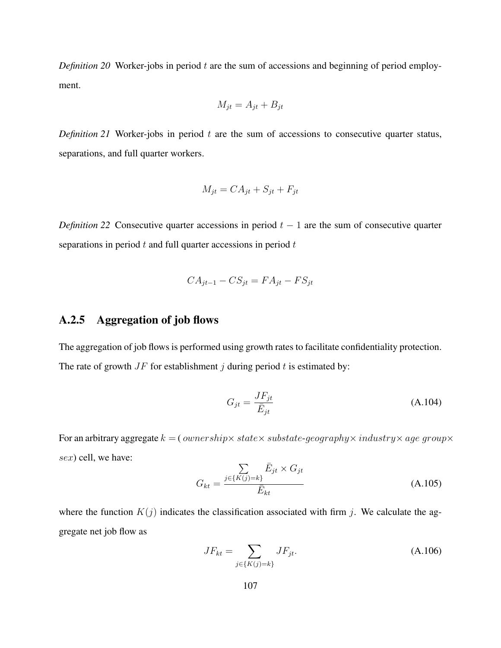*Definition 20* Worker-jobs in period t are the sum of accessions and beginning of period employment.

$$
M_{jt} = A_{jt} + B_{jt}
$$

*Definition 21* Worker-jobs in period  $t$  are the sum of accessions to consecutive quarter status, separations, and full quarter workers.

$$
M_{jt} = CA_{jt} + S_{jt} + F_{jt}
$$

*Definition* 22 Consecutive quarter accessions in period  $t - 1$  are the sum of consecutive quarter separations in period  $t$  and full quarter accessions in period  $t$ 

$$
CA_{jt-1} - CS_{jt} = FA_{jt} - FS_{jt}
$$

### A.2.5 Aggregation of job flows

The aggregation of job flows is performed using growth rates to facilitate confidentiality protection. The rate of growth  $JF$  for establishment j during period t is estimated by:

$$
G_{jt} = \frac{JF_{jt}}{\bar{E}_{jt}}\tag{A.104}
$$

For an arbitrary aggregate  $k = (overship \times state \times substrate\text{-}geography \times industry \times age\text{ }group \times$ sex) cell, we have:  $\equiv$ 

$$
G_{kt} = \frac{\sum\limits_{j \in \{K(j) = k\}} \overline{E}_{jt} \times G_{jt}}{\overline{E}_{kt}}
$$
(A.105)

where the function  $K(j)$  indicates the classification associated with firm j. We calculate the aggregate net job flow as

$$
JF_{kt} = \sum_{j \in \{K(j) = k\}} JF_{jt}.
$$
\n(A.106)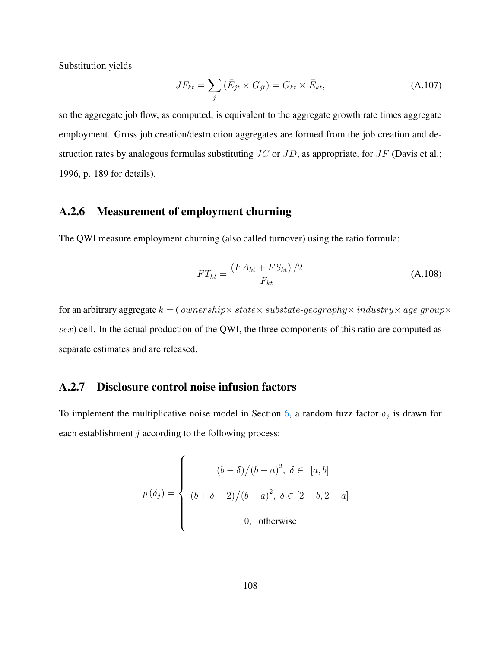Substitution yields

$$
JF_{kt} = \sum_{j} \left( \bar{E}_{jt} \times G_{jt} \right) = G_{kt} \times \bar{E}_{kt}, \tag{A.107}
$$

so the aggregate job flow, as computed, is equivalent to the aggregate growth rate times aggregate employment. Gross job creation/destruction aggregates are formed from the job creation and destruction rates by analogous formulas substituting  $JC$  or  $JD$ , as appropriate, for  $JF$  [\(Davis et al.;](#page-72-0) [1996,](#page-72-0) p. 189 for details).

## A.2.6 Measurement of employment churning

The QWI measure employment churning (also called turnover) using the ratio formula:

$$
FT_{kt} = \frac{(FA_{kt} + FS_{kt})/2}{F_{kt}}
$$
 (A.108)

for an arbitrary aggregate  $k = (overship \times state \times substrate\text{-}geography \times industry \times age\text{ }group \times$ sex) cell. In the actual production of the QWI, the three components of this ratio are computed as separate estimates and are released.

#### A.2.7 Disclosure control noise infusion factors

To implement the multiplicative noise model in Section [6,](#page-52-0) a random fuzz factor  $\delta_j$  is drawn for each establishment  $j$  according to the following process:

$$
p(\delta_j) = \begin{cases} (b-\delta)/(b-a)^2, & \delta \in [a,b] \\ (b+\delta-2)/(b-a)^2, & \delta \in [2-b,2-a] \\ 0, & \text{otherwise} \end{cases}
$$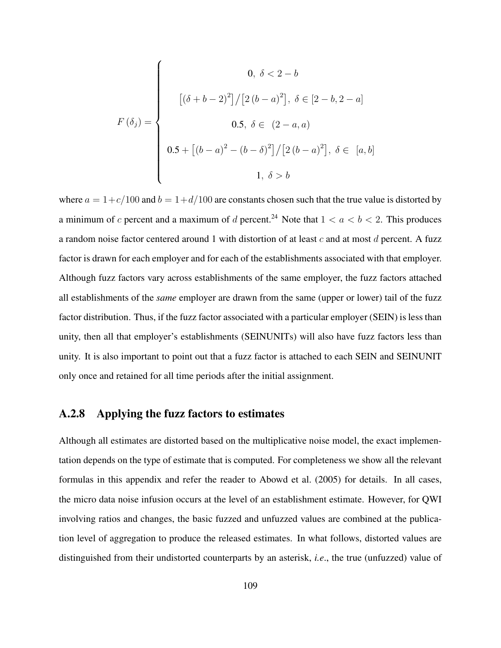$$
F(\delta_j) = \begin{cases} 0, & \delta < 2 - b \\ \left[ (\delta + b - 2)^2 \right] / \left[ 2 \left( b - a \right)^2 \right], & \delta \in [2 - b, 2 - a] \\ 0.5, & \delta \in (2 - a, a) \\ 0.5 + \left[ (b - a)^2 - (b - \delta)^2 \right] / \left[ 2 \left( b - a \right)^2 \right], & \delta \in [a, b] \\ 1, & \delta > b \end{cases}
$$

where  $a = 1+c/100$  and  $b = 1+d/100$  are constants chosen such that the true value is distorted by a minimum of c percent and a maximum of d percent.<sup>24</sup> Note that  $1 < a < b < 2$ . This produces a random noise factor centered around 1 with distortion of at least  $c$  and at most  $d$  percent. A fuzz factor is drawn for each employer and for each of the establishments associated with that employer. Although fuzz factors vary across establishments of the same employer, the fuzz factors attached all establishments of the *same* employer are drawn from the same (upper or lower) tail of the fuzz factor distribution. Thus, if the fuzz factor associated with a particular employer (SEIN) is less than unity, then all that employer's establishments (SEINUNITs) will also have fuzz factors less than unity. It is also important to point out that a fuzz factor is attached to each SEIN and SEINUNIT only once and retained for all time periods after the initial assignment.

#### A.2.8 Applying the fuzz factors to estimates

Although all estimates are distorted based on the multiplicative noise model, the exact implementation depends on the type of estimate that is computed. For completeness we show all the relevant formulas in this appendix and refer the reader to [Abowd et al.](#page-71-0) [\(2005\)](#page-71-0) for details. In all cases, the micro data noise infusion occurs at the level of an establishment estimate. However, for QWI involving ratios and changes, the basic fuzzed and unfuzzed values are combined at the publication level of aggregation to produce the released estimates. In what follows, distorted values are distinguished from their undistorted counterparts by an asterisk, *i.e*., the true (unfuzzed) value of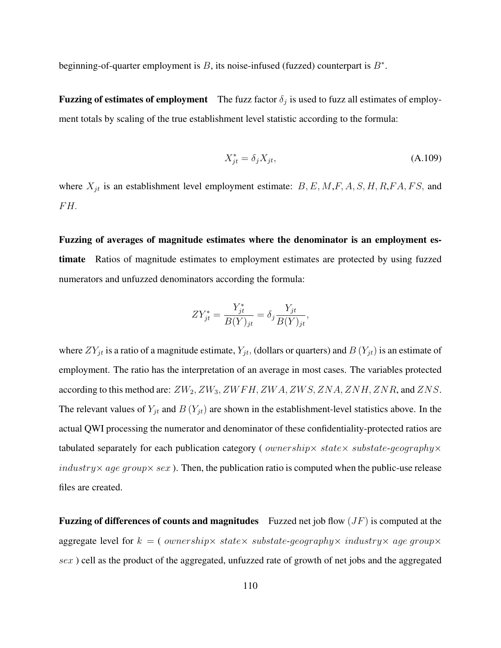beginning-of-quarter employment is  $B$ , its noise-infused (fuzzed) counterpart is  $B^*$ .

**Fuzzing of estimates of employment** The fuzz factor  $\delta_j$  is used to fuzz all estimates of employment totals by scaling of the true establishment level statistic according to the formula:

$$
X_{jt}^* = \delta_j X_{jt},\tag{A.109}
$$

where  $X_{jt}$  is an establishment level employment estimate:  $B, E, M, F, A, S, H, R, FA, FS$ , and  $FH.$ 

Fuzzing of averages of magnitude estimates where the denominator is an employment estimate Ratios of magnitude estimates to employment estimates are protected by using fuzzed numerators and unfuzzed denominators according the formula:

$$
ZY_{jt}^* = \frac{Y_{jt}^*}{B(Y)_{jt}} = \delta_j \frac{Y_{jt}}{B(Y)_{jt}},
$$

where  $ZY_{jt}$  is a ratio of a magnitude estimate,  $Y_{jt}$ , (dollars or quarters) and  $B(Y_{jt})$  is an estimate of employment. The ratio has the interpretation of an average in most cases. The variables protected according to this method are:  $ZW_2$ ,  $ZW_3$ ,  $ZWFH$ ,  $ZWA$ ,  $ZWA$ ,  $ZNA$ ,  $ZNH$ ,  $ZNR$ , and  $ZNS$ . The relevant values of  $Y_{jt}$  and  $B(Y_{jt})$  are shown in the establishment-level statistics above. In the actual QWI processing the numerator and denominator of these confidentiality-protected ratios are tabulated separately for each publication category (  $ownership \times state \times substrate\text{-}geography \times$ industry  $\times$  age group $\times$  sex ). Then, the publication ratio is computed when the public-use release files are created.

**Fuzzing of differences of counts and magnitudes** Fuzzed net job flow  $(JF)$  is computed at the aggregate level for  $k = (ownership \times state \times substrate-geography \times industry \times age\, group \times$ sex) cell as the product of the aggregated, unfuzzed rate of growth of net jobs and the aggregated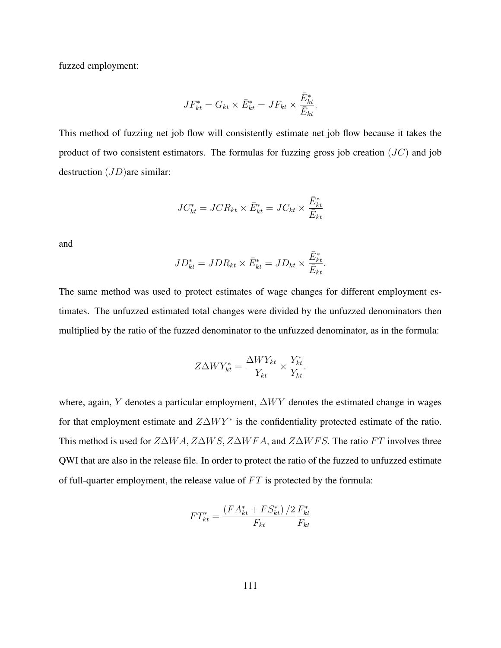fuzzed employment:

$$
JF_{kt}^* = G_{kt} \times \bar{E}_{kt}^* = JF_{kt} \times \frac{\bar{E}_{kt}^*}{\bar{E}_{kt}}.
$$

This method of fuzzing net job flow will consistently estimate net job flow because it takes the product of two consistent estimators. The formulas for fuzzing gross job creation  $(JC)$  and job destruction (JD)are similar:

$$
JC_{kt}^* = JCR_{kt} \times \bar{E}_{kt}^* = JC_{kt} \times \frac{\bar{E}_{kt}^*}{\bar{E}_{kt}}
$$

and

$$
JD_{kt}^* = JDR_{kt} \times \bar{E}_{kt}^* = JD_{kt} \times \frac{\bar{E}_{kt}^*}{\bar{E}_{kt}}.
$$

The same method was used to protect estimates of wage changes for different employment estimates. The unfuzzed estimated total changes were divided by the unfuzzed denominators then multiplied by the ratio of the fuzzed denominator to the unfuzzed denominator, as in the formula:

$$
Z\Delta W Y_{kt}^* = \frac{\Delta W Y_{kt}}{Y_{kt}} \times \frac{Y_{kt}^*}{Y_{kt}}.
$$

where, again, Y denotes a particular employment,  $\Delta WY$  denotes the estimated change in wages for that employment estimate and  $Z\Delta WY^*$  is the confidentiality protected estimate of the ratio. This method is used for  $Z\Delta WA$ ,  $Z\Delta WS$ ,  $Z\Delta WFA$ , and  $Z\Delta WFS$ . The ratio FT involves three QWI that are also in the release file. In order to protect the ratio of the fuzzed to unfuzzed estimate of full-quarter employment, the release value of  $FT$  is protected by the formula:

$$
FT_{kt}^* = \frac{(FA_{kt}^* + FS_{kt}^*)/2 F_{kt}^*}{F_{kt}}
$$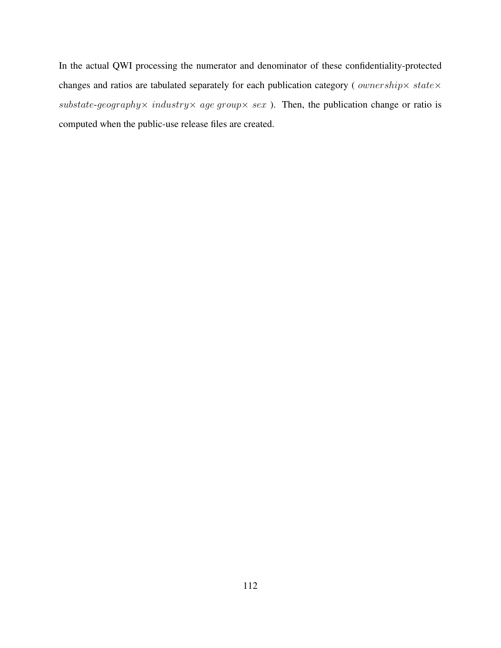In the actual QWI processing the numerator and denominator of these confidentiality-protected changes and ratios are tabulated separately for each publication category (  $ownership \times state \times$ substate-geography $\times$  industry $\times$  age group $\times$  sex ). Then, the publication change or ratio is computed when the public-use release files are created.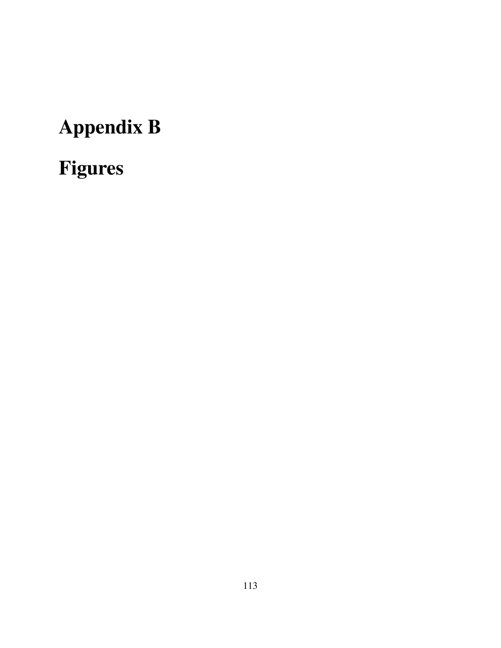# Appendix B

# Figures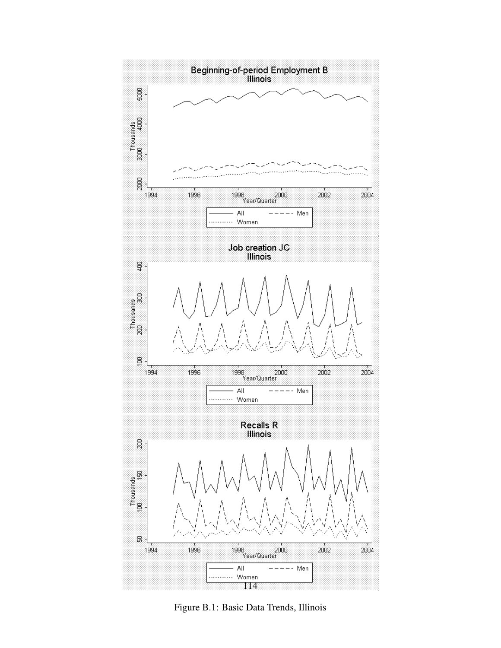

Figure B.1: Basic Data Trends, Illinois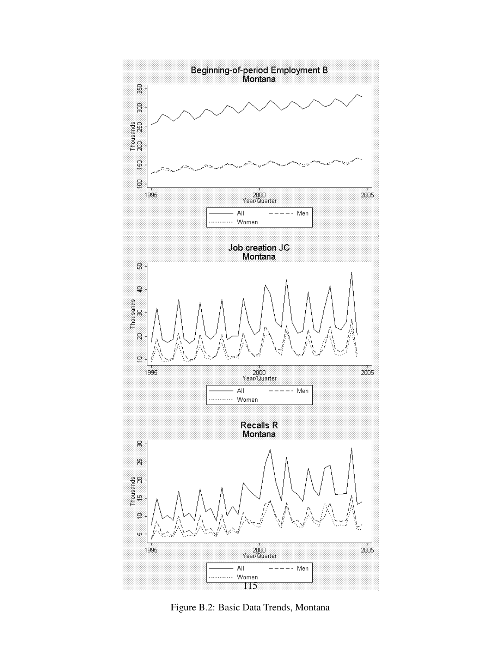

Figure B.2: Basic Data Trends, Montana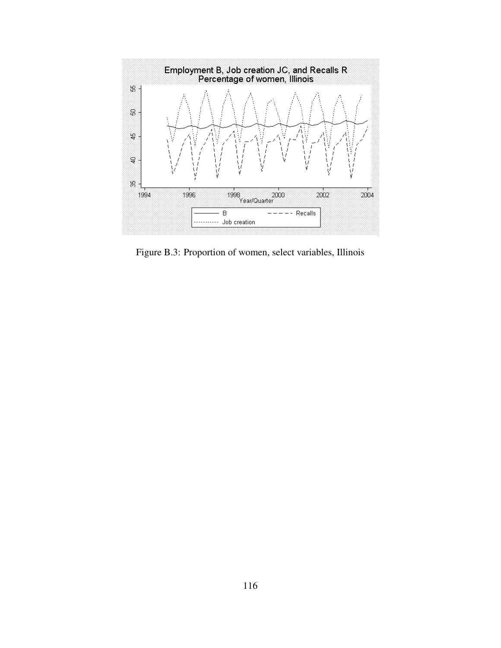

Figure B.3: Proportion of women, select variables, Illinois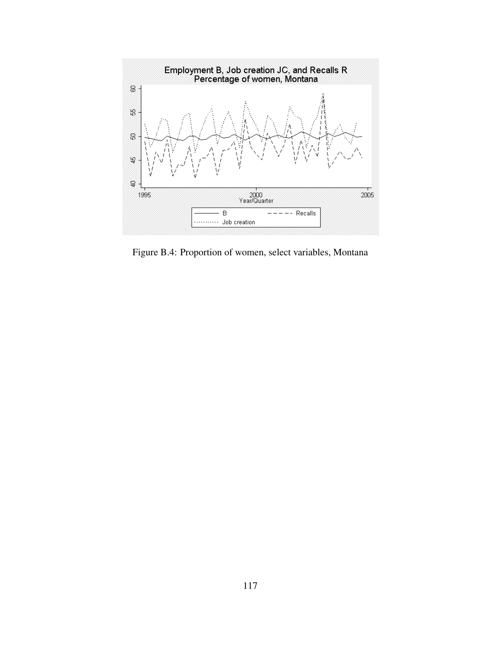

Figure B.4: Proportion of women, select variables, Montana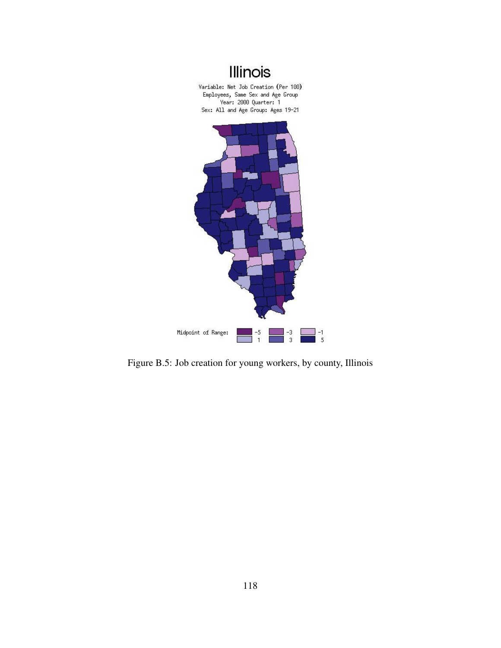

Figure B.5: Job creation for young workers, by county, Illinois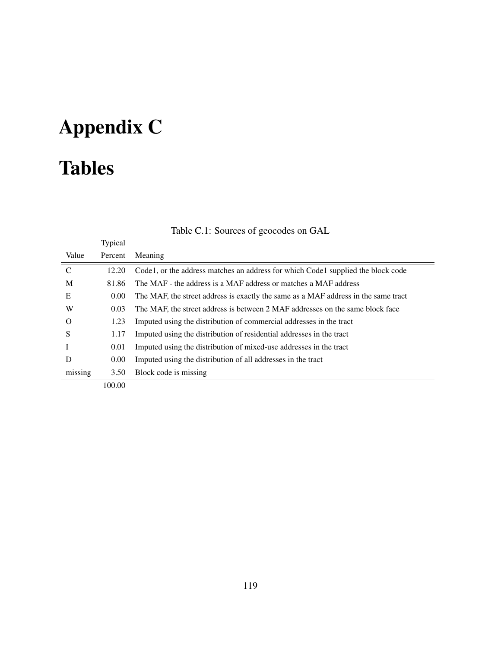# Appendix C

# **Tables**

|  |  | Table C.1: Sources of geocodes on GAL |  |
|--|--|---------------------------------------|--|
|--|--|---------------------------------------|--|

|               | Typical  |                                                                                    |
|---------------|----------|------------------------------------------------------------------------------------|
| Value         | Percent  | Meaning                                                                            |
| $\mathcal{C}$ | 12.20    | Code 1, or the address matches an address for which Code 1 supplied the block code |
| M             | 81.86    | The MAF - the address is a MAF address or matches a MAF address                    |
| E             | 0.00     | The MAF, the street address is exactly the same as a MAF address in the same tract |
| W             | 0.03     | The MAF, the street address is between 2 MAF addresses on the same block face      |
| $\Omega$      | 1.23     | Imputed using the distribution of commercial addresses in the tract                |
| S             | 1.17     | Imputed using the distribution of residential addresses in the tract               |
| I             | 0.01     | Imputed using the distribution of mixed-use addresses in the tract                 |
| D             | 0.00     | Imputed using the distribution of all addresses in the tract                       |
| missing       | 3.50     | Block code is missing                                                              |
|               | $\cdots$ |                                                                                    |

100.00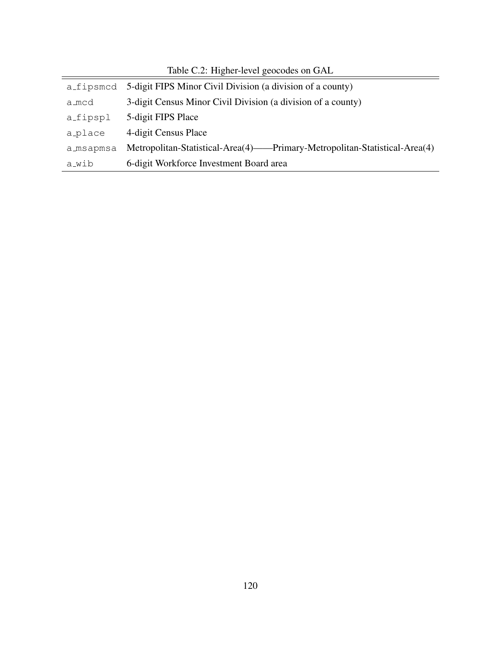|           | Table C.2. THERE TOYER ECOCOULS ON OTHER                                   |
|-----------|----------------------------------------------------------------------------|
| a_fipsmcd | 5-digit FIPS Minor Civil Division (a division of a county)                 |
| a_mcd     | 3-digit Census Minor Civil Division (a division of a county)               |
| a_fipspl  | 5-digit FIPS Place                                                         |
| a_place   | 4-digit Census Place                                                       |
| a_msapmsa | Metropolitan-Statistical-Area(4)——Primary-Metropolitan-Statistical-Area(4) |
| a_wib     | 6-digit Workforce Investment Board area                                    |

Table C.2: Higher-level geocodes on GAL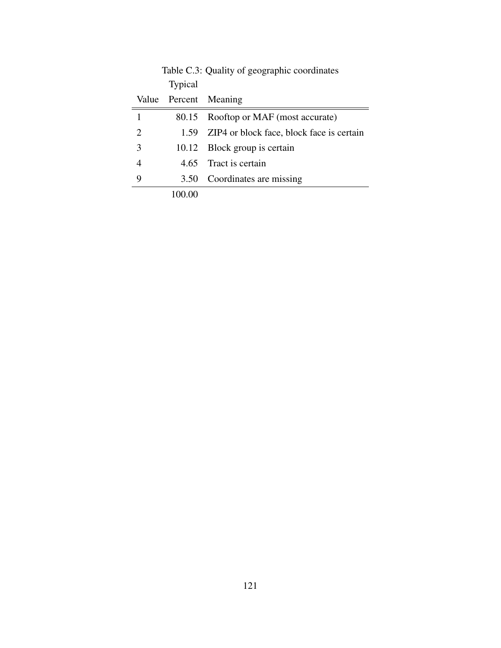|              | Typical |                                                |
|--------------|---------|------------------------------------------------|
|              |         | Value Percent Meaning                          |
| $\mathbf{1}$ |         | 80.15 Rooftop or MAF (most accurate)           |
| 2            |         | 1.59 ZIP4 or block face, block face is certain |
| 3            |         | 10.12 Block group is certain                   |
| 4            |         | 4.65 Tract is certain                          |
| 9            |         | 3.50 Coordinates are missing                   |
|              | 100.00  |                                                |

|                | Table C.3: Quality of geographic coordinates |
|----------------|----------------------------------------------|
| <b>Typical</b> |                                              |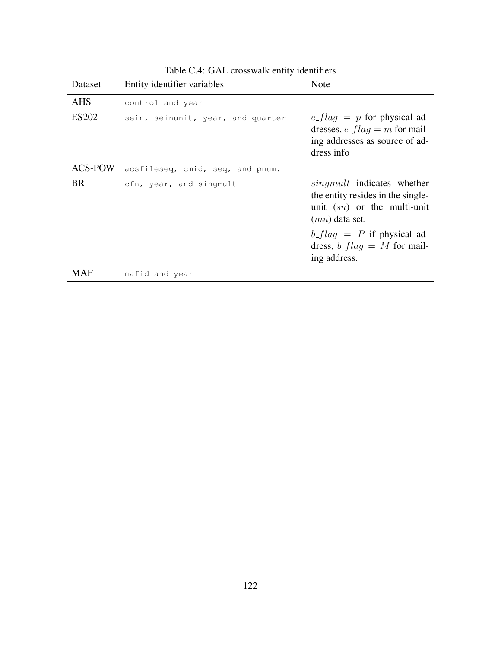| Dataset        | Entity identifier variables       | <b>Note</b>                                                                                                                   |
|----------------|-----------------------------------|-------------------------------------------------------------------------------------------------------------------------------|
| <b>AHS</b>     | control and year                  |                                                                                                                               |
| ES202          | sein, seinunit, year, and quarter | $e_{-}flag = p$ for physical ad-<br>dresses, $e_{\text{-}}flag = m$ for mail-<br>ing addresses as source of ad-<br>dress info |
| <b>ACS-POW</b> | acsfileseq, cmid, seq, and pnum.  |                                                                                                                               |
| BR             | cfn, year, and singmult           | singmult indicates whether<br>the entity resides in the single-<br>unit $(su)$ or the multi-unit<br>$(mu)$ data set.          |
|                |                                   | $b_{\text{-}}flag = P$ if physical ad-<br>dress, $b_{\text{-}}flag = M$ for mail-<br>ing address.                             |
| MAF            | mafid and year                    |                                                                                                                               |

Table C.4: GAL crosswalk entity identifiers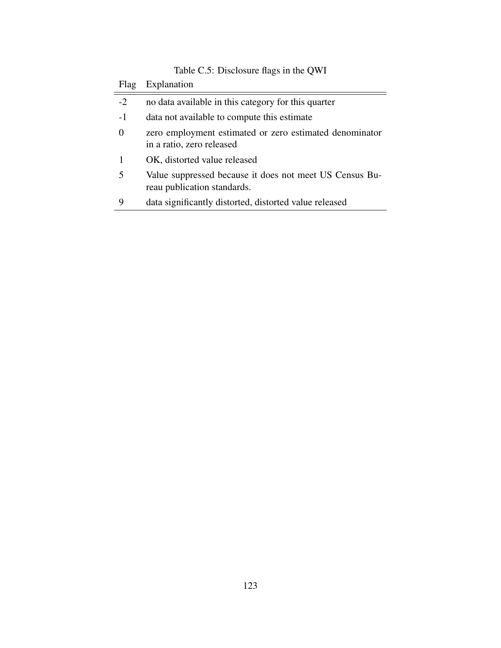| Flag     | Explanation                                                                            |
|----------|----------------------------------------------------------------------------------------|
| $-2$     | no data available in this category for this quarter                                    |
| $-1$     | data not available to compute this estimate                                            |
| $\theta$ | zero employment estimated or zero estimated denominator<br>in a ratio, zero released   |
| 1        | OK, distorted value released                                                           |
| 5        | Value suppressed because it does not meet US Census Bu-<br>reau publication standards. |
| Q        | data significantly distorted, distorted value released                                 |

Table C.5: Disclosure flags in the QWI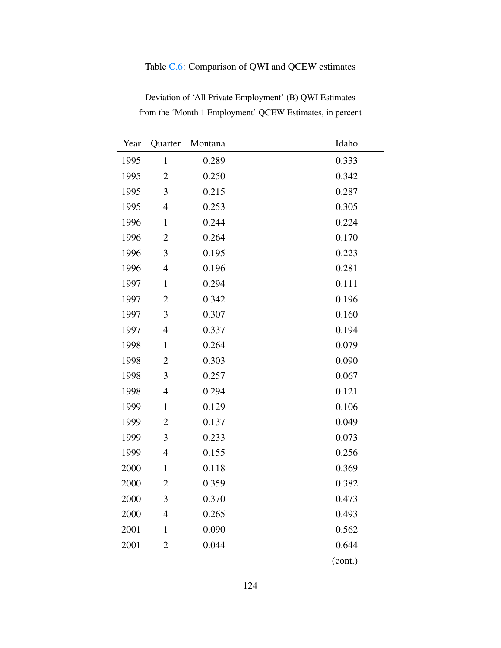## <span id="page-131-0"></span>Table [C.6:](#page-131-0) Comparison of QWI and QCEW estimates

| Deviation of 'All Private Employment' (B) QWI Estimates  |
|----------------------------------------------------------|
| from the 'Month 1 Employment' QCEW Estimates, in percent |

| 1995<br>$\mathbf{1}$<br>0.333<br>0.289<br>0.250<br>0.342<br>1995<br>$\overline{2}$<br>1995<br>3<br>0.215<br>0.287<br>1995<br>0.253<br>0.305<br>$\overline{4}$<br>1996<br>$\mathbf{1}$<br>0.244<br>0.224<br>0.264<br>1996<br>0.170<br>$\overline{2}$<br>0.195<br>0.223<br>1996<br>3<br>0.196<br>1996<br>$\overline{4}$<br>0.281<br>0.294<br>0.111<br>1997<br>$\mathbf{1}$<br>0.342<br>0.196<br>1997<br>$\mathbf{2}$<br>1997<br>3<br>0.307<br>0.160<br>1997<br>$\overline{4}$<br>0.337<br>0.194<br>0.264<br>1998<br>$\mathbf{1}$<br>0.079<br>0.303<br>0.090<br>1998<br>$\overline{2}$<br>3<br>0.257<br>0.067<br>1998<br>1998<br>$\overline{4}$<br>0.294<br>0.121<br>1999<br>0.129<br>0.106<br>$\mathbf{1}$<br>1999<br>$\overline{2}$<br>0.137<br>0.049<br>1999<br>3<br>0.233<br>0.073<br>1999<br>$\overline{4}$<br>0.155<br>0.256<br>0.369<br>2000<br>$\mathbf{1}$<br>0.118<br>2000<br>0.359<br>0.382<br>$\mathbf{2}$<br>2000<br>3<br>0.370<br>0.473<br>2000<br>$\overline{4}$<br>0.265<br>0.493<br>0.090<br>2001<br>$\mathbf{1}$<br>0.562<br>2001<br>0.044<br>0.644<br>$\overline{c}$ | Year | Quarter | Montana | Idaho |
|--------------------------------------------------------------------------------------------------------------------------------------------------------------------------------------------------------------------------------------------------------------------------------------------------------------------------------------------------------------------------------------------------------------------------------------------------------------------------------------------------------------------------------------------------------------------------------------------------------------------------------------------------------------------------------------------------------------------------------------------------------------------------------------------------------------------------------------------------------------------------------------------------------------------------------------------------------------------------------------------------------------------------------------------------------------------------------------|------|---------|---------|-------|
|                                                                                                                                                                                                                                                                                                                                                                                                                                                                                                                                                                                                                                                                                                                                                                                                                                                                                                                                                                                                                                                                                      |      |         |         |       |
|                                                                                                                                                                                                                                                                                                                                                                                                                                                                                                                                                                                                                                                                                                                                                                                                                                                                                                                                                                                                                                                                                      |      |         |         |       |
|                                                                                                                                                                                                                                                                                                                                                                                                                                                                                                                                                                                                                                                                                                                                                                                                                                                                                                                                                                                                                                                                                      |      |         |         |       |
|                                                                                                                                                                                                                                                                                                                                                                                                                                                                                                                                                                                                                                                                                                                                                                                                                                                                                                                                                                                                                                                                                      |      |         |         |       |
|                                                                                                                                                                                                                                                                                                                                                                                                                                                                                                                                                                                                                                                                                                                                                                                                                                                                                                                                                                                                                                                                                      |      |         |         |       |
|                                                                                                                                                                                                                                                                                                                                                                                                                                                                                                                                                                                                                                                                                                                                                                                                                                                                                                                                                                                                                                                                                      |      |         |         |       |
|                                                                                                                                                                                                                                                                                                                                                                                                                                                                                                                                                                                                                                                                                                                                                                                                                                                                                                                                                                                                                                                                                      |      |         |         |       |
|                                                                                                                                                                                                                                                                                                                                                                                                                                                                                                                                                                                                                                                                                                                                                                                                                                                                                                                                                                                                                                                                                      |      |         |         |       |
|                                                                                                                                                                                                                                                                                                                                                                                                                                                                                                                                                                                                                                                                                                                                                                                                                                                                                                                                                                                                                                                                                      |      |         |         |       |
|                                                                                                                                                                                                                                                                                                                                                                                                                                                                                                                                                                                                                                                                                                                                                                                                                                                                                                                                                                                                                                                                                      |      |         |         |       |
|                                                                                                                                                                                                                                                                                                                                                                                                                                                                                                                                                                                                                                                                                                                                                                                                                                                                                                                                                                                                                                                                                      |      |         |         |       |
|                                                                                                                                                                                                                                                                                                                                                                                                                                                                                                                                                                                                                                                                                                                                                                                                                                                                                                                                                                                                                                                                                      |      |         |         |       |
|                                                                                                                                                                                                                                                                                                                                                                                                                                                                                                                                                                                                                                                                                                                                                                                                                                                                                                                                                                                                                                                                                      |      |         |         |       |
|                                                                                                                                                                                                                                                                                                                                                                                                                                                                                                                                                                                                                                                                                                                                                                                                                                                                                                                                                                                                                                                                                      |      |         |         |       |
|                                                                                                                                                                                                                                                                                                                                                                                                                                                                                                                                                                                                                                                                                                                                                                                                                                                                                                                                                                                                                                                                                      |      |         |         |       |
|                                                                                                                                                                                                                                                                                                                                                                                                                                                                                                                                                                                                                                                                                                                                                                                                                                                                                                                                                                                                                                                                                      |      |         |         |       |
|                                                                                                                                                                                                                                                                                                                                                                                                                                                                                                                                                                                                                                                                                                                                                                                                                                                                                                                                                                                                                                                                                      |      |         |         |       |
|                                                                                                                                                                                                                                                                                                                                                                                                                                                                                                                                                                                                                                                                                                                                                                                                                                                                                                                                                                                                                                                                                      |      |         |         |       |
|                                                                                                                                                                                                                                                                                                                                                                                                                                                                                                                                                                                                                                                                                                                                                                                                                                                                                                                                                                                                                                                                                      |      |         |         |       |
|                                                                                                                                                                                                                                                                                                                                                                                                                                                                                                                                                                                                                                                                                                                                                                                                                                                                                                                                                                                                                                                                                      |      |         |         |       |
|                                                                                                                                                                                                                                                                                                                                                                                                                                                                                                                                                                                                                                                                                                                                                                                                                                                                                                                                                                                                                                                                                      |      |         |         |       |
|                                                                                                                                                                                                                                                                                                                                                                                                                                                                                                                                                                                                                                                                                                                                                                                                                                                                                                                                                                                                                                                                                      |      |         |         |       |
|                                                                                                                                                                                                                                                                                                                                                                                                                                                                                                                                                                                                                                                                                                                                                                                                                                                                                                                                                                                                                                                                                      |      |         |         |       |
|                                                                                                                                                                                                                                                                                                                                                                                                                                                                                                                                                                                                                                                                                                                                                                                                                                                                                                                                                                                                                                                                                      |      |         |         |       |
|                                                                                                                                                                                                                                                                                                                                                                                                                                                                                                                                                                                                                                                                                                                                                                                                                                                                                                                                                                                                                                                                                      |      |         |         |       |
|                                                                                                                                                                                                                                                                                                                                                                                                                                                                                                                                                                                                                                                                                                                                                                                                                                                                                                                                                                                                                                                                                      |      |         |         |       |

(cont.)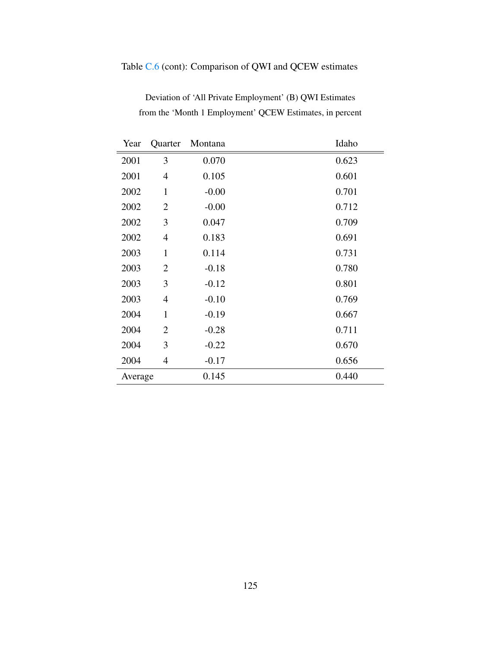## Table [C.6](#page-131-0) (cont): Comparison of QWI and QCEW estimates

| Deviation of 'All Private Employment' (B) QWI Estimates  |
|----------------------------------------------------------|
| from the 'Month 1 Employment' QCEW Estimates, in percent |

| Year    | Quarter        | Montana | Idaho |
|---------|----------------|---------|-------|
| 2001    | 3              | 0.070   | 0.623 |
| 2001    | 4              | 0.105   | 0.601 |
| 2002    | $\mathbf{1}$   | $-0.00$ | 0.701 |
| 2002    | $\overline{2}$ | $-0.00$ | 0.712 |
| 2002    | 3              | 0.047   | 0.709 |
| 2002    | $\overline{4}$ | 0.183   | 0.691 |
| 2003    | 1              | 0.114   | 0.731 |
| 2003    | $\overline{2}$ | $-0.18$ | 0.780 |
| 2003    | 3              | $-0.12$ | 0.801 |
| 2003    | 4              | $-0.10$ | 0.769 |
| 2004    | $\mathbf{1}$   | $-0.19$ | 0.667 |
| 2004    | $\overline{2}$ | $-0.28$ | 0.711 |
| 2004    | 3              | $-0.22$ | 0.670 |
| 2004    | 4              | $-0.17$ | 0.656 |
| Average |                | 0.145   | 0.440 |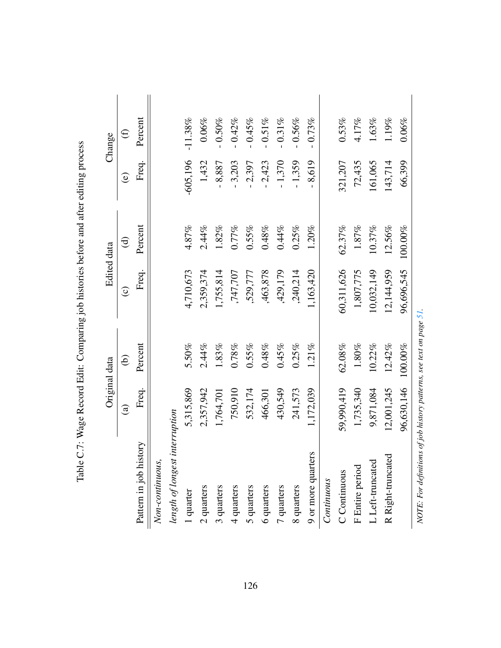|                                                                     | Original data |               |                   | Edited data            |                        | Change    |
|---------------------------------------------------------------------|---------------|---------------|-------------------|------------------------|------------------------|-----------|
|                                                                     | $\mathbf{G}$  | $\widehat{e}$ | $\widehat{\circ}$ | $\widehat{\mathbf{e}}$ | $\widehat{\mathbf{e}}$ | $\oplus$  |
| Pattern in job history                                              | Freq.         | Percent       | Freq.             | Percent                | Freq.                  | Percent   |
| Non-continuous,                                                     |               |               |                   |                        |                        |           |
| length of longest                                                   | interruption  |               |                   |                        |                        |           |
| 1 quarter                                                           | 5,315,869     | 5.50%         | 4,710,673         | $4.87\%$               | $-605,196$             | $-11.38%$ |
| 2 quarters                                                          | 2,357,942     | 2.44%         | 2,359,374         | 2.44%                  | 1,432                  | $0.06\%$  |
| 3 quarters                                                          | 1,764,701     | $1.83\%$      | 1,755,814         | $1.82\%$               | $-8,887$               | $-0.50\%$ |
| 4 quarters                                                          | 750,910       | 0.78%         | ,747,707          | 0.77%                  | $-3,203$               | 0.42%     |
| 5 quarters                                                          | 532,174       | 0.55%         | ,529,777          | 0.55%                  | $-2,397$               | $-0.45%$  |
| 6 quarters                                                          | 466,301       | $0.48\%$      | ,463,878          | $0.48\%$               | $-2,423$               | $-0.51\%$ |
| 7 quarters                                                          | 430,549       | 0.45%         | ,429,179          | 0.44%                  | $-1,370$               | $-0.31\%$ |
| 8 quarters                                                          | 241,573       | 0.25%         | ,240,214          | 0.25%                  | $-1,359$               | $-0.56%$  |
| 9 or more quarters                                                  | 1,172,039     | 1.21%         | 1,163,420         | 1.20%                  | 8,619                  | $0.73\%$  |
| Continuous                                                          |               |               |                   |                        |                        |           |
| C Continuous                                                        | 59,990,419    | $62.08\%$     | 60,311,626        | 62.37%                 | 321,207                | 0.53%     |
| F Entire period                                                     | 1,735,340     | $1.80\%$      | 1,807,775         | $1.87\%$               | 72,435                 | 4.17%     |
| L Left-truncated                                                    | 9,871,084     | $10.22\%$     | 10,032,149        | $10.37\%$              | 161,065                | $1.63\%$  |
| R Right-truncated                                                   | 12,001,245    | 12.42%        | 12,144,959        | $12.56\%$              | 143,714                | 1.19%     |
|                                                                     | 96,630,146    | 100.00%       | 96,696,545        | 100.00%                | 66,399                 | 0.06%     |
| NOTE: For definitions of job history patterns, see text on page 51. |               |               |                   |                        |                        |           |

Table C.7: Wage Record Edit: Comparing job histories before and after editing process Table C.7: Wage Record Edit: Comparing job histories before and after editing process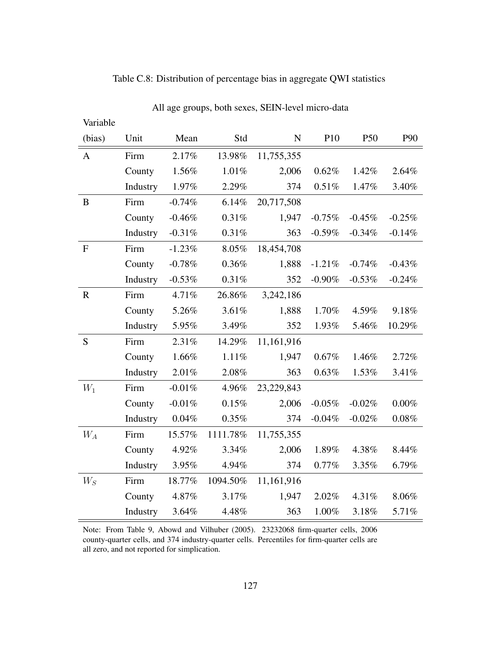| Variable     |          |          |          |            |          |                 |          |
|--------------|----------|----------|----------|------------|----------|-----------------|----------|
| (bias)       | Unit     | Mean     | Std      | ${\bf N}$  | P10      | P <sub>50</sub> | P90      |
| $\mathbf{A}$ | Firm     | 2.17%    | 13.98%   | 11,755,355 |          |                 |          |
|              | County   | 1.56%    | 1.01%    | 2,006      | 0.62%    | 1.42%           | 2.64%    |
|              | Industry | 1.97%    | 2.29%    | 374        | 0.51%    | 1.47%           | 3.40%    |
| $\mathbf B$  | Firm     | $-0.74%$ | 6.14%    | 20,717,508 |          |                 |          |
|              | County   | $-0.46%$ | $0.31\%$ | 1,947      | $-0.75%$ | $-0.45%$        | $-0.25%$ |
|              | Industry | $-0.31%$ | 0.31%    | 363        | $-0.59%$ | $-0.34%$        | $-0.14%$ |
| $\mathbf{F}$ | Firm     | $-1.23%$ | 8.05%    | 18,454,708 |          |                 |          |
|              | County   | $-0.78%$ | 0.36%    | 1,888      | $-1.21%$ | $-0.74%$        | $-0.43%$ |
|              | Industry | $-0.53%$ | 0.31%    | 352        | $-0.90%$ | $-0.53%$        | $-0.24%$ |
| $\mathbb{R}$ | Firm     | 4.71%    | 26.86%   | 3,242,186  |          |                 |          |
|              | County   | 5.26%    | 3.61%    | 1,888      | 1.70%    | 4.59%           | 9.18%    |
|              | Industry | 5.95%    | 3.49%    | 352        | 1.93%    | 5.46%           | 10.29%   |
| S            | Firm     | 2.31%    | 14.29%   | 11,161,916 |          |                 |          |
|              | County   | 1.66%    | 1.11%    | 1,947      | 0.67%    | 1.46%           | 2.72%    |
|              | Industry | 2.01%    | 2.08%    | 363        | 0.63%    | 1.53%           | 3.41%    |
| $W_1$        | Firm     | $-0.01%$ | 4.96%    | 23,229,843 |          |                 |          |
|              | County   | $-0.01%$ | 0.15%    | 2,006      | $-0.05%$ | $-0.02%$        | $0.00\%$ |
|              | Industry | 0.04%    | 0.35%    | 374        | $-0.04%$ | $-0.02%$        | $0.08\%$ |
| $W_A$        | Firm     | 15.57%   | 1111.78% | 11,755,355 |          |                 |          |
|              | County   | 4.92%    | 3.34%    | 2,006      | 1.89%    | 4.38%           | 8.44%    |
|              | Industry | 3.95%    | 4.94%    | 374        | 0.77%    | 3.35%           | 6.79%    |
| $W_S$        | Firm     | 18.77%   | 1094.50% | 11,161,916 |          |                 |          |
|              | County   | 4.87%    | 3.17%    | 1,947      | 2.02%    | 4.31%           | 8.06%    |
|              | Industry | 3.64%    | 4.48%    | 363        | 1.00%    | 3.18%           | 5.71%    |

Table C.8: Distribution of percentage bias in aggregate QWI statistics

All age groups, both sexes, SEIN-level micro-data

Note: From Table 9, [Abowd and Vilhuber](#page-71-1) [\(2005\)](#page-71-1). 23232068 firm-quarter cells, 2006 county-quarter cells, and 374 industry-quarter cells. Percentiles for firm-quarter cells are all zero, and not reported for simplication.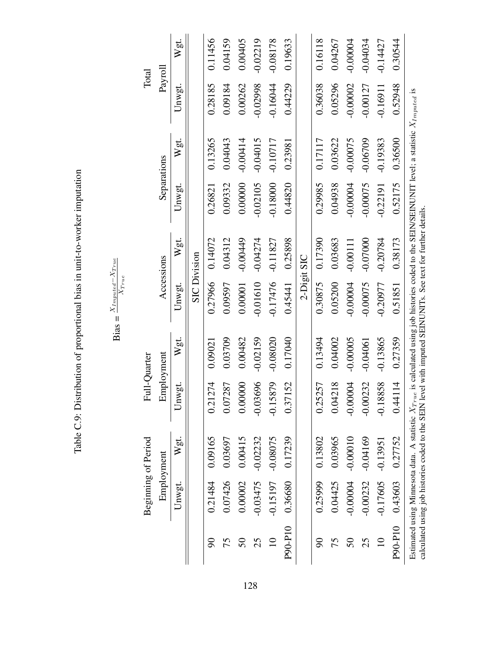| \$                                         |
|--------------------------------------------|
| $\frac{1}{2}$                              |
| l<br>j<br>i                                |
|                                            |
|                                            |
| ha of proportional big in limit to uncelse |
|                                            |
| i,                                         |
|                                            |
| l<br>C<br>C<br>C                           |
|                                            |
| 、、、、、<br>.<br>أ                            |
| ֓׆<br>׆                                    |

$$
Bias = \frac{X_{Imputed} - X_{True}}{X_{True}}
$$

|         |            | Beginning of Period | Full-Quarter                                                                                                                                                                                                                           |            |            |                     |             |            | Total      |            |
|---------|------------|---------------------|----------------------------------------------------------------------------------------------------------------------------------------------------------------------------------------------------------------------------------------|------------|------------|---------------------|-------------|------------|------------|------------|
|         |            | Employment          | Employment                                                                                                                                                                                                                             |            |            | Accessions          | Separations |            | Payroll    |            |
|         | Unwgt.     | Wgt.                | Unwgt.                                                                                                                                                                                                                                 | Wgt.       | Unwgt.     | Wgt.                | Unwgt.      | Wgt.       | Unwgt.     | Wgt.       |
|         |            |                     |                                                                                                                                                                                                                                        |            |            | <b>SIC Division</b> |             |            |            |            |
| Z       | 0.21484    | 0.09165             | 274<br>0.21                                                                                                                                                                                                                            | 0.09021    | 0.27966    | 0.14072             | 0.26821     | 0.13265    | 0.28185    | 0.11456    |
|         | 0.07426    | 0.03697             | 0.07287                                                                                                                                                                                                                                | 0.03709    | 0.09597    | 0.04312             | 0.09332     | 0.04043    | 0.09184    | 0.04159    |
| 50      | 0.00002    | 0.00415             | 000<br>0.00                                                                                                                                                                                                                            | 0.00482    | 0.00001    | -0.00449            | 0.00000     | $-0.00414$ | 0.00262    | 0.00405    |
| 25      | $-0.03475$ | $-0.02232$          | 696<br>$-0.03$                                                                                                                                                                                                                         | $-0.02159$ | $-0.01610$ | $-0.04274$          | $-0.02105$  | $-0.04015$ | $-0.02998$ | $-0.02219$ |
|         | $-0.15197$ | $-0.08075$          | 879<br>$-0.15$                                                                                                                                                                                                                         | $-0.08020$ | $-0.17476$ | $-0.11827$          | $-0.18000$  | $-0.10717$ | $-0.16044$ | $-0.08178$ |
| P90-P10 | 0.36680    | 0.17239             | 0.37152                                                                                                                                                                                                                                | 0.17040    | 0.45441    | 0.25898             | 0.44820     | 0.23981    | 0.44229    | 0.19633    |
|         |            |                     |                                                                                                                                                                                                                                        |            |            | 2-Digit SIC         |             |            |            |            |
| Z       | 0.25999    | 0.13802             | 0.25257                                                                                                                                                                                                                                | 0.13494    | 0.30875    | 0.17390             | 0.29985     | 0.17117    | 0.36038    | 0.16118    |
|         | 0.04425    | 0.03965             | 218<br>0.04                                                                                                                                                                                                                            | 0.04002    | 0.05200    | 0.03683             | 0.04938     | 0.03622    | 0.05296    | 0.04267    |
| 50      | $-0.00004$ | $-0.00010$          | 004<br>$-0.00$                                                                                                                                                                                                                         | $-0.00005$ | $-0.00004$ | $-0.00111$          | $-0.00004$  | $-0.00075$ | $-0.00002$ | $-0.00004$ |
| 25      | $-0.00232$ | $-0.04169$          | $-0.00232$                                                                                                                                                                                                                             | $-0.04061$ | $-0.00075$ | $-0.07000$          | $-0.00075$  | $-0.06709$ | $-0.00127$ | $-0.04034$ |
|         | $-0.17605$ | $-0.13951$          | 858<br>$-0.18$                                                                                                                                                                                                                         | $-0.13865$ | $-0.20977$ | $-0.20784$          | $-0.22191$  | $-0.19383$ | $-0.16911$ | $-0.14427$ |
| P90-P10 | 0.43603    | 0.27752             | 0.44114                                                                                                                                                                                                                                | 0.27359    | 0.51851    | 0.38173             | 0.52175     | 0.36500    | 0.52948    | 0.30544    |
|         |            |                     | Estimated using Minnesota data. A statistic $X_{True}$ is calculated using job histories coded to the SEIN/SEINUNIT level; a statistic $X_{Imputed}$ is calculated using job histories coded to the SEIN level with imputed SEINUNITs. |            |            |                     |             |            |            |            |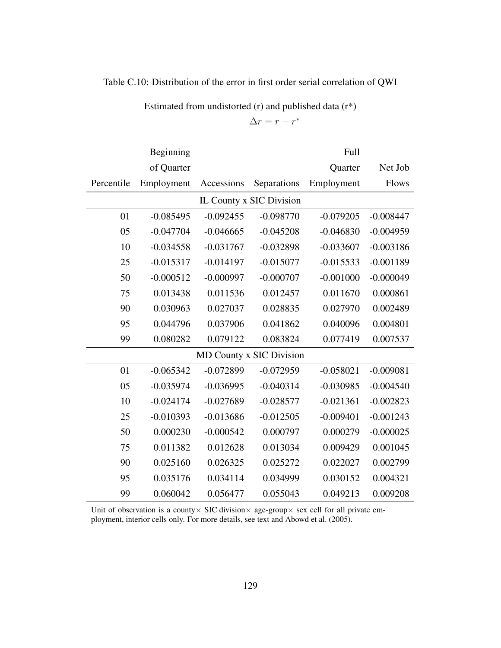### Table C.10: Distribution of the error in first order serial correlation of QWI

Estimated from undistorted (r) and published data  $(r^*)$ 

$$
\Delta r = r - r^*
$$

| Full<br>Beginning |                          |             |                          |             |             |  |  |  |  |
|-------------------|--------------------------|-------------|--------------------------|-------------|-------------|--|--|--|--|
|                   | of Quarter               |             |                          | Quarter     | Net Job     |  |  |  |  |
| Percentile        | Employment               | Accessions  | Separations              | Employment  | Flows       |  |  |  |  |
|                   |                          |             | IL County x SIC Division |             |             |  |  |  |  |
| 01                | $-0.085495$              | $-0.092455$ | $-0.098770$              | $-0.079205$ | $-0.008447$ |  |  |  |  |
| 05                | $-0.047704$              | $-0.046665$ | $-0.045208$              | $-0.046830$ | $-0.004959$ |  |  |  |  |
| 10                | $-0.034558$              | $-0.031767$ | $-0.032898$              | $-0.033607$ | $-0.003186$ |  |  |  |  |
| 25                | $-0.015317$              | $-0.014197$ | $-0.015077$              | $-0.015533$ | $-0.001189$ |  |  |  |  |
| 50                | $-0.000512$              | $-0.000997$ | $-0.000707$              | $-0.001000$ | $-0.000049$ |  |  |  |  |
| 75                | 0.013438                 | 0.011536    | 0.012457                 | 0.011670    | 0.000861    |  |  |  |  |
| 90                | 0.030963                 | 0.027037    | 0.028835                 | 0.027970    | 0.002489    |  |  |  |  |
| 95                | 0.044796                 | 0.037906    | 0.041862                 | 0.040096    | 0.004801    |  |  |  |  |
| 99                | 0.080282                 | 0.079122    | 0.083824                 | 0.077419    | 0.007537    |  |  |  |  |
|                   | MD County x SIC Division |             |                          |             |             |  |  |  |  |
| 01                | $-0.065342$              | $-0.072899$ | $-0.072959$              | $-0.058021$ | $-0.009081$ |  |  |  |  |
| 05                | $-0.035974$              | $-0.036995$ | $-0.040314$              | $-0.030985$ | $-0.004540$ |  |  |  |  |
| 10                | $-0.024174$              | $-0.027689$ | $-0.028577$              | $-0.021361$ | $-0.002823$ |  |  |  |  |
| 25                | $-0.010393$              | $-0.013686$ | $-0.012505$              | $-0.009401$ | $-0.001243$ |  |  |  |  |
| 50                | 0.000230                 | $-0.000542$ | 0.000797                 | 0.000279    | $-0.000025$ |  |  |  |  |
| 75                | 0.011382                 | 0.012628    | 0.013034                 | 0.009429    | 0.001045    |  |  |  |  |
| 90                | 0.025160                 | 0.026325    | 0.025272                 | 0.022027    | 0.002799    |  |  |  |  |
| 95                | 0.035176                 | 0.034114    | 0.034999                 | 0.030152    | 0.004321    |  |  |  |  |
| 99                | 0.060042                 | 0.056477    | 0.055043                 | 0.049213    | 0.009208    |  |  |  |  |

Unit of observation is a county $\times$  SIC division $\times$  age-group $\times$  sex cell for all private employment, interior cells only. For more details, see text and [Abowd et al.](#page-71-0) [\(2005\)](#page-71-0).